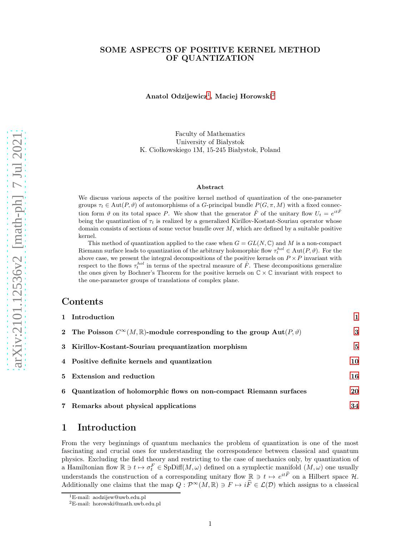### SOME ASPECTS OF POSITIVE KERNEL METHOD OF QUANTIZATION

Anatol Odzijewicz [1](#page-0-0) , Maciej Horowski [2](#page-0-1)

Faculty of Mathematics University of Białystok K. Ciołkowskiego 1M, 15-245 Białystok, Poland

#### Abstract

We discuss various aspects of the positive kernel method of quantization of the one-parameter groups  $\tau_t \in \text{Aut}(P, \vartheta)$  of automorphisms of a G-principal bundle  $P(G, \pi, M)$  with a fixed connection form  $\vartheta$  on its total space P. We show that the generator  $\hat{F}$  of the unitary flow  $U_t = e^{it\hat{F}}$ being the quantization of  $\tau_t$  is realized by a generalized Kirillov-Kostant-Souriau operator whose domain consists of sections of some vector bundle over M, which are defined by a suitable positive kernel.

This method of quantization applied to the case when  $G = GL(N, \mathbb{C})$  and M is a non-compact Riemann surface leads to quantization of the arbitrary holomorphic flow  $\tau_t^{hol} \in \text{Aut}(P, \vartheta)$ . For the above case, we present the integral decompositions of the positive kernels on  $P \times P$  invariant with respect to the flows  $\tau_t^{hol}$  in terms of the spectral measure of  $\hat{F}$ . These decompositions generalize the ones given by Bochner's Theorem for the positive kernels on  $\mathbb{C} \times \mathbb{C}$  invariant with respect to the one-parameter groups of translations of complex plane.

### Contents

1 Introduction

| 1 Introduction                                                                                        |    |
|-------------------------------------------------------------------------------------------------------|----|
| 2 The Poisson $C^{\infty}(M,\mathbb{R})$ -module corresponding to the group $\text{Aut}(P,\vartheta)$ | 3  |
| 3 Kirillov-Kostant-Souriau prequantization morphism                                                   | 5  |
| 4 Positive definite kernels and quantization                                                          | 10 |
| 5 Extension and reduction                                                                             | 16 |
| 6 Quantization of holomorphic flows on non-compact Riemann surfaces                                   | 20 |
| 7 Remarks about physical applications                                                                 | 34 |

### <span id="page-0-2"></span>1 Introduction

From the very beginnings of quantum mechanics the problem of quantization is one of the most fascinating and crucial ones for understanding the correspondence between classical and quantum physics. Excluding the field theory and restricting to the case of mechanics only, by quantization of a Hamiltonian flow  $\mathbb{R} \ni t \mapsto \sigma_t^F \in \text{SpDiff}(M, \omega)$  defined on a symplectic manifold  $(M, \omega)$  one usually understands the construction of a corresponding unitary flow  $\mathbb{R} \ni t \mapsto e^{it\hat{F}}$  on a Hilbert space  $\mathcal{H}$ . Additionally one claims that the map  $Q: \mathcal{P}^{\infty}(M,\mathbb{R}) \ni F \mapsto i\widehat{F} \in \mathcal{L}(\mathcal{D})$  which assigns to a classical

<span id="page-0-1"></span><span id="page-0-0"></span>

<sup>&</sup>lt;sup>1</sup>E-mail: aodzijew@uwb.edu.pl  $^{2}$ E-mail: horowski@math.uwb.edu.pl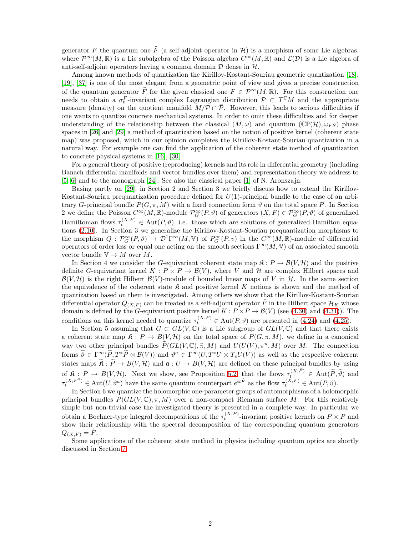generator F the quantum one  $\widehat{F}$  (a self-adjoint operator in H) is a morphism of some Lie algebras, where  $\mathcal{P}^{\infty}(M,\mathbb{R})$  is a Lie subalgebra of the Poisson algebra  $C^{\infty}(M,\mathbb{R})$  and  $\mathcal{L}(\mathcal{D})$  is a Lie algebra of anti-self-adjoint operators having a common domain  $D$  dense in  $H$ .

Among known methods of quantization the Kirillov-Kostant-Souriau geometric quantization [\[18\]](#page-34-0), [\[19\]](#page-34-1), [\[37\]](#page-35-0) is one of the most elegant from a geometric point of view and gives a precise construction of the quantum generator  $\widehat{F}$  for the given classical one  $F \in \mathcal{P}^{\infty}(M,\mathbb{R})$ . For this construction one needs to obtain a  $\sigma_t^F$ -invariant complex Lagrangian distribution  $\mathcal{P} \subset T^{\mathbb{C}}M$  and the appropriate measure (density) on the quotient manifold  $M/P \cap \overline{P}$ . However, this leads to serious difficulties if one wants to quantize concrete mechanical systems. In order to omit these difficulties and for deeper understanding of the relationship between the classical  $(M, \omega)$  and quantum  $(\mathbb{CP}(\mathcal{H}), \omega_{FS})$  phase spaces in [\[26\]](#page-35-1) and [\[29\]](#page-35-2) a method of quantization based on the notion of positive kernel (coherent state map) was proposed, which in our opinion completes the Kirillov-Kostant-Souriau quantization in a natural way. For example one can find the application of the coherent state method of quantization to concrete physical systems in [\[16\]](#page-34-2), [\[30\]](#page-35-3).

For a general theory of positive (reproducing) kernels and its role in differential geometry (including Banach differential manifolds and vector bundles over them) and representation theory we address to [\[5,](#page-34-3) [6\]](#page-34-4) and to the monograph [\[24\]](#page-35-4). See also the classical paper [\[1\]](#page-34-5) of N. Aronszajn.

Basing partly on [\[29\]](#page-35-2), in Section 2 and Section 3 we briefly discuss how to extend the Kirillov-Kostant-Souriau prequantization procedure defined for  $U(1)$ -principal bundle to the case of an arbitrary G-principal bundle  $P(G, \pi, M)$  with a fixed connection form  $\vartheta$  on the total space P. In Section 2 we define the Poisson  $C^{\infty}(M,\mathbb{R})$ -module  $\mathcal{P}_G^{\infty}(P,\vartheta)$  of generators  $(X,F) \in \mathcal{P}_G^{\infty}(P,\vartheta)$  of generalized Hamiltonian flows  $\tau_t^{(X,F)} \in \text{Aut}(P, \vartheta)$ , i.e. those which are solutions of generalized Hamilton equations [\(2.10\)](#page-3-0). In Section 3 we generalize the Kirillov-Kostant-Souriau prequantization morphisms to the morphism  $Q: \mathcal{P}_G^{\infty}(P, \vartheta) \to \mathcal{D}^1\Gamma^{\infty}(M, \mathbb{V})$  of  $P_G^{\infty}(P, v)$  in the  $C^{\infty}(M, \mathbb{R})$ -module of differential operators of order less or equal one acting on the smooth sections  $\Gamma^{\infty}(M, V)$  of an associated smooth vector bundle  $\mathbb{V} \to M$  over M.

In Section 4 we consider the G-equivariant coherent state map  $\mathfrak{K}: P \to \mathcal{B}(V, \mathcal{H})$  and the positive definite G-equivariant kernel  $K : P \times P \to \mathcal{B}(V)$ , where V and H are complex Hilbert spaces and  $\mathcal{B}(V, \mathcal{H})$  is the right Hilbert  $\mathcal{B}(V)$ -module of bounded linear maps of V in  $\mathcal{H}$ . In the same section the equivalence of the coherent state  $\mathfrak K$  and positive kernel K notions is shown and the method of quantization based on them is investigated. Among others we show that the Kirillov-Kostant-Souriau differential operator  $Q_{(X,F)}$  can be treated as a self-adjoint operator F in the Hilbert space  $\mathcal{H}_K$  whose domain is defined by the G-equivariant positive kernel  $K: P \times P \to \mathcal{B}(V)$  (see [\(4.30\)](#page-14-0) and [\(4.31\)](#page-14-1)). The conditions on this kernel needed to quantize  $\tau_t^{(X,F)} \in \text{Aut}(P, \vartheta)$  are presented in [\(4.24\)](#page-13-0) and [\(4.25\)](#page-13-1).

In Section 5 assuming that  $G \subset GL(V, \mathbb{C})$  is a Lie subgroup of  $GL(V, \mathbb{C})$  and that there exists a coherent state map  $\mathfrak{K}: P \to B(V, \mathcal{H})$  on the total space of  $P(G, \pi, M)$ , we define in a canonical way two other principal bundles  $\widetilde{P}(GL(V,\mathbb{C}),\widetilde{\pi},M)$  and  $U(U(V),\pi^u,M)$  over M. The connection forms  $\hat{\theta} \in \Gamma^\infty_{\sim}(\hat{P}_{\sim}T^*\hat{P} \otimes \mathcal{B}(V))$  and  $\theta^a \in \Gamma^\infty(U, T^*U \otimes T_eU(V))$  as well as the respective coherent states maps  $\widetilde{\mathfrak{K}} : \widetilde{P} \to B(V, \mathcal{H})$  and  $\mathfrak{a} : U \to B(V, \mathcal{H})$  are defined on these principal bundles by using of  $\mathfrak{K}: P \to B(V, \mathcal{H})$ . Next we show, see Proposition [5.2,](#page-17-0) that the flows  $\tau_t^{(X, \tilde{F})} \in \text{Aut}(\tilde{P}, \tilde{\vartheta})$  and  $\tau_t^{(X,F^a)} \in \mathrm{Aut}(U, \vartheta^a)$  have the same quantum counterpart  $e^{it\hat{F}}$  as the flow  $\tau_t^{(\check{X},F)} \in \mathrm{Aut}(P, \vartheta)$ .

In Section 6 we quantize the holomorphic one-parameter groups of automorphisms of a holomorphic principal bundles  $P(GL(V, \mathbb{C}), \pi, M)$  over a non-compact Riemann surface M. For this relatively simple but non-trivial case the investigated theory is presented in a complete way. In particular we obtain a Bochner-type integral decompositions of the  $\tau_t^{(X,F)}$ -invariant positive kernels on  $P \times P$  and show their relationship with the spectral decomposition of the corresponding quantum generators  $Q_{(X,F)} = \hat{F}.$ 

Some applications of the coherent state method in physics including quantum optics are shortly discussed in Section [7.](#page-33-0)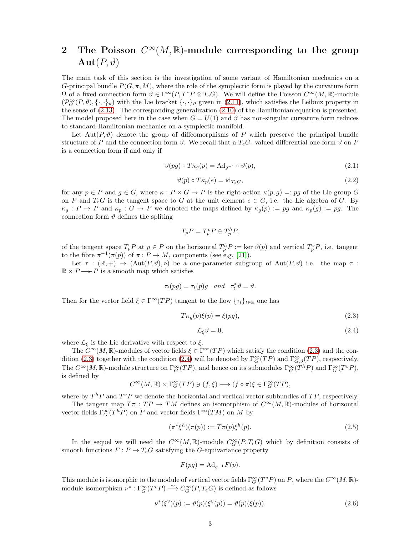# <span id="page-2-0"></span>2 The Poisson  $C^{\infty}(M,\mathbb{R})$ -module corresponding to the group  $\text{Aut}(P,\vartheta)$

The main task of this section is the investigation of some variant of Hamiltonian mechanics on a G-principal bundle  $P(G, \pi, M)$ , where the role of the symplectic form is played by the curvature form  $\Omega$  of a fixed connection form  $\vartheta \in \Gamma^\infty(P, T^*P \otimes T_eG)$ . We will define the Poisson  $C^\infty(M, \mathbb{R})$ -module  $(\mathcal{P}_G^{\infty}(P,\vartheta),\{\cdot,\cdot\}_{\vartheta})$  with the Lie bracket  $\{\cdot,\cdot\}_{\vartheta}$  given in [\(2.11\)](#page-4-1), which satisfies the Leibniz property in the sense of [\(2.13\)](#page-4-2). The corresponding generalization [\(2.10\)](#page-3-0) of the Hamiltonian equation is presented. The model proposed here in the case when  $G = U(1)$  and  $\vartheta$  has non-singular curvature form reduces to standard Hamiltonian mechanics on a symplectic manifold.

Let Aut $(P, \vartheta)$  denote the group of diffeomorphisms of P which preserve the principal bundle structure of P and the connection form  $\vartheta$ . We recall that a  $T_e$ - valued differential one-form  $\vartheta$  on P is a connection form if and only if

<span id="page-2-3"></span>
$$
\vartheta(pg) \circ T\kappa_g(p) = \mathrm{Ad}_{g^{-1}} \circ \vartheta(p),\tag{2.1}
$$

<span id="page-2-4"></span>
$$
\vartheta(p) \circ T\kappa_p(e) = \mathrm{id}_{T_e G},\tag{2.2}
$$

for any  $p \in P$  and  $g \in G$ , where  $\kappa : P \times G \to P$  is the right-action  $\kappa(p, g) =: pg$  of the Lie group G on P and  $T_eG$  is the tangent space to G at the unit element  $e \in G$ , i.e. the Lie algebra of G. By  $\kappa_g : P \to P$  and  $\kappa_p : G \to P$  we denoted the maps defined by  $\kappa_g(p) := pg$  and  $\kappa_p(g) := pg$ . The connection form  $\vartheta$  defines the spliting

$$
T_p P = T_p^v P \oplus T_p^h P,
$$

of the tangent space  $T_p P$  at  $p \in P$  on the horizontal  $T_p^h P := \text{ker } \vartheta(p)$  and vertical  $T_p^v P$ , i.e. tangent to the fibre  $\pi^{-1}(\pi(p))$  of  $\pi : P \to M$ , components (see e.g. [\[21\]](#page-34-6)).

Let  $\tau : (\mathbb{R}, +) \to (\text{Aut}(P, \vartheta), \circ)$  be a one-parameter subgroup of  $\text{Aut}(P, \vartheta)$  i.e. the map  $\tau$ :  $\mathbb{R} \times P \longrightarrow P$  is a smooth map which satisfies

$$
\tau_t(pg)=\tau_t(p)g \quad and \quad \tau_t^*\vartheta=\vartheta.
$$

Then for the vector field  $\xi \in \Gamma^\infty(TP)$  tangent to the flow  $\{\tau_t\}_{t\in\mathbb{R}}$  one has

<span id="page-2-1"></span>
$$
T\kappa_g(p)\xi(p) = \xi(pg),\tag{2.3}
$$

<span id="page-2-2"></span>
$$
\mathcal{L}_{\xi}\vartheta = 0,\tag{2.4}
$$

where  $\mathcal{L}_{\xi}$  is the Lie derivative with respect to  $\xi$ .

The  $C^{\infty}(M,\mathbb{R})$ -modules of vector fields  $\xi \in \Gamma^{\infty}(TP)$  which satisfy the condition [\(2.3\)](#page-2-1) and the con-dition [\(2.3\)](#page-2-1) together with the condition [\(2.4\)](#page-2-2) will be denoted by  $\Gamma_G^{\infty}(TP)$  and  $\Gamma_{G,\vartheta}^{\infty}(TP)$ , respectively. The  $C^{\infty}(M,\mathbb{R})$ -module structure on  $\Gamma_G^{\infty}(TP)$ , and hence on its submodules  $\Gamma_G^{\infty}(T^hP)$  and  $\Gamma_G^{\infty}(T^vP)$ , is defined by

$$
C^{\infty}(M,\mathbb{R})\times\Gamma_G^{\infty}(TP)\ni(f,\xi)\longmapsto(f\circ\pi)\xi\in\Gamma_G^{\infty}(TP),
$$

where by  $T^h P$  and  $T^v P$  we denote the horizontal and vertical vector subbundles of  $TP$ , respectively.

The tangent map  $T\pi : TP \to TM$  defines an isomorphism of  $C^{\infty}(M,\mathbb{R})$ -modules of horizontal vector fields  $\Gamma_G^{\infty}(T^h P)$  on P and vector fields  $\Gamma^{\infty}(T M)$  on M by

<span id="page-2-5"></span>
$$
(\pi^* \xi^h)(\pi(p)) := T\pi(p)\xi^h(p). \tag{2.5}
$$

In the sequel we will need the  $C^{\infty}(M,\mathbb{R})$ -module  $C^{\infty}_G(P,T_eG)$  which by definition consists of smooth functions  $F: P \to T_eG$  satisfying the G-equivariance property

$$
F(pg) = \mathrm{Ad}_{g^{-1}}F(p).
$$

This module is isomorphic to the module of vertical vector fields  $\Gamma_G^{\infty}(T^vP)$  on P, where the  $C^{\infty}(M,\mathbb{R})$ module isomorphism  $\nu^* : \Gamma_G^{\infty}(T^v P) \longrightarrow C_G^{\infty}(P, T_e G)$  is defined as follows

<span id="page-2-6"></span>
$$
\nu^*(\xi^v)(p) := \vartheta(p)(\xi^v(p)) = \vartheta(p)(\xi(p)).
$$
\n(2.6)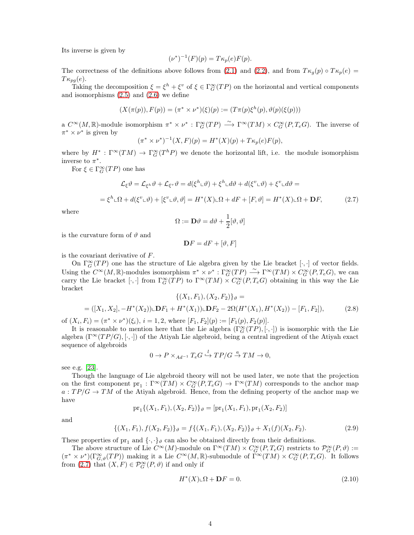Its inverse is given by

$$
(\nu^*)^{-1}(F)(p) = T\kappa_p(e)F(p).
$$

The correctness of the definitions above follows from [\(2.1\)](#page-2-3) and [\(2.2\)](#page-2-4), and from  $T \kappa_q(p) \circ T \kappa_p(e) =$  $T\kappa_{pq}(e)$ .

Taking the decomposition  $\xi = \xi^h + \xi^v$  of  $\xi \in \Gamma_G^{\infty}(TP)$  on the horizontal and vertical components and isomorphisms  $(2.5)$  and  $(2.6)$  we define

$$
(X(\pi(p)), F(p)) = (\pi^* \times \nu^*)(\xi)(p) := (T\pi(p)\xi^h(p), \vartheta(p)(\xi(p)))
$$

a  $C^{\infty}(M,\mathbb{R})$ -module isomorphism  $\pi^* \times \nu^* : \Gamma_G^{\infty}(TP) \longrightarrow \Gamma^{\infty}(TM) \times C_G^{\infty}(P,T_eG)$ . The inverse of  $\pi^* \times \nu^*$  is given by

$$
(\pi^* \times \nu^*)^{-1}(X, F)(p) = H^*(X)(p) + T\kappa_p(e)F(p),
$$

where by  $H^*$ :  $\Gamma^\infty(TM) \to \Gamma^\infty_G(T^hP)$  we denote the horizontal lift, i.e. the module isomorphism inverse to  $\pi^*$ .

For  $\xi \in \Gamma_G^{\infty}(TP)$  one has

<span id="page-3-1"></span>
$$
\mathcal{L}_{\xi}\vartheta = \mathcal{L}_{\xi^h}\vartheta + \mathcal{L}_{\xi^v}\vartheta = d(\xi^h \Box \vartheta) + \xi^h \Box d\vartheta + d(\xi^v \Box \vartheta) + \xi^v \Box d\vartheta =
$$
  
=  $\xi^h \Box \Omega + d(\xi^v \Box \vartheta) + [\xi^v \Box \vartheta, \vartheta] = H^*(X) \Box \Omega + dF + [F, \vartheta] = H^*(X) \Box \Omega + \mathbf{D}F,$  (2.7)

where

$$
\Omega := \mathbf{D}\vartheta = d\vartheta + \frac{1}{2}[\vartheta, \vartheta]
$$

is the curvature form of  $\vartheta$  and

$$
\mathbf{D}F = dF + [\vartheta, F]
$$

is the covariant derivative of F.

On  $\Gamma_G^{\infty}(TP)$  one has the structure of Lie algebra given by the Lie bracket  $[\cdot, \cdot]$  of vector fields. Using the  $C^{\infty}(M,\mathbb{R})$ -modules isomorphism  $\pi^* \times \nu^* : \Gamma_G^{\infty}(TP) \longrightarrow \Gamma^{\infty}(TM) \times C_G^{\infty}(P,T_eG)$ , we can carry the Lie bracket [ $\cdot$ , ] from  $\Gamma_G^{\infty}(TP)$  to  $\Gamma^{\infty}(TM) \times C_G^{\infty}(P, T_eG)$  obtaining in this way the Lie bracket  $f(Y, E)$ ,  $(Y, E)$ 

<span id="page-3-2"></span>
$$
\{(X_1, F_1), (X_2, F_2)\}\vartheta =
$$
  
= ([X<sub>1</sub>, X<sub>2</sub>], -H<sup>\*</sup>(X<sub>2</sub>)) $\sqcup$  **D**F<sub>1</sub> + H<sup>\*</sup>(X<sub>1</sub>)) $\sqcup$  **D**F<sub>2</sub> - 2 $\Omega$ (H<sup>\*</sup>(X<sub>1</sub>), H<sup>\*</sup>(X<sub>2</sub>)) - [F<sub>1</sub>, F<sub>2</sub>]), (2.8)

of  $(X_i, F_i) = (\pi^* \times \nu^*)(\xi_i), i = 1, 2$ , where  $[F_1, F_2](p) := [F_1(p), F_2(p)].$ 

It is reasonable to mention here that the Lie algebra  $(\Gamma_G^{\infty}(TP), [\cdot, \cdot])$  is isomorphic with the Lie algebra  $(\Gamma^{\infty}(TP/G), [\cdot, \cdot])$  of the Atiyah Lie algebroid, being a central ingredient of the Atiyah exact sequence of algebroids

$$
0 \to P \times_{Ad^{-1}} T_e G \xrightarrow{l} TP/G \xrightarrow{a} TM \to 0,
$$

see e.g. [\[23\]](#page-35-5).

Though the language of Lie algebroid theory will not be used later, we note that the projection on the first component  $pr_1: \Gamma^\infty(TM) \times C_G^\infty(P, T_eG) \to \Gamma^\infty(TM)$  corresponds to the anchor map  $a:TP/G \to TM$  of the Atiyah algebroid. Hence, from the defining property of the anchor map we have

$$
\mathrm{pr}_1\{(X_1,F_1),(X_2,F_2)\}_{\vartheta}=[\mathrm{pr}_1(X_1,F_1),\mathrm{pr}_1(X_2,F_2)]
$$

and

$$
\{(X_1, F_1), f(X_2, F_2)\}\n\quad = f\{(X_1, F_1), (X_2, F_2)\}\n\quad\n + X_1(f)(X_2, F_2).
$$
\n(2.9)

These properties of  $pr_1$  and  $\{\cdot,\cdot\}_\vartheta$  can also be obtained directly from their definitions.

The above structure of Lie  $C^{\infty}(M)$ -module on  $\Gamma^{\infty}(TM) \times C^{\infty}_G(P, T_eG)$  restricts to  $\mathcal{P}^{\infty}_G(P, \vartheta) :=$  $(\pi^* \times \nu^*)(\Gamma_{G,\vartheta}^{\infty}(TP))$  making it a Lie  $C^{\infty}(M,\mathbb{R})$ -submodule of  $\Gamma^{\infty}(TM) \times C_G^{\infty}(P,T_eG)$ . It follows from [\(2.7\)](#page-3-1) that  $(X, F) \in \mathcal{P}_G^{\infty}(P, \vartheta)$  if and only if

<span id="page-3-0"></span>
$$
H^*(X)\llcorner \Omega + \mathbf{D}F = 0. \tag{2.10}
$$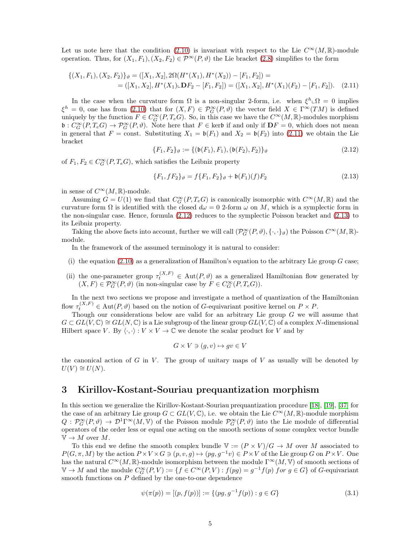Let us note here that the condition [\(2.10\)](#page-3-0) is invariant with respect to the Lie  $C^{\infty}(M,\mathbb{R})$ -module operation. Thus, for  $(X_1, F_1), (X_2, F_2) \in \mathcal{P}^{\infty}(P, \vartheta)$  the Lie bracket [\(2.8\)](#page-3-2) simplifies to the form

$$
\{(X_1, F_1), (X_2, F_2)\}\n\vartheta = ([X_1, X_2], 2\Omega(H^*(X_1), H^*(X_2)) - [F_1, F_2]) =\n= ([X_1, X_2], H^*(X_1) \cup \mathbf{D} F_2 - [F_1, F_2]) = ([X_1, X_2], H^*(X_1)(F_2) - [F_1, F_2]).
$$
\n(2.11)

In the case when the curvature form  $\Omega$  is a non-singular 2-form, i.e. when  $\xi^h \square \Omega = 0$  implies  $\xi^h = 0$ , one has from [\(2.10\)](#page-3-0) that for  $(X, F) \in \mathcal{P}_G^{\infty}(P, \vartheta)$  the vector field  $X \in \Gamma^{\infty}(TM)$  is defined uniquely by the function  $F \in C_G^{\infty}(P, T_eG)$ . So, in this case we have the  $C^{\infty}(M, \mathbb{R})$ -modules morphism  $\mathfrak{b}: C_G^{\infty}(P, T_eG) \to \mathcal{P}_G^{\infty}(P, \vartheta)$ . Note here that  $F \in \text{ker}\mathfrak{b}$  if and only if  $\mathbf{D}F = 0$ , which does not mean in general that  $F = \text{const.}$  Substituting  $X_1 = \mathfrak{b}(F_1)$  and  $X_2 = \mathfrak{b}(F_2)$  into [\(2.11\)](#page-4-1) we obtain the Lie bracket

<span id="page-4-3"></span><span id="page-4-1"></span>
$$
\{F_1, F_2\}_{\vartheta} := \{(\mathfrak{b}(F_1), F_1), (\mathfrak{b}(F_2), F_2)\}_{\vartheta}
$$
\n(2.12)

of  $F_1, F_2 \in C_G^{\infty}(P, T_eG)$ , which satisfies the Leibniz property

<span id="page-4-2"></span>
$$
\{F_1, fF_2\}_{\vartheta} = f\{F_1, F_2\}_{\vartheta} + \mathfrak{b}(F_1)(f)F_2 \tag{2.13}
$$

in sense of  $C^{\infty}(M,\mathbb{R})$ -module.

Assuming  $G = U(1)$  we find that  $C_G^{\infty}(P, T_e G)$  is canonically isomorphic with  $C^{\infty}(M, \mathbb{R})$  and the curvature form  $\Omega$  is identified with the closed  $d\omega = 0$  2-form  $\omega$  on M, which is a symplectic form in the non-singular case. Hence, formula [\(2.12\)](#page-4-3) reduces to the symplectic Poisson bracket and [\(2.13\)](#page-4-2) to its Leibniz property.

Taking the above facts into account, further we will call  $(\mathcal{P}_G^{\infty}(P,\vartheta), \{\cdot,\cdot\}_{\vartheta})$  the Poisson  $C^{\infty}(M,\mathbb{R})$ module.

In the framework of the assumed terminology it is natural to consider:

- (i) the equation [\(2.10\)](#page-3-0) as a generalization of Hamilton's equation to the arbitrary Lie group  $G$  case;
- (ii) the one-parameter group  $\tau_t^{(X,F)} \in \text{Aut}(P,\vartheta)$  as a generalized Hamiltonian flow generated by  $(X, F) \in \mathcal{P}_G^{\infty}(P, \vartheta)$  (in non-singular case by  $F \in C_G^{\infty}(P, T_e G)$ ).

In the next two sections we propose and investigate a method of quantization of the Hamiltonian flow  $\tau_t^{(X,F)} \in \text{Aut}(P, \vartheta)$  based on the notion of G-equivariant positive kernel on  $P \times P$ .

Though our considerations below are valid for an arbitrary Lie group G we will assume that  $G \subset GL(V, \mathbb{C}) \cong GL(N, \mathbb{C})$  is a Lie subgroup of the linear group  $GL(V, \mathbb{C})$  of a complex N-dimensional Hilbert space V. By  $\langle \cdot, \cdot \rangle : V \times V \to \mathbb{C}$  we denote the scalar product for V and by

$$
G \times V \ni (g, v) \mapsto gv \in V
$$

the canonical action of G in V. The group of unitary maps of V as usually will be denoted by  $U(V) \cong U(N)$ .

### <span id="page-4-0"></span>3 Kirillov-Kostant-Souriau prequantization morphism

In this section we generalize the Kirillov-Kostant-Souriau prequantization procedure [\[18\]](#page-34-0), [\[19\]](#page-34-1), [\[37\]](#page-35-0) for the case of an arbitrary Lie group  $G \subset GL(V, \mathbb{C})$ , i.e. we obtain the Lie  $C^{\infty}(M, \mathbb{R})$ -module morphism  $Q: \mathcal{P}_G^{\infty}(P,\vartheta) \to \mathcal{D}^1\Gamma^{\infty}(M,\mathbb{V})$  of the Poisson module  $\mathcal{P}_G^{\infty}(P,\vartheta)$  into the Lie module of differential operators of the order less or equal one acting on the smooth sections of some complex vector bundle  $\mathbb{V} \to M$  over M.

To this end we define the smooth complex bundle  $\mathbb{V} := (P \times V)/G \to M$  over M associated to  $P(G, \pi, M)$  by the action  $P \times V \times G \ni (p, v, q) \mapsto (pq, q^{-1}v) \in P \times V$  of the Lie group G on  $P \times V$ . One has the natural  $C^{\infty}(M,\mathbb{R})$ -module isomorphism between the module  $\Gamma^{\infty}(M, V)$  of smooth sections of  $\mathbb{V} \to M$  and the module  $C_G^{\infty}(P, V) := \{f \in C^{\infty}(P, V) : f(pg) = g^{-1}f(p)$  for  $g \in G\}$  of G-equivariant smooth functions on  $P$  defined by the one-to-one dependence

<span id="page-4-4"></span>
$$
\psi(\pi(p)) = [(p, f(p))] := \{(pg, g^{-1}f(p)) : g \in G\}
$$
\n(3.1)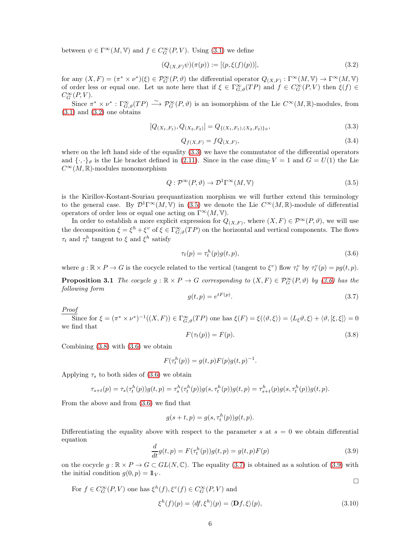between  $\psi \in \Gamma^\infty(M, \mathbb{V})$  and  $f \in C_G^\infty(P, V)$ . Using [\(3.1\)](#page-4-4) we define

<span id="page-5-0"></span>
$$
(Q_{(X,F)}\psi)(\pi(p)) := [(p,\xi(f)(p))],\tag{3.2}
$$

for any  $(X, F) = (\pi^* \times \nu^*)(\xi) \in \mathcal{P}_G^{\infty}(P, \vartheta)$  the differential operator  $Q_{(X, F)} : \Gamma^{\infty}(M, V) \to \Gamma^{\infty}(M, V)$ of order less or equal one. Let us note here that if  $\xi \in \Gamma^{\infty}_{G,\vartheta}(TP)$  and  $f \in C^{\infty}_G(P, V)$  then  $\xi(f) \in C^{\infty}_{G}(\Gamma, V)$  $C_G^{\infty}(P, V)$ .

Since  $\pi^* \times \nu^* : \Gamma_{G,\vartheta}^{\infty}(TP) \longrightarrow \mathcal{P}_G^{\infty}(P,\vartheta)$  is an isomorphism of the Lie  $C^{\infty}(M,\mathbb{R})$ -modules, from  $(3.1)$  and  $(3.2)$  one obtains

<span id="page-5-1"></span>
$$
[Q_{(X_1,F_1)}, Q_{(X_2,F_2)}] = Q_{\{(X_1,F_1),(X_2,F_2)\}\vartheta},\tag{3.3}
$$

<span id="page-5-8"></span>
$$
Q_{f(X,F)} = fQ_{(X,F)},\tag{3.4}
$$

where on the left hand side of the equality [\(3.3\)](#page-5-1) we have the commutator of the differential operators and  $\{\cdot,\cdot\}_\vartheta$  is the Lie bracket defined in [\(2.11\)](#page-4-1). Since in the case dim<sub>C</sub>  $V = 1$  and  $G = U(1)$  the Lie  $C^{\infty}(M,\mathbb{R})$ -modules monomorphism

<span id="page-5-2"></span>
$$
Q: \mathcal{P}^{\infty}(P,\vartheta) \to \mathcal{D}^{1}\Gamma^{\infty}(M,\mathbb{V})
$$
\n(3.5)

is the Kirillov-Kostant-Souriau prequantization morphism we will further extend this terminology to the general case. By  $\mathcal{D}^1\Gamma^\infty(M,\mathbb{V})$  in [\(3.5\)](#page-5-2) we denote the Lie  $C^\infty(M,\mathbb{R})$ -module of differential operators of order less or equal one acting on  $\Gamma^{\infty}(M, V)$ .

In order to establish a more explicit expression for  $Q_{(X,F)}$ , where  $(X, F) \in \mathcal{P}^{\infty}(P, \vartheta)$ , we will use the decomposition  $\xi = \xi^h + \xi^v$  of  $\xi \in \Gamma^\infty_{G,\vartheta}(TP)$  on the horizontal and vertical components. The flows  $\tau_t$  and  $\tau_t^h$  tangent to  $\xi$  and  $\xi^h$  satisfy

<span id="page-5-3"></span>
$$
\tau_t(p) = \tau_t^h(p)g(t, p),\tag{3.6}
$$

where  $g : \mathbb{R} \times P \to G$  is the cocycle related to the vertical (tangent to  $\xi^v$ ) flow  $\tau_t^v$  by  $\tau_t^v(p) = pg(t, p)$ .

**Proposition 3.1** The cocycle  $g : \mathbb{R} \times P \to G$  corresponding to  $(X, F) \in \mathcal{P}_G^{\infty}(P, \vartheta)$  by [\(3.6\)](#page-5-3) has the following form

<span id="page-5-5"></span>
$$
g(t,p) = e^{tF(p)}.\tag{3.7}
$$

Proof

Since for  $\xi = (\pi^* \times \nu^*)^{-1}((X, F)) \in \Gamma_{G, \vartheta}^{\infty}(TP)$  one has  $\xi(F) = \xi(\langle \vartheta, \xi \rangle) = \langle L_{\xi} \vartheta, \xi \rangle + \langle \vartheta, [\xi, \xi] \rangle = 0$ we find that

<span id="page-5-4"></span>
$$
F(\tau_t(p)) = F(p). \tag{3.8}
$$

Combining  $(3.8)$  with  $(3.6)$  we obtain

$$
F(\tau_t^h(p)) = g(t, p)F(p)g(t, p)^{-1}.
$$

Applying  $\tau_s$  to both sides of [\(3.6\)](#page-5-3) we obtain

$$
\tau_{s+t}(p) = \tau_s(\tau_t^h(p))g(t,p) = \tau_s^h(\tau_t^h(p))g(s,\tau_t^h(p))g(t,p) = \tau_{s+t}^h(p)g(s,\tau_t^h(p))g(t,p).
$$

From the above and from [\(3.6\)](#page-5-3) we find that

$$
g(s+t,p) = g(s, \tau_t^h(p))g(t,p).
$$

Differentiating the equality above with respect to the parameter s at  $s = 0$  we obtain differential equation

<span id="page-5-6"></span>
$$
\frac{d}{dt}g(t,p) = F(\tau_t^h(p))g(t,p) = g(t,p)F(p)
$$
\n(3.9)

on the cocycle  $g : \mathbb{R} \times P \to G \subset GL(N, \mathbb{C})$ . The equality [\(3.7\)](#page-5-5) is obtained as a solution of [\(3.9\)](#page-5-6) with the initial condition  $g(0, p) = \mathbb{1}_V$ .

For 
$$
f \in C_G^{\infty}(P, V)
$$
 one has  $\xi^h(f), \xi^v(f) \in C_G^{\infty}(P, V)$  and

<span id="page-5-7"></span>
$$
\xi^{h}(f)(p) = \langle df, \xi^{h} \rangle(p) = \langle \mathbf{D}f, \xi \rangle(p), \tag{3.10}
$$

 $\Box$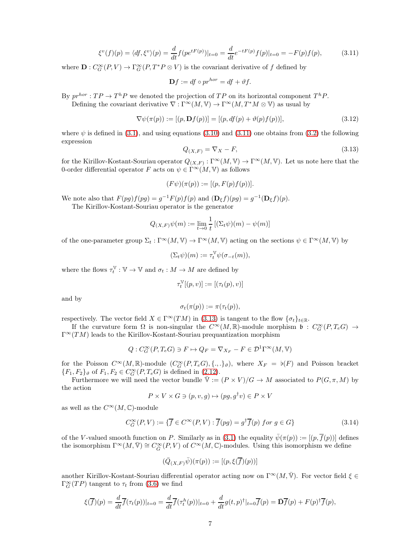<span id="page-6-0"></span>
$$
\xi^{v}(f)(p) = \langle df, \xi^{v} \rangle(p) = \frac{d}{dt} f(pe^{tF(p)})|_{t=0} = \frac{d}{dt} e^{-tF(p)} f(p)|_{t=0} = -F(p)f(p), \tag{3.11}
$$

where  $\mathbf{D}: C_G^{\infty}(P, V) \to \Gamma_G^{\infty}(P, T^*P \otimes V)$  is the covariant derivative of f defined by

$$
\mathbf{D}f := df \circ pr^{hor} = df + \vartheta f.
$$

By  $pr^{hor}: TP \to T^hP$  we denoted the projection of  $TP$  on its horizontal component  $T^hP$ .

Defining the covariant derivative  $\nabla : \Gamma^\infty(M, V) \to \Gamma^\infty(M, T^*M \otimes V)$  as usual by

<span id="page-6-2"></span>
$$
\nabla \psi(\pi(p)) := [(p, \mathbf{D}f(p))] = [(p, df(p) + \vartheta(p)f(p))],
$$
\n(3.12)

where  $\psi$  is defined in [\(3.1\)](#page-4-4), and using equations [\(3.10\)](#page-5-7) and [\(3.11\)](#page-6-0) one obtains from [\(3.2\)](#page-5-0) the following expression

<span id="page-6-1"></span>
$$
Q_{(X,F)} = \nabla_X - F,\tag{3.13}
$$

for the Kirillov-Kostant-Souriau operator  $Q_{(X,F)} : \Gamma^\infty(M, V) \to \Gamma^\infty(M, V)$ . Let us note here that the 0-order differential operator F acts on  $\psi \in \Gamma^\infty(M, V)$  as follows

$$
(F\psi)(\pi(p)) := [(p, F(p)f(p))].
$$

We note also that  $F(pg)f(pg) = g^{-1}F(p)f(p)$  and  $(\mathbf{D}_{\xi}f)(pg) = g^{-1}(\mathbf{D}_{\xi}f)(p)$ .

The Kirillov-Kostant-Souriau operator is the generator

$$
Q_{(X,F)}\psi(m) := \lim_{t \to 0} \frac{1}{t} [(\Sigma_t \psi)(m) - \psi(m)]
$$

of the one-parameter group  $\Sigma_t : \Gamma^\infty(M, \mathbb{V}) \to \Gamma^\infty(M, \mathbb{V})$  acting on the sections  $\psi \in \Gamma^\infty(M, \mathbb{V})$  by

$$
(\Sigma_t \psi)(m) := \tau_t^{\mathbb{V}} \psi(\sigma_{-t}(m)),
$$

where the flows  $\tau_t^{\mathbb{V}}: \mathbb{V} \to \mathbb{V}$  and  $\sigma_t: M \to M$  are defined by

$$
\tau_t^\mathbb{V}[(p,v)]:=[(\tau_t(p),v)]
$$

and by

$$
\sigma_t(\pi(p)) := \pi(\tau_t(p)),
$$

respectively. The vector field  $X \in \Gamma^\infty(TM)$  in [\(3.13\)](#page-6-1) is tangent to the flow  $\{\sigma_t\}_{t\in\mathbb{R}}$ .

If the curvature form  $\Omega$  is non-singular the  $C^{\infty}(M,\mathbb{R})$ -module morphism  $\mathfrak{b}: C^{\infty}_G(P,T_eG) \to$  $\Gamma^{\infty}(TM)$  leads to the Kirillov-Kostant-Souriau prequantization morphism

$$
Q: C_G^{\infty}(P, T_eG) \ni F \mapsto Q_F = \nabla_{X_F} - F \in \mathcal{D}^1\Gamma^\infty(M, \mathbb{V})
$$

for the Poisson  $C^{\infty}(M,\mathbb{R})$ -module  $(C^{\infty}_G(P,T_eG), \{.,.\}_\vartheta)$ , where  $X_F = \flat(F)$  and Poisson bracket  ${F_1, F_2}_\vartheta$  of  $F_1, F_2 \in C_G^\infty(P, T_e G)$  is defined in [\(2.12\)](#page-4-3).

Furthermore we will need the vector bundle  $\overline{\mathbb{V}} := (P \times V)/G \to M$  associated to  $P(G, \pi, M)$  by the action

$$
P \times V \times G \ni (p, v, g) \mapsto (pg, g^{\dagger}v) \in P \times V
$$

as well as the  $C^{\infty}(M, \mathbb{C})$ -module

<span id="page-6-3"></span>
$$
C_G^{\infty}(P,V) := \{ \overline{f} \in C^{\infty}(P,V) : \overline{f}(pg) = g^{\dagger} \overline{f}(p) \text{ for } g \in G \}
$$
\n(3.14)

of the V-valued smooth function on P. Similarly as in [\(3.1\)](#page-4-4) the equality  $\bar{\psi}(\pi(p)) := [p, \bar{f}(p))]$  defines the isomorphism  $\Gamma^{\infty}(M,\overline{V}) \cong C^{\infty}_{\overline{G}}(P,V)$  of  $C^{\infty}(M,\mathbb{C})$ -modules. Using this isomorphism we define

$$
(\bar{Q}_{(X,F)}\bar{\psi})(\pi(p)) := [(p,\xi(\overline{f})(p))]
$$

another Kirillov-Kostant-Souriau differential operator acting now on  $\Gamma^{\infty}(M, \bar{V})$ . For vector field  $\xi \in$  $\Gamma_G^{\infty}(TP)$  tangent to  $\tau_t$  from [\(3.6\)](#page-5-3) we find

$$
\xi(\overline{f})(p) = \frac{d}{dt}\overline{f}(\tau_t(p))|_{t=0} = \frac{d}{dt}\overline{f}(\tau_t^h(p))|_{t=0} + \frac{d}{dt}g(t,p)^{\dagger}|_{t=0}\overline{f}(p) = \overline{\mathbf{D}}\overline{f}(p) + F(p)^{\dagger}\overline{f}(p),
$$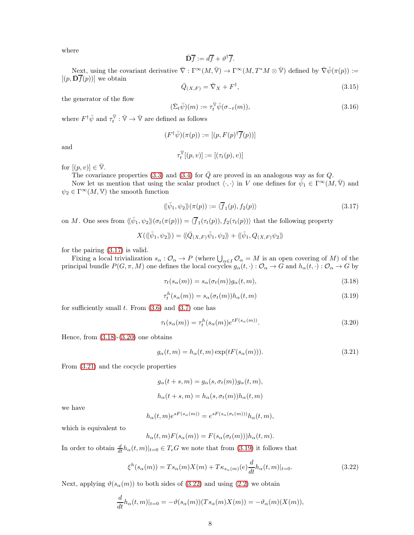where

$$
\bar{\mathbf{D}}\bar{f} := d\bar{f} + \vartheta^{\dagger}\bar{f}.
$$

Next, using the covariant derivative  $\overline{\nabla} : \Gamma^{\infty}(M, \overline{\nabla}) \to \Gamma^{\infty}(M, T^*M \otimes \overline{\nabla})$  defined by  $\overline{\nabla} \overline{\psi}(\pi(p)) :=$  $[(p, \overline{\mathbf{D}}\overline{f}(p))]$  we obtain

<span id="page-7-7"></span>
$$
\bar{Q}_{(X,F)} = \bar{\nabla}_X + F^{\dagger},\tag{3.15}
$$

the generator of the flow

<span id="page-7-6"></span>
$$
(\bar{\Sigma}_t \bar{\psi})(m) := \tau_t^{\bar{\mathbb{V}}}\bar{\psi}(\sigma_{-t}(m)),\tag{3.16}
$$

where  $F^{\dagger} \bar{\psi}$  and  $\tau_t^{\bar{\nabla}} : \bar{\nabla} \to \bar{\nabla}$  are defined as follows

$$
(F^{\dagger} \bar{\psi})(\pi(p)) := [(p, F(p)^{\dagger} \bar{f}(p))]
$$

$$
\tau_t^{\bar{\mathbb{V}}}[(p, v)] := [(\tau_t(p), v)]
$$

and

for  $[(p, v)] \in \overline{\mathbb{V}}$ .

The covariance properties [\(3.3\)](#page-5-1) and [\(3.4\)](#page-5-8) for  $\overline{Q}$  are proved in an analogous way as for Q.

Now let us mention that using the scalar product  $\langle \cdot, \cdot \rangle$  in V one defines for  $\bar{\psi}_1 \in \Gamma^\infty(M, \bar{V})$  and  $\psi_2 \in \Gamma^\infty(M, \mathbb{V})$  the smooth function

<span id="page-7-0"></span>
$$
\langle\!\langle \bar{\psi}_1, \psi_2 \rangle\!\rangle (\pi(p)) := \langle \overline{f}_1(p), f_2(p) \rangle \tag{3.17}
$$

on M. One sees from  $\langle\!\langle \bar{\psi}_1, \psi_2 \rangle\!\rangle \langle \sigma_t(\pi(p))\rangle = \langle \overline{f}_1(\tau_t(p)), f_2(\tau_t(p)) \rangle$  that the following property

$$
X(\langle\!\langle \bar{\psi}_1,\psi_2 \rangle\!\rangle) = \langle\!\langle \bar{Q}_{(X,F)}\bar{\psi}_1,\psi_2 \rangle\!\rangle + \langle\!\langle \bar{\psi}_1,Q_{(X,F)}\psi_2 \rangle\!\rangle
$$

for the pairing [\(3.17\)](#page-7-0) is valid.

Fixing a local trivialization  $s_{\alpha}: \mathcal{O}_{\alpha} \to P$  (where  $\bigcup_{\alpha \in I} \mathcal{O}_{\alpha} = M$  is an open covering of M) of the principal bundle  $P(G, \pi, M)$  one defines the local cocycles  $g_{\alpha}(t, \cdot) : \mathcal{O}_{\alpha} \to G$  and  $h_{\alpha}(t, \cdot) : \mathcal{O}_{\alpha} \to G$  by

<span id="page-7-1"></span>
$$
\tau_t(s_\alpha(m)) = s_\alpha(\sigma_t(m))g_\alpha(t, m), \qquad (3.18)
$$

<span id="page-7-4"></span>
$$
\tau_t^h(s_\alpha(m)) = s_\alpha(\sigma_t(m))h_\alpha(t,m) \tag{3.19}
$$

for sufficiently small  $t$ . From  $(3.6)$  and  $(3.7)$  one has

<span id="page-7-2"></span>
$$
\tau_t(s_\alpha(m)) = \tau_t^h(s_\alpha(m))e^{tF(s_\alpha(m))}.\tag{3.20}
$$

Hence, from  $(3.18)-(3.20)$  $(3.18)-(3.20)$  one obtains

<span id="page-7-3"></span>
$$
g_{\alpha}(t,m) = h_{\alpha}(t,m) \exp(tF(s_{\alpha}(m))). \qquad (3.21)
$$

From [\(3.21\)](#page-7-3) and the cocycle properties

$$
g_{\alpha}(t+s,m) = g_{\alpha}(s, \sigma_t(m))g_{\alpha}(t, m),
$$
  

$$
h_{\alpha}(t+s,m) = h_{\alpha}(s, \sigma_t(m))h_{\alpha}(t, m)
$$

we have

$$
h_{\alpha}(t,m)e^{sF(s_{\alpha}(m))} = e^{sF(s_{\alpha}(\sigma_t(m)))}h_{\alpha}(t,m),
$$

which is equivalent to

$$
h_{\alpha}(t,m)F(s_{\alpha}(m)) = F(s_{\alpha}(\sigma_t(m)))h_{\alpha}(t,m).
$$

In order to obtain  $\frac{d}{dt}h_{\alpha}(t, m)|_{t=0} \in T_eG$  we note that from [\(3.19\)](#page-7-4) it follows that

<span id="page-7-5"></span>
$$
\xi^h(s_\alpha(m)) = Ts_\alpha(m)X(m) + T\kappa_{s_\alpha(m)}(e)\frac{d}{dt}h_\alpha(t,m)|_{t=0}.\tag{3.22}
$$

Next, applying  $\vartheta(s_\alpha(m))$  to both sides of [\(3.22\)](#page-7-5) and using [\(2.2\)](#page-2-4) we obtain

$$
\frac{d}{dt}h_{\alpha}(t,m)|_{t=0} = -\vartheta(s_{\alpha}(m))(Ts_{\alpha}(m)X(m)) = -\vartheta_{\alpha}(m)(X(m)),
$$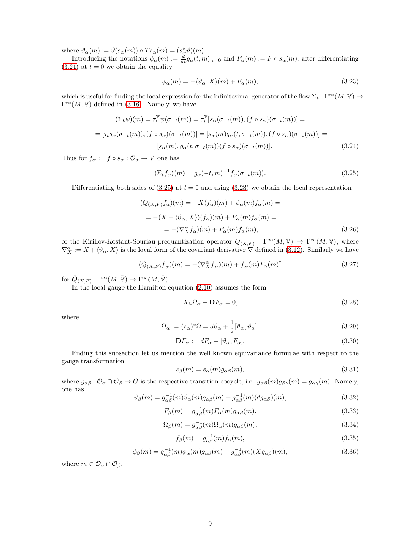where  $\vartheta_{\alpha}(m) := \vartheta(s_{\alpha}(m)) \circ Ts_{\alpha}(m) = (s_{\alpha}^*\vartheta)(m).$ 

Introducing the notations  $\phi_\alpha(m) := \frac{d}{dt} g_\alpha(t, m)|_{t=0}$  and  $F_\alpha(m) := F \circ s_\alpha(m)$ , after differentiating  $(3.21)$  at  $t = 0$  we obtain the equality

<span id="page-8-1"></span>
$$
\phi_{\alpha}(m) = -\langle \vartheta_{\alpha}, X \rangle(m) + F_{\alpha}(m), \tag{3.23}
$$

which is useful for finding the local expression for the infinitesimal generator of the flow  $\Sigma_t : \Gamma^\infty(M, \mathbb{V}) \to$  $\Gamma^{\infty}(M, V)$  defined in [\(3.16\)](#page-7-6). Namely, we have

$$
(\Sigma_t \psi)(m) = \tau_t^{\mathbb{V}} \psi(\sigma_{-t}(m)) = \tau_t^{\mathbb{V}} [s_\alpha(\sigma_{-t}(m)), (f \circ s_\alpha)(\sigma_{-t}(m))] =
$$
  

$$
= [\tau_t s_\alpha(\sigma_{-t}(m)), (f \circ s_\alpha)(\sigma_{-t}(m))] = [s_\alpha(m)g_\alpha(t, \sigma_{-t}(m)), (f \circ s_\alpha)(\sigma_{-t}(m))] =
$$
  

$$
= [s_\alpha(m), g_\alpha(t, \sigma_{-t}(m))(f \circ s_\alpha)(\sigma_{-t}(m))].
$$
 (3.24)

Thus for  $f_{\alpha} := f \circ s_{\alpha} : \mathcal{O}_{\alpha} \to V$  one has

<span id="page-8-0"></span>
$$
(\Sigma_t f_\alpha)(m) = g_\alpha(-t, m)^{-1} f_\alpha(\sigma_{-t}(m)).
$$
\n(3.25)

Differentiating both sides of  $(3.25)$  at  $t = 0$  and using  $(3.23)$  we obtain the local representation

<span id="page-8-2"></span>
$$
(Q_{(X,F)}f_{\alpha})(m) = -X(f_{\alpha})(m) + \phi_{\alpha}(m)f_{\alpha}(m) =
$$
  

$$
= -(X + \langle \vartheta_{\alpha}, X \rangle)(f_{\alpha})(m) + F_{\alpha}(m)f_{\alpha}(m) =
$$
  

$$
= -(\nabla_X^{\alpha} f_{\alpha})(m) + F_{\alpha}(m)f_{\alpha}(m), \qquad (3.26)
$$

of the Kirillov-Kostant-Souriau prequantization operator  $Q_{(X,F)} : \Gamma^{\infty}(M, V) \to \Gamma^{\infty}(M, V)$ , where  $\nabla_X^{\alpha} := X + \langle \vartheta_{\alpha}, X \rangle$  is the local form of the covariant derivative  $\nabla$  defined in [\(3.12\)](#page-6-2). Similarly we have

<span id="page-8-3"></span>
$$
(\bar{Q}_{(X,F)}\bar{f}_{\alpha})(m) = -(\nabla^{\alpha}_X \bar{f}_{\alpha})(m) + \bar{f}_{\alpha}(m)F_{\alpha}(m)^{\dagger}
$$
\n(3.27)

for  $\overline{Q}_{(X,F)} : \Gamma^{\infty}(M, \overline{V}) \to \Gamma^{\infty}(M, \overline{V}).$ 

In the local gauge the Hamilton equation [\(2.10\)](#page-3-0) assumes the form

<span id="page-8-4"></span>
$$
X \llcorner \Omega_{\alpha} + \mathbf{D} F_{\alpha} = 0,\tag{3.28}
$$

where

<span id="page-8-5"></span>
$$
\Omega_{\alpha} := (s_{\alpha})^* \Omega = d\vartheta_{\alpha} + \frac{1}{2} [\vartheta_{\alpha}, \vartheta_{\alpha}], \qquad (3.29)
$$

<span id="page-8-6"></span>
$$
\mathbf{D}F_{\alpha} := dF_{\alpha} + [\vartheta_{\alpha}, F_{\alpha}].\tag{3.30}
$$

Ending this subsection let us mention the well known equivariance formulae with respect to the gauge transformation

<span id="page-8-7"></span>
$$
s_{\beta}(m) = s_{\alpha}(m)g_{\alpha\beta}(m),\tag{3.31}
$$

where  $g_{\alpha\beta}$ :  $\mathcal{O}_{\alpha} \cap \mathcal{O}_{\beta} \to G$  is the respective transition cocycle, i.e.  $g_{\alpha\beta}(m)g_{\beta\gamma}(m) = g_{\alpha\gamma}(m)$ . Namely, one has

$$
\vartheta_{\beta}(m) = g_{\alpha\beta}^{-1}(m)\vartheta_{\alpha}(m)g_{\alpha\beta}(m) + g_{\alpha\beta}^{-1}(m)(dg_{\alpha\beta})(m),
$$
\n(3.32)

$$
F_{\beta}(m) = g_{\alpha\beta}^{-1}(m) F_{\alpha}(m) g_{\alpha\beta}(m), \qquad (3.33)
$$

$$
\Omega_{\beta}(m) = g_{\alpha\beta}^{-1}(m)\Omega_{\alpha}(m)g_{\alpha\beta}(m),\tag{3.34}
$$

$$
f_{\beta}(m) = g_{\alpha\beta}^{-1}(m) f_{\alpha}(m), \qquad (3.35)
$$

<span id="page-8-8"></span>
$$
\phi_{\beta}(m) = g_{\alpha\beta}^{-1}(m)\phi_{\alpha}(m)g_{\alpha\beta}(m) - g_{\alpha\beta}^{-1}(m)(Xg_{\alpha\beta})(m), \qquad (3.36)
$$

where  $m \in \mathcal{O}_\alpha \cap \mathcal{O}_\beta$ .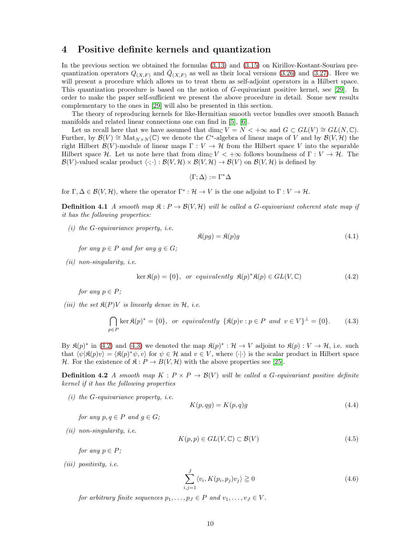### <span id="page-9-0"></span>4 Positive definite kernels and quantization

In the previous section we obtained the formulas [\(3.13\)](#page-6-1) and [\(3.15\)](#page-7-7) on Kirillov-Kostant-Souriau prequantization operators  $Q_{(X,F)}$  and  $\bar{Q}_{(X,F)}$  as well as their local versions [\(3.26\)](#page-8-2) and [\(3.27\)](#page-8-3). Here we will present a procedure which allows us to treat them as self-adjoint operators in a Hilbert space. This quantization procedure is based on the notion of G-equivariant positive kernel, see [\[29\]](#page-35-2). In order to make the paper self-sufficient we present the above procedure in detail. Some new results complementary to the ones in [\[29\]](#page-35-2) will also be presented in this section.

The theory of reproducing kernels for like-Hermitian smooth vector bundles over smooth Banach manifolds and related linear connections one can find in [\[5\]](#page-34-3), [\[6\]](#page-34-4).

Let us recall here that we have assumed that dim<sub>C</sub>  $V = N < +\infty$  and  $G \subset GL(V) \cong GL(N, \mathbb{C})$ . Further, by  $\mathcal{B}(V) \cong \text{Mat}_{N \times N}(\mathbb{C})$  we denote the C<sup>\*</sup>-algebra of linear maps of V and by  $\mathcal{B}(V, \mathcal{H})$  the right Hilbert  $\mathcal{B}(V)$ -module of linear maps  $\Gamma: V \to \mathcal{H}$  from the Hilbert space V into the separable Hilbert space H. Let us note here that from dim<sub>C</sub>  $V < +\infty$  follows boundness of  $\Gamma : V \to H$ . The  $\mathcal{B}(V)$ -valued scalar product  $\langle \cdot; \cdot \rangle : \mathcal{B}(V, \mathcal{H}) \times \mathcal{B}(V, \mathcal{H}) \to \mathcal{B}(V)$  on  $\mathcal{B}(V, \mathcal{H})$  is defined by

 $\langle \Gamma : \Delta \rangle := \Gamma^* \Delta$ 

<span id="page-9-6"></span>for  $\Gamma, \Delta \in \mathcal{B}(V, \mathcal{H})$ , where the operator  $\Gamma^* : \mathcal{H} \to V$  is the one adjoint to  $\Gamma : V \to \mathcal{H}$ .

**Definition 4.1** A smooth map  $\mathfrak{K}: P \to \mathcal{B}(V, \mathcal{H})$  will be called a G-equivariant coherent state map if it has the following properties:

 $(i)$  the G-equivariance property, *i.e.* 

<span id="page-9-5"></span>
$$
\mathfrak{K}(pg) = \mathfrak{K}(p)g\tag{4.1}
$$

for any  $p \in P$  and for any  $q \in G$ ;

(ii) non-singularity, i.e.

<span id="page-9-1"></span>
$$
\ker \mathfrak{K}(p) = \{0\}, \text{ or equivalently } \mathfrak{K}(p)^{*}\mathfrak{K}(p) \in GL(V, \mathbb{C})
$$
\n
$$
(4.2)
$$

for any  $p \in P$ ;

(iii) the set  $\mathfrak{K}(P)V$  is linearly dense in  $\mathcal{H}$ , i.e.

<span id="page-9-2"></span>
$$
\bigcap_{p \in P} \ker \mathfrak{K}(p)^* = \{0\}, \text{ or equivalently } \{\mathfrak{K}(p)v : p \in P \text{ and } v \in V\}^\perp = \{0\}. \tag{4.3}
$$

By  $\mathfrak{K}(p)^*$  in [\(4.2\)](#page-9-1) and [\(4.3\)](#page-9-2) we denoted the map  $\mathfrak{K}(p)^* : \mathcal{H} \to V$  adjoint to  $\mathfrak{K}(p) : V \to \mathcal{H}$ , i.e. such that  $\langle \psi | \mathfrak{K}(p)v \rangle = \langle \mathfrak{K}(p)^* \psi, v \rangle$  for  $\psi \in \mathcal{H}$  and  $v \in V$ , where  $\langle \cdot | \cdot \rangle$  is the scalar product in Hilbert space H. For the existence of  $\mathfrak{K}: P \to B(V, \mathcal{H})$  with the above properties see [\[25\]](#page-35-6).

**Definition 4.2** A smooth map  $K : P \times P \rightarrow \mathcal{B}(V)$  will be called a G-equivariant positive definite kernel if it has the following properties

 $(i)$  the G-equivariance property, i.e.

<span id="page-9-4"></span>
$$
K(p,qg) = K(p,q)g\tag{4.4}
$$

for any  $p, q \in P$  and  $g \in G$ ;

(ii) non-singularity, i.e.

$$
K(p, p) \in GL(V, \mathbb{C}) \subset \mathcal{B}(V) \tag{4.5}
$$

for any  $p \in P$ ;

(iii) positivity, i.e.

<span id="page-9-3"></span>
$$
\sum_{i,j=1}^{J} \langle v_i, K(p_i, p_j) v_j \rangle \geq 0
$$
\n(4.6)

for arbitrary finite sequences  $p_1, \ldots, p_J \in P$  and  $v_1, \ldots, v_J \in V$ .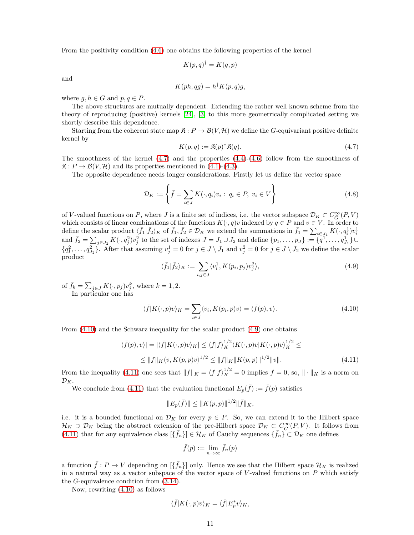From the positivity condition [\(4.6\)](#page-9-3) one obtains the following properties of the kernel

$$
K(p,q)^{\dagger} = K(q,p)
$$

and

$$
K(ph,qg) = h^{\dagger} K(p,q)g,
$$

where  $q, h \in G$  and  $p, q \in P$ .

The above structures are mutually dependent. Extending the rather well known scheme from the theory of reproducing (positive) kernels [\[24\]](#page-35-4), [\[3\]](#page-34-7) to this more geometrically complicated setting we shortly describe this dependence.

Starting from the coherent state map  $\mathfrak{K}: P \to \mathcal{B}(V, \mathcal{H})$  we define the G-equivariant positive definite kernel by

<span id="page-10-0"></span>
$$
K(p,q) := \mathfrak{K}(p)^* \mathfrak{K}(q). \tag{4.7}
$$

The smoothness of the kernel  $(4.7)$  and the properties  $(4.4)-(4.6)$  $(4.4)-(4.6)$  follow from the smoothness of  $\mathfrak{K}: P \to \mathcal{B}(V, \mathcal{H})$  and its properties mentioned in [\(4.1\)](#page-9-5)-[\(4.3\)](#page-9-2).

The opposite dependence needs longer considerations. Firstly let us define the vector space

<span id="page-10-4"></span>
$$
\mathcal{D}_K := \left\{ \bar{f} = \sum_{i \in J} K(\cdot, q_i) v_i : \ q_i \in P, \ v_i \in V \right\}
$$
\n(4.8)

of V-valued functions on P, where J is a finite set of indices, i.e. the vector subspace  $\mathcal{D}_K \subset C^{\infty}_{\overline{G}}(P, V)$ which consists of linear combinations of the functions  $K(\cdot, q)v$  indexed by  $q \in P$  and  $v \in V$ . In order to define the scalar product  $\langle \bar{f}_1 | \bar{f}_2 \rangle_K$  of  $\bar{f}_1, \bar{f}_2 \in \mathcal{D}_K$  we extend the summations in  $\bar{f}_1 = \sum_{i \in J_1} K(\cdot, q_i^1) v_i^1$ and  $\bar{f}_2 = \sum_{j \in J_2} K(\cdot, q_j^2) v_j^2$  to the set of indexes  $J = J_1 \cup J_2$  and define  $\{p_1, \ldots, p_J\} := \{q_1^1, \ldots, q_{J_1}^1\} \cup$  ${q_1^2, \ldots, q_{J_2}^2}$ . After that assuming  $v_j^1 = 0$  for  $j \in J \setminus J_1$  and  $v_j^2 = 0$  for  $j \in J \setminus J_2$  we define the scalar product

<span id="page-10-2"></span>
$$
\langle \bar{f}_1 | \bar{f}_2 \rangle_K := \sum_{i,j \in J} \langle v_i^1, K(p_i, p_j) v_j^2 \rangle, \tag{4.9}
$$

of  $\bar{f}_k = \sum_{j \in J} K(\cdot, p_j) v_j^k$ , where  $k = 1, 2$ .

In particular one has

<span id="page-10-1"></span>
$$
\langle \bar{f}|K(\cdot,p)v\rangle_K = \sum_{i\in J} \langle v_i, K(p_i,p)v\rangle = \langle \bar{f}(p), v\rangle. \tag{4.10}
$$

From [\(4.10\)](#page-10-1) and the Schwarz inequality for the scalar product [\(4.9\)](#page-10-2) one obtains

<span id="page-10-3"></span>
$$
|\langle \bar{f}(p), v \rangle| = |\langle \bar{f}| K(\cdot, p)v \rangle_K| \le \langle \bar{f} | \bar{f} \rangle_K^{1/2} \langle K(\cdot, p)v | K(\cdot, p)v \rangle_K^{1/2} \le
$$
  

$$
\le \|f\|_K \langle v, K(p, p)v \rangle^{1/2} \le \|f\|_K \|K(p, p)\|^{1/2} \|v\|.
$$
 (4.11)

From the inequality [\(4.11\)](#page-10-3) one sees that  $||f||_K = \langle f|f\rangle_K^{1/2} = 0$  implies  $f = 0$ , so,  $||\cdot||_K$  is a norm on  $\mathcal{D}_K$ .

We conclude from [\(4.11\)](#page-10-3) that the evaluation functional  $E_p(\bar{f}) := \bar{f}(p)$  satisfies

$$
||E_p(\bar{f})|| \leq ||K(p,p)||^{1/2}||\bar{f}||_K,
$$

i.e. it is a bounded functional on  $\mathcal{D}_K$  for every  $p \in P$ . So, we can extend it to the Hilbert space  $\mathcal{H}_K \supset \mathcal{D}_K$  being the abstract extension of the pre-Hilbert space  $\mathcal{D}_K \subset C_{\overline{G}}^{\infty}(P, V)$ . It follows from [\(4.11\)](#page-10-3) that for any equivalence class  $\{\bar{f}_n\} \in \mathcal{H}_K$  of Cauchy sequences  $\{\bar{f}_n\} \subset \mathcal{D}_K$  one defines

$$
\bar{f}(p) := \lim_{n \to \infty} \bar{f}_n(p)
$$

a function  $\bar{f}: P \to V$  depending on  $[\{\bar{f}_n\}]$  only. Hence we see that the Hilbert space  $\mathcal{H}_K$  is realized in a natural way as a vector subspace of the vector space of  $V$ -valued functions on  $P$  which satisfy the G-equivalence condition from [\(3.14\)](#page-6-3).

Now, rewriting [\(4.10\)](#page-10-1) as follows

$$
\langle \bar{f} | K(\cdot, p)v \rangle_K = \langle \bar{f} | E_p^* v \rangle_K,
$$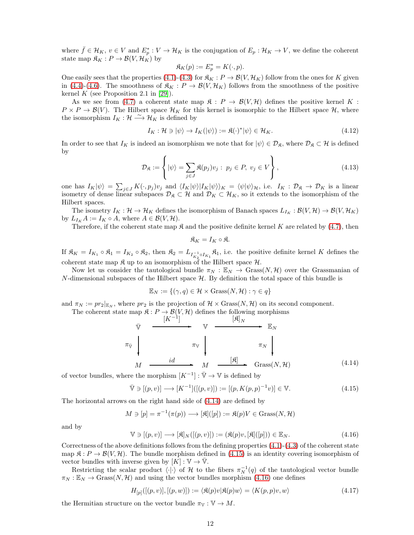where  $\bar{f} \in \mathcal{H}_K$ ,  $v \in V$  and  $E_p^* : V \to \mathcal{H}_K$  is the conjugation of  $E_p : \mathcal{H}_K \to V$ , we define the coherent state map  $\mathfrak{K}_K : P \to \mathcal{B}(V, \mathcal{H}_K)$  by

$$
\mathfrak{K}_K(p):=E_p^*=K(\cdot,p).
$$

One easily sees that the properties [\(4.1\)](#page-9-5)-[\(4.3\)](#page-9-2) for  $\mathfrak{K}_K : P \to \mathcal{B}(V, \mathcal{H}_K)$  follow from the ones for K given in [\(4.4\)](#page-9-4)-[\(4.6\)](#page-9-3). The smoothness of  $\mathfrak{K}_K : P \to \mathcal{B}(V, \mathcal{H}_K)$  follows from the smoothness of the positive kernel K (see Proposition 2.1 in [\[29\]](#page-35-2)).

As we see from [\(4.7\)](#page-10-0) a coherent state map  $\mathfrak{K}: P \to \mathcal{B}(V, \mathcal{H})$  defines the positive kernel K:  $P \times P \to \mathcal{B}(V)$ . The Hilbert space  $\mathcal{H}_K$  for this kernel is isomorphic to the Hilbert space  $\mathcal{H}$ , where the isomorphism  $I_K : \mathcal{H} \longrightarrow \mathcal{H}_K$  is defined by

<span id="page-11-5"></span>
$$
I_K: \mathcal{H} \ni |\psi\rangle \to I_K(|\psi\rangle) := \mathfrak{K}(\cdot)^* |\psi\rangle \in \mathcal{H}_K. \tag{4.12}
$$

In order to see that  $I_K$  is indeed an isomorphism we note that for  $|\psi\rangle \in \mathcal{D}_{\mathfrak{K}}$ , where  $\mathcal{D}_{\mathfrak{K}} \subset \mathcal{H}$  is defined by

<span id="page-11-4"></span>
$$
\mathcal{D}_{\mathfrak{K}} := \left\{ |\psi\rangle = \sum_{j \in J} \mathfrak{K}(p_j) v_j : \ p_j \in P, \ v_j \in V \right\},\tag{4.13}
$$

one has  $I_K|\psi\rangle = \sum_{j\in J} K(\cdot, p_j)v_j$  and  $\langle I_K|\psi\rangle |I_K|\psi\rangle\rangle_K = \langle \psi|\psi\rangle_H$ , i.e.  $I_K: \mathcal{D}_\mathfrak{K} \to \mathcal{D}_K$  is a linear isometry of dense linear subspaces  $\mathcal{D}_{\mathfrak{K}} \subset \mathcal{H}$  and  $\mathcal{D}_K \subset \mathcal{H}_K$ , so it extends to the isomorphism of the Hilbert spaces.

The isometry  $I_K: \mathcal{H} \to \mathcal{H}_K$  defines the isomorphism of Banach spaces  $L_{I_K}: \mathcal{B}(V, \mathcal{H}) \to \mathcal{B}(V, \mathcal{H}_K)$ by  $L_{I_K} A := I_K \circ A$ , where  $A \in \mathcal{B}(V, \mathcal{H})$ .

Therefore, if the coherent state map  $\mathfrak{K}$  and the positive definite kernel K are related by [\(4.7\)](#page-10-0), then

$$
\mathfrak{K}_K=I_K\circ\mathfrak{K}.
$$

If  $\mathfrak{K}_K = I_{K_1} \circ \mathfrak{K}_1 = I_{K_2} \circ \mathfrak{K}_2$ , then  $\mathfrak{K}_2 = L_{I_{K_2}^{-1} \circ I_{K_1}} \mathfrak{K}_1$ , i.e. the positive definite kernel K defines the coherent state map  $\mathfrak K$  up to an isomorphism of the Hilbert space  $\mathcal H$ .

Now let us consider the tautological bundle  $\pi_N : \mathbb{E}_N \to \text{Grass}(N, \mathcal{H})$  over the Grassmanian of  $N$ -dimensional subspaces of the Hilbert space  $H$ . By definition the total space of this bundle is

$$
\mathbb{E}_N := \{ (\gamma, q) \in \mathcal{H} \times \text{Grass}(N, \mathcal{H}) : \gamma \in q \}
$$

and  $\pi_N := pr_2|_{\mathbb{E}_N}$ , where  $pr_2$  is the projection of  $\mathcal{H} \times \text{Grass}(N, \mathcal{H})$  on its second component.

The coherent state map  $\mathfrak{K}: P \to \mathcal{B}(V, \mathcal{H})$  defines the following morphisms

$$
\overline{\mathbf{v}} \xrightarrow{\qquad [K^{-1}] \qquad} \mathbf{v} \xrightarrow{\qquad [\mathfrak{K}]_N \qquad} \mathbb{E}_N
$$
\n
$$
\pi_{\overline{\mathbf{v}}} \qquad \qquad \pi_{\mathbf{v}} \qquad \qquad \pi_{\mathbf{v}} \qquad \qquad \pi_{\mathbf{v}} \qquad \qquad \pi_{\mathbf{v}} \qquad \qquad \pi_{\mathbf{v}} \qquad \qquad \pi_{\mathbf{v}} \qquad \qquad \pi_{\mathbf{v}} \qquad \qquad \pi_{\mathbf{v}} \qquad \qquad \pi_{\mathbf{v}} \qquad \qquad \pi_{\mathbf{v}} \qquad \qquad \pi_{\mathbf{v}} \qquad \qquad \pi_{\mathbf{v}} \qquad \qquad \pi_{\mathbf{v}} \qquad \qquad \pi_{\mathbf{v}} \qquad \qquad \pi_{\mathbf{v}} \qquad \qquad \pi_{\mathbf{v}} \qquad \qquad \pi_{\mathbf{v}} \qquad \qquad \pi_{\mathbf{v}} \qquad \qquad \pi_{\mathbf{v}} \qquad \qquad \pi_{\mathbf{v}} \qquad \qquad \pi_{\mathbf{v}} \qquad \qquad \pi_{\mathbf{v}} \qquad \qquad \pi_{\mathbf{v}} \qquad \qquad \pi_{\mathbf{v}} \qquad \qquad \pi_{\mathbf{v}} \qquad \qquad \pi_{\mathbf{v}} \qquad \qquad \pi_{\mathbf{v}} \qquad \qquad \pi_{\mathbf{v}} \qquad \qquad \pi_{\mathbf{v}} \qquad \qquad \pi_{\mathbf{v}} \qquad \qquad \pi_{\mathbf{v}} \qquad \qquad \pi_{\mathbf{v}} \qquad \qquad \pi_{\mathbf{v}} \qquad \qquad \pi_{\mathbf{v}} \qquad \qquad \pi_{\mathbf{v}} \qquad \qquad \pi_{\mathbf{v}} \qquad \qquad \pi_{\mathbf{v}} \qquad \qquad \pi_{\mathbf{v}} \qquad \qquad \pi_{\mathbf{v}} \qquad \qquad \pi_{\mathbf{v}} \qquad \qquad \pi_{\mathbf{v}} \qquad \qquad \pi_{\mathbf{v}} \qquad \qquad \pi_{\mathbf{v}} \qquad \qquad \pi_{\mathbf{v}} \qquad \qquad \pi_{\mathbf{v}} \qquad \qquad \pi
$$

of vector bundles, where the morphism  $[K^{-1}] : \bar{\mathbb{V}} \to \mathbb{V}$  is defined by

<span id="page-11-1"></span><span id="page-11-0"></span>
$$
\bar{\mathbb{V}} \ni [(p, v)] \longrightarrow [K^{-1}]([p, v)]) := [(p, K(p, p)^{-1}v)] \in \mathbb{V}.
$$
\n(4.15)

The horizontal arrows on the right hand side of [\(4.14\)](#page-11-0) are defined by

$$
M \ni [p] = \pi^{-1}(\pi(p)) \longrightarrow [\mathfrak{K}]([p]) := \mathfrak{K}(p)V \in \text{Grass}(N, \mathcal{H})
$$

and by

<span id="page-11-2"></span>
$$
\mathbb{V} \ni [(p, v)] \longrightarrow [\mathfrak{K}]_N([p, v)]) := (\mathfrak{K}(p)v, [\mathfrak{K}](p])) \in \mathbb{E}_N. \tag{4.16}
$$

Correctness of the above definitions follows from the defining properties  $(4.1)-(4.3)$  $(4.1)-(4.3)$  of the coherent state map  $\mathfrak{K}: P \to \mathcal{B}(V, \mathcal{H})$ . The bundle morphism defined in [\(4.15\)](#page-11-1) is an identity covering isomorphism of vector bundles with inverse given by  $[K] : \mathbb{V} \to \overline{\mathbb{V}}$ .

Restricting the scalar product  $\langle \cdot | \cdot \rangle$  of H to the fibers  $\pi_N^{-1}(q)$  of the tautological vector bundle  $\pi_N : \mathbb{E}_N \to \text{Grass}(N, \mathcal{H})$  and using the vector bundles morphism [\(4.16\)](#page-11-2) one defines

<span id="page-11-3"></span>
$$
H_{[p]}([(p,v)],[(p,w)]) := \langle \mathfrak{K}(p)v | \mathfrak{K}(p)w \rangle = \langle K(p,p)v, w \rangle \tag{4.17}
$$

the Hermitian structure on the vector bundle  $\pi_{\mathbb{V}} : \mathbb{V} \to M$ .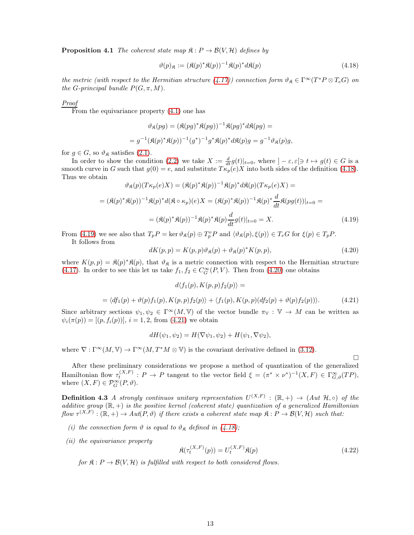**Proposition 4.1** The coherent state map  $\mathfrak{K}: P \to \mathcal{B}(V, \mathcal{H})$  defines by

<span id="page-12-0"></span>
$$
\vartheta(p)_{\mathfrak{K}} := (\mathfrak{K}(p)^* \mathfrak{K}(p))^{-1} \mathfrak{K}(p)^* d\mathfrak{K}(p) \tag{4.18}
$$

the metric (with respect to the Hermitian structure [\(4.17\)](#page-11-3)) connection form  $\vartheta_{\mathfrak{K}} \in \Gamma^{\infty}(T^*P \otimes T_eG)$  on the G-principal bundle  $P(G, \pi, M)$ .

#### Proof

From the equivariance property  $(4.1)$  one has

$$
\vartheta_{\mathfrak{K}}(pg) = (\mathfrak{K}(pg)^* \mathfrak{K}(pg))^{-1} \mathfrak{K}(pg)^* d\mathfrak{K}(pg) =
$$
  
= 
$$
g^{-1} (\mathfrak{K}(p)^* \mathfrak{K}(p))^{-1} (g^*)^{-1} g^* \mathfrak{K}(p)^* d\mathfrak{K}(p)g = g^{-1} \vartheta_{\mathfrak{K}}(p)g,
$$

for  $g \in G$ , so  $\vartheta_{\mathfrak{K}}$  satisfies [\(2.1\)](#page-2-3).

In order to show the condition [\(2.2\)](#page-2-4) we take  $X := \frac{d}{dt} g(t)|_{t=0}$ , where  $]-\varepsilon, \varepsilon [ \ni t \mapsto g(t) \in G$  is a smooth curve in G such that  $g(0) = e$ , and substitute  $T \kappa_p(e) X$  into both sides of the definition [\(4.18\)](#page-12-0). Thus we obtain

$$
\vartheta_{\mathfrak{K}}(p)(T\kappa_p(e)X) = (\mathfrak{K}(p)^*\mathfrak{K}(p))^{-1}\mathfrak{K}(p)^*d\mathfrak{K}(p)(T\kappa_p(e)X) =
$$
  

$$
= (\mathfrak{K}(p)^*\mathfrak{K}(p))^{-1}\mathfrak{K}(p)^*d(\mathfrak{K}\circ\kappa_p)(e)X = (\mathfrak{K}(p)^*\mathfrak{K}(p))^{-1}\mathfrak{K}(p)^*\frac{d}{dt}\mathfrak{K}(pg(t))|_{t=0} =
$$
  

$$
= (\mathfrak{K}(p)^*\mathfrak{K}(p))^{-1}\mathfrak{K}(p)^*\mathfrak{K}(p)\frac{d}{dt}g(t)|_{t=0} = X.
$$
 (4.19)

From [\(4.19\)](#page-12-1) we see also that  $T_p P = \ker \vartheta_{\mathfrak{K}}(p) \oplus T_p^v P$  and  $\langle \vartheta_{\mathfrak{K}}(p), \xi(p) \rangle \in T_e G$  for  $\xi(p) \in T_p P$ .

It follows from

<span id="page-12-2"></span><span id="page-12-1"></span>
$$
dK(p,p) = K(p,p)\vartheta_{\mathfrak{K}}(p) + \vartheta_{\mathfrak{K}}(p)^*K(p,p),\tag{4.20}
$$

where  $K(p, p) = \mathfrak{K}(p)^* \mathfrak{K}(p)$ , that  $\vartheta_{\mathfrak{K}}$  is a metric connection with respect to the Hermitian structure [\(4.17\)](#page-11-3). In order to see this let us take  $f_1, f_2 \in C_G^{\infty}(P, V)$ . Then from [\(4.20\)](#page-12-2) one obtains

<span id="page-12-3"></span>
$$
d\langle f_1(p), K(p, p) f_2(p) \rangle =
$$
  
=  $\langle df_1(p) + \vartheta(p) f_1(p), K(p, p) f_2(p) \rangle + \langle f_1(p), K(p, p) (df_2(p) + \vartheta(p) f_2(p)) \rangle.$  (4.21)

Since arbitrary sections  $\psi_1, \psi_2 \in \Gamma^\infty(M, V)$  of the vector bundle  $\pi_V : V \to M$  can be written as  $\psi_i(\pi(p)) = [(p, f_i(p))], i = 1, 2, \text{ from } (4.21) \text{ we obtain}$  $\psi_i(\pi(p)) = [(p, f_i(p))], i = 1, 2, \text{ from } (4.21) \text{ we obtain}$  $\psi_i(\pi(p)) = [(p, f_i(p))], i = 1, 2, \text{ from } (4.21) \text{ we obtain}$ 

$$
dH(\psi_1, \psi_2) = H(\nabla \psi_1, \psi_2) + H(\psi_1, \nabla \psi_2),
$$

where  $\nabla : \Gamma^{\infty}(M, V) \to \Gamma^{\infty}(M, T^{*}M \otimes V)$  is the covariant derivative defined in [\(3.12\)](#page-6-2).

After these preliminary considerations we propose a method of quantization of the generalized Hamiltonian flow  $\tau_t^{(X,F)}$ :  $P \to P$  tangent to the vector field  $\xi = (\pi^* \times \nu^*)^{-1}(X,F) \in \Gamma_{G,\vartheta}^{\infty}(TP)$ , where  $(X, F) \in \mathcal{P}_G^{\infty}(P, \vartheta)$ .

<span id="page-12-5"></span>**Definition 4.3** A strongly continuos unitary representation  $U^{(X,F)}$  :  $(\mathbb{R},+) \to (Aut \; \mathcal{H},\circ)$  of the additive group  $(\mathbb{R}, +)$  is the positive kernel (coherent state) quantization of a generalized Hamiltonian  $flow \tau^{(X,F)} : (\mathbb{R},+) \to Aut(P,\vartheta)$  if there exists a coherent state map  $\mathfrak{K} : P \to \mathcal{B}(V,\mathcal{H})$  such that:

- (i) the connection form  $\vartheta$  is equal to  $\vartheta_{\mathfrak{K}}$  defined in [\(4.18\)](#page-12-0);
- (ii) the equivariance property

<span id="page-12-4"></span>
$$
\mathfrak{K}(\tau_t^{(X,F)}(p)) = U_t^{(X,F)}\mathfrak{K}(p)
$$
\n(4.22)

 $\Box$ 

for  $\mathfrak{K}: P \to \mathcal{B}(V, \mathcal{H})$  is fulfilled with respect to both considered flows.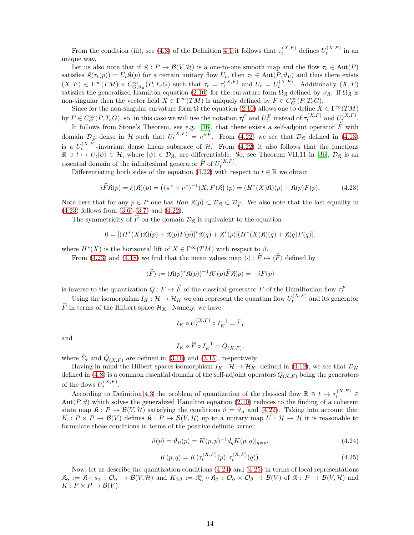From the condition (iii), see [\(4.3\)](#page-9-2) of the Definition [4.1](#page-9-6) it follows that  $\tau_t^{(X,F)}$  defines  $U_t^{(X,F)}$  in an unique way.

Let us also note that if  $\mathfrak{K}: P \to \mathcal{B}(V, \mathcal{H})$  is a one-to-one smooth map and the flow  $\tau_t \in \text{Aut}(P)$ satisfies  $\mathfrak{K}(\tau_t(p)) = U_t\mathfrak{K}(p)$  for a certain unitary flow  $U_t$ , then  $\tau_t \in \mathrm{Aut}(P, \vartheta_{\mathfrak{K}})$  and thus there exists  $(X, F) \in \Gamma^{\infty}(TM) \times C^{\infty}_{G,\vartheta_{\mathfrak{K}}}(P, T_eG)$  such that  $\tau_t = \tau_t^{(X,F)}$  and  $U_t = U_t^{(X,F)}$ . Additionally  $(X, F)$ satisfies the generalized Hamilton equation [\(2.10\)](#page-3-0) for the curvature form  $\Omega_{\mathfrak{K}}$  defined by  $\vartheta_{\mathfrak{K}}$ . If  $\Omega_{\mathfrak{K}}$  is non-singular then the vector field  $X \in \Gamma^\infty(TM)$  is uniquely defined by  $F \in C_G^\infty(P, T_e G)$ .

Since for the non-singular curvature form  $\Omega$  the equation [\(2.10\)](#page-3-0) allows one to define  $X \in \Gamma^\infty(TM)$ by  $F \in C_G^{\infty}(P, T_e G)$ , so, in this case we will use the notation  $\tau_t^F$  and  $U_t^F$  instead of  $\tau_t^{(X,F)}$  and  $U_t^{(X,F)}$ .

It follows from Stone's Theorem, see e.g. [\[36\]](#page-35-7), that there exists a self-adjoint operator  $\hat{F}$  with domain  $\mathcal{D}_{\widehat{F}}$  dense in H such that  $U_t^{(X,F)} = e^{it\widehat{F}}$ . From [\(4.22\)](#page-12-4) we see that  $\mathcal{D}_{\mathfrak{K}}$  defined in [\(4.13\)](#page-11-4) is a  $U_t^{(X,F)}$ -invariant dense linear subspace of H. From [\(4.22\)](#page-12-4) it also follows that the functions  $\mathbb{R} \ni t \mapsto U_t|\psi\rangle \in \mathcal{H}$ , where  $|\psi\rangle \in \mathcal{D}_{\mathfrak{K}}$ , are differentiable. So, see Theorem VII.11 in [\[36\]](#page-35-7),  $\mathcal{D}_{\mathfrak{K}}$  is an essential domain of the infinitesimal generator  $\widehat{F}$  of  $U_t^{(X,F)}$ .

Differentiating both sides of the equation [\(4.22\)](#page-12-4) with respect to  $t \in \mathbb{R}$  we obtain

<span id="page-13-2"></span>
$$
i\widehat{F}\mathfrak{K}(p) = \xi(\mathfrak{K})(p) = \left( (\pi^* \times \nu^*)^{-1}(X, F)\mathfrak{K} \right)(p) = (H^*(X)\mathfrak{K})(p) + \mathfrak{K}(p)F(p). \tag{4.23}
$$

Note here that for any  $p \in P$  one has  $Ran \mathfrak{K}(p) \subset \mathcal{D}_{\mathfrak{K}} \subset \mathcal{D}_{\widehat{F}}$ . We also note that the last equality in [\(4.23\)](#page-13-2) follows from [\(3.6\)](#page-5-3)-[\(3.7\)](#page-5-5) and [\(4.22\)](#page-12-4).

The symmetricity of  $\widehat{F}$  on the domain  $\mathcal{D}_{\mathfrak{K}}$  is equivalent to the equation

$$
0=[(H^*(X)\mathfrak{K})(p)+\mathfrak{K}(p)F(p)]^*\mathfrak{K}(q)+\mathfrak{K}^*(p)[(H^*(X)\mathfrak{K})(q)+\mathfrak{K}(q)F(q)],
$$

where  $H^*(X)$  is the horizontal lift of  $X \in \Gamma^\infty(TM)$  with respect to  $\emptyset$ .

From [\(4.23\)](#page-13-2) and [\(4.18\)](#page-12-0) we find that the mean values map  $\langle \cdot \rangle : \widehat{F} \mapsto \langle \widehat{F} \rangle$  defined by

$$
\langle \widehat{F} \rangle := (\mathfrak{K}(p)^* \mathfrak{K}(p))^{-1} \mathfrak{K}^*(p) \widehat{F} \mathfrak{K}(p) = -iF(p)
$$

is inverse to the quantization  $Q: F \mapsto \widehat{F}$  of the classical generator F of the Hamiltonian flow  $\tau_t^F$ .

Using the isomorphism  $I_K: \mathcal{H} \to \mathcal{H}_K$  we can represent the quantum flow  $U_t^{(X,F)}$  and its generator  $\overline{F}$  in terms of the Hilbert space  $\mathcal{H}_K$ . Namely, we have

$$
I_K \circ U_t^{(X,F)} \circ I_K^{-1} = \overline{\Sigma}_t
$$

and

$$
I_K \circ \widehat{F} \circ I_K^{-1} = \overline{Q}_{(X,F)},
$$

where  $\bar{\Sigma}_t$  and  $\bar{Q}_{(X,F)}$  are defined in [\(3.16\)](#page-7-6) and [\(3.15\)](#page-7-7), respectively.

Having in mind the Hilbert spaces isomorphism  $I_K : \mathcal{H} \to \mathcal{H}_K$ , defined in [\(4.12\)](#page-11-5), we see that  $\mathcal{D}_K$ defined in [\(4.8\)](#page-10-4) is a common essential domain of the self-adjoint operators  $\bar{Q}_{(X,F)}$  being the generators of the flows  $U_t^{(X,F)}$ .

According to Definition [4.3](#page-12-5) the problem of quantization of the classical flow  $\mathbb{R} \ni t \mapsto \tau_t^{(X,F)} \in$ Aut $(P, \vartheta)$  which solves the generalized Hamilton equation [\(2.10\)](#page-3-0) reduces to the finding of a coherent state map  $\mathfrak{K}: P \to \mathcal{B}(V, \mathcal{H})$  satisfying the conditions  $\vartheta = \vartheta_{\mathfrak{K}}$  and [\(4.22\)](#page-12-4). Taking into account that  $K: P \times P \to \mathcal{B}(V)$  defines  $\mathfrak{K}: P \to \mathcal{B}(V, \mathcal{H})$  up to a unitary map  $U: \mathcal{H} \to \mathcal{H}$  it is reasonable to formulate these conditions in terms of the positive definite kernel:

<span id="page-13-0"></span>
$$
\vartheta(p) = \vartheta_{\mathfrak{K}}(p) = K(p, p)^{-1} d_q K(p, q)|_{q=p},
$$
\n(4.24)

<span id="page-13-1"></span>
$$
K(p,q) = K(\tau_t^{(X,F)}(p), \tau_t^{(X,F)}(q)).
$$
\n(4.25)

Now, let us describe the quantization conditions [\(4.24\)](#page-13-0) and [\(4.25\)](#page-13-1) in terms of local representations  $\mathfrak{K}_{\alpha} := \mathfrak{K} \circ s_{\alpha} : \mathcal{O}_{\alpha} \to \mathcal{B}(V, \mathcal{H})$  and  $K_{\bar{\alpha}\beta} := \mathfrak{K}_{\alpha}^{*} \circ \mathfrak{K}_{\beta} : \mathcal{O}_{\alpha} \times \mathcal{O}_{\beta} \to \mathcal{B}(V)$  of  $\mathfrak{K} : P \to \mathcal{B}(V, \mathcal{H})$  and  $K: P \times P \rightarrow \mathcal{B}(V)$ .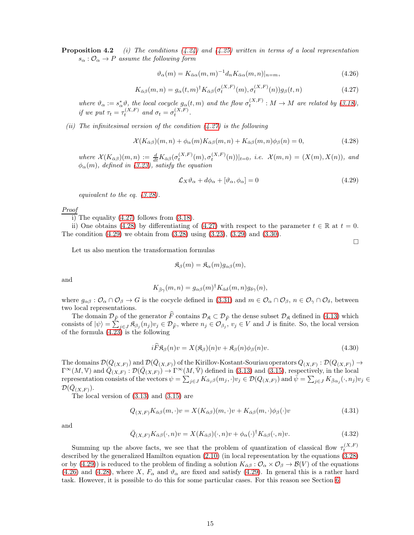**Proposition 4.2** (i) The conditions  $(4.24)$  and  $(4.25)$  written in terms of a local representation  $s_{\alpha}: \mathcal{O}_{\alpha} \to P$  assume the following form

<span id="page-14-5"></span>
$$
\vartheta_{\alpha}(m) = K_{\bar{\alpha}\alpha}(m, m)^{-1} d_n K_{\bar{\alpha}\alpha}(m, n)|_{n=m}, \qquad (4.26)
$$

<span id="page-14-2"></span>
$$
K_{\bar{\alpha}\beta}(m,n) = g_{\alpha}(t,m)^{\dagger} K_{\bar{\alpha}\beta}(\sigma_t^{(X,F)}(m), \sigma_t^{(X,F)}(n)) g_{\beta}(t,n)
$$
\n(4.27)

where  $\vartheta_{\alpha} := s_{\alpha}^{*} \vartheta$ , the local cocycle  $g_{\alpha}(t, m)$  and the flow  $\sigma_{t}^{(X,F)} : M \to M$  are related by [\(3.18\)](#page-7-1), if we put  $\tau_t = \tau_t^{(X,F)}$  and  $\sigma_t = \sigma_t^{(X,F)}$ .

(ii) The infinitesimal version of the condition  $(4.27)$  is the following

<span id="page-14-3"></span>
$$
\mathcal{X}(K_{\bar{\alpha}\beta})(m,n) + \phi_{\alpha}(m)K_{\bar{\alpha}\beta}(m,n) + K_{\bar{\alpha}\beta}(m,n)\phi_{\beta}(n) = 0,
$$
\n(4.28)

where  $\mathcal{X}(K_{\alpha\beta})(m,n) := \frac{d}{dt}K_{\alpha\beta}(\sigma_t^{(X,F)}(m),\sigma_t^{(X,F)}(n))|_{t=0},$  i.e.  $\mathcal{X}(m,n) = (X(m),X(n)),$  and  $\phi_{\alpha}(m)$ , defined in [\(3.23\)](#page-8-1), satisfy the equation

<span id="page-14-4"></span>
$$
\mathcal{L}_X \vartheta_\alpha + d\phi_\alpha + [\vartheta_\alpha, \phi_\alpha] = 0 \tag{4.29}
$$

 $\Box$ 

equivalent to the eq. [\(3.28\)](#page-8-4).

#### Proof

 $\overline{1}$ ) The equality [\(4.27\)](#page-14-2) follows from [\(3.18\)](#page-7-1).

ii) One obtains [\(4.28\)](#page-14-3) by differentiating of [\(4.27\)](#page-14-2) with respect to the parameter  $t \in \mathbb{R}$  at  $t = 0$ . The condition [\(4.29\)](#page-14-4) we obtain from [\(3.28\)](#page-8-4) using [\(3.23\)](#page-8-1), [\(3.29\)](#page-8-5) and [\(3.30\)](#page-8-6).

Let us also mention the transformation formulas

$$
\mathfrak{K}_{\beta}(m) = \mathfrak{K}_{\alpha}(m) g_{\alpha\beta}(m),
$$

and

$$
K_{\bar{\beta}\gamma}(m,n) = g_{\alpha\beta}(m)^{\dagger} K_{\bar{\alpha}\delta}(m,n) g_{\delta\gamma}(n),
$$

where  $g_{\alpha\beta}: \mathcal{O}_{\alpha} \cap \mathcal{O}_{\beta} \to G$  is the cocycle defined in [\(3.31\)](#page-8-7) and  $m \in \mathcal{O}_{\alpha} \cap \mathcal{O}_{\beta}$ ,  $n \in \mathcal{O}_{\gamma} \cap \mathcal{O}_{\delta}$ , between two local representations.

The domain  $\mathcal{D}_{\widehat{F}}$  of the generator  $\widehat{F}$  contains  $\mathcal{D}_{\widehat{F}} \subset \mathcal{D}_{\widehat{F}}$  the dense subset  $\mathcal{D}_{\widehat{K}}$  defined in [\(4.13\)](#page-11-4) which consists of  $|\psi\rangle = \sum_{j \in J} \mathfrak{K}_{\beta_j}(n_j)v_j \in \mathcal{D}_{\widehat{F}}$ , where  $n_j \in \mathcal{O}_{\beta_j}$ ,  $v_j \in V$  and J is finite. So, the local version of the formula [\(4.23\)](#page-13-2) is the following

<span id="page-14-0"></span>
$$
i\ddot{F}\mathfrak{K}_{\beta}(n)v = X(\mathfrak{K}_{\beta})(n)v + \mathfrak{K}_{\beta}(n)\phi_{\beta}(n)v.
$$
\n(4.30)

The domains  $\mathcal{D}(Q_{(X,F)})$  and  $\mathcal{D}(\bar{Q}_{(X,F)})$  of the Kirillov-Kostant-Souriau operators  $Q_{(X,F)} : \mathcal{D}(Q_{(X,F)}) \to$  $\Gamma^{\infty}(M, V)$  and  $\overline{Q}_{(X,F)} : \mathcal{D}(\overline{Q}_{(X,F)}) \to \Gamma^{\infty}(M, \overline{V})$  defined in [\(3.13\)](#page-6-1) and [\(3.15\)](#page-7-7), respectively, in the local  $\text{representation consists of the vectors }\psi=\sum_{j\in J}K_{\bar{\alpha}_j\beta}(m_j,\cdot)v_j\in\mathcal{D}(Q_{(X,F)})\text{ and }\bar{\psi}=\sum_{j\in J}K_{\bar{\beta}\alpha_j}(\cdot,n_j)v_j\in\mathcal{D}(Q_{(X,F)})\text{ and }Q_{(X,F)}$  $\mathcal{D}(\bar{Q}_{(X,F)}).$ 

The local version of [\(3.13\)](#page-6-1) and [\(3.15\)](#page-7-7) are

<span id="page-14-1"></span>
$$
Q_{(X,F)}K_{\bar{\alpha}\beta}(m,\cdot)v = X(K_{\bar{\alpha}\beta})(m,\cdot)v + K_{\bar{\alpha}\beta}(m,\cdot)\phi_{\beta}(\cdot)v
$$
\n(4.31)

and

<span id="page-14-6"></span>
$$
\bar{Q}_{(X,F)} K_{\bar{\alpha}\beta}(\cdot, n)v = X(K_{\bar{\alpha}\beta})(\cdot, n)v + \phi_{\alpha}(\cdot)^{\dagger} K_{\bar{\alpha}\beta}(\cdot, n)v.
$$
\n(4.32)

Summing up the above facts, we see that the problem of quantization of classical flow  $\tau_t^{(X,F)}$ described by the generalized Hamilton equation [\(2.10\)](#page-3-0) (in local representation by the equations [\(3.28\)](#page-8-4) or by [\(4.29\)](#page-14-4)) is reduced to the problem of finding a solution  $K_{\alpha\beta}: \mathcal{O}_{\alpha}\times\mathcal{O}_{\beta}\to\mathcal{B}(V)$  of the equations [\(4.26\)](#page-14-5) and [\(4.28\)](#page-14-3), where X,  $F_{\alpha}$  and  $\vartheta_{\alpha}$  are fixed and satisfy [\(4.29\)](#page-14-4). In general this is a rather hard task. However, it is possible to do this for some particular cases. For this reason see Section [6.](#page-19-0)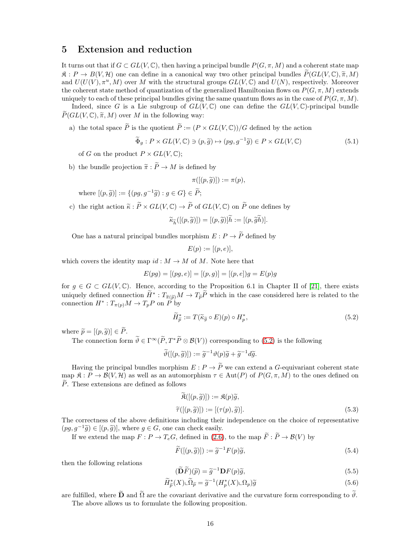### <span id="page-15-0"></span>5 Extension and reduction

It turns out that if  $G \subset GL(V, \mathbb{C})$ , then having a principal bundle  $P(G, \pi, M)$  and a coherent state map  $\mathfrak{K}: P \to B(V, \mathcal{H})$  one can define in a canonical way two other principal bundles  $\widetilde{P}(GL(V, \mathbb{C}), \widetilde{\pi}, M)$ and  $U(U(V), \pi^u, M)$  over M with the structural groups  $GL(V, \mathbb{C})$  and  $U(N)$ , respectively. Moreover the coherent state method of quantization of the generalized Hamiltonian flows on  $P(G, \pi, M)$  extends uniquely to each of these principal bundles giving the same quantum flows as in the case of  $P(G, \pi, M)$ .

Indeed, since G is a Lie subgroup of  $GL(V, \mathbb{C})$  one can define the  $GL(V, \mathbb{C})$ -principal bundle  $\widetilde{P}(GL(V,\mathbb{C}), \widetilde{\pi}, M)$  over M in the following way:

a) the total space  $\widetilde{P}$  is the quotient  $\widetilde{P} := (P \times GL(V, \mathbb{C})) / G$  defined by the action

<span id="page-15-6"></span>
$$
\widetilde{\Phi}_g: P \times GL(V, \mathbb{C}) \ni (p, \widetilde{g}) \mapsto (pg, g^{-1}\widetilde{g}) \in P \times GL(V, \mathbb{C})
$$
\n
$$
(5.1)
$$

of G on the product  $P \times GL(V, \mathbb{C});$ 

b) the bundle projection  $\tilde{\pi}: \tilde{P} \to M$  is defined by

$$
\pi([(p,\widetilde{g})]):=\pi(p),
$$

where  $[(p, \tilde{g})] := \{(pg, g^{-1}\tilde{g}) : g \in G\} \in \tilde{P};$ 

c) the right action  $\widetilde{\kappa} : \widetilde{P} \times GL(V, \mathbb{C}) \to \widetilde{P}$  of  $GL(V, \mathbb{C})$  on  $\widetilde{P}$  one defines by

$$
\widetilde{\kappa}_{\widetilde{h}}([(p,\widetilde{g})]) = [(p,\widetilde{g})]\widetilde{h} := [(p,\widetilde{g}\widetilde{h})].
$$

One has a natural principal bundles morphism  $E: P \to \tilde{P}$  defined by

$$
E(p) := [(p, e)],
$$

which covers the identity map  $id : M \to M$  of M. Note here that

$$
E(pg) = [(pg, e)] = [(p, g)] = [(p, e])g = E(p)g
$$

for  $g \in G \subset GL(V, \mathbb{C})$ . Hence, according to the Proposition 6.1 in Chapter II of [\[21\]](#page-34-6), there exists uniquely defined connection  $H^* : T_{\widetilde{\pi}(\widetilde{p})}M \to T_{\widetilde{p}}P$  which in the case considered here is related to the connection  $H^*: T_{\pi(p)}M \to T_pP$  on  $\tilde{P}$  by

<span id="page-15-1"></span>
$$
\widetilde{H}_{\widetilde{p}}^* := T(\widetilde{\kappa}_{\widetilde{g}} \circ E)(p) \circ H_p^*,\tag{5.2}
$$

where  $\widetilde{p} = [(p, \widetilde{g})] \in \widetilde{P}$ .

The connection form  $\widetilde{\vartheta} \in \Gamma^\infty(\widetilde{P}, T^*\widetilde{P} \otimes \mathcal{B}(V))$  corresponding to [\(5.2\)](#page-15-1) is the following

 $\widetilde{\vartheta}([p,\widetilde{g})]) := \widetilde{g}^{-1}\vartheta(p)\widetilde{g} + \widetilde{g}^{-1}d\widetilde{g}.$ 

Having the principal bundles morphism  $E: P \to \widetilde{P}$  we can extend a G-equivariant coherent state map  $\mathfrak{K}: P \to \mathcal{B}(V, \mathcal{H})$  as well as an automorphism  $\tau \in \mathrm{Aut}(P)$  of  $P(G, \pi, M)$  to the ones defined on  $\widetilde{P}$ . These extensions are defined as follows

<span id="page-15-2"></span>
$$
\mathfrak{K}([(p,\widetilde{g})]):=\mathfrak{K}(p)\widetilde{g},
$$
  

$$
\widetilde{\tau}([(p,\widetilde{g})]):=[(\tau(p),\widetilde{g})].
$$
 (5.3)

The correctness of the above definitions including their independence on the choice of representative  $(pg, g^{-1}\tilde{g}) \in [(p, \tilde{g})]$ , where  $g \in G$ , one can check easily.

If we extend the map  $F: P \to T_eG$ , defined in [\(2.6\)](#page-2-6), to the map  $\widetilde{F}: \widetilde{P} \to \mathcal{B}(V)$  by

<span id="page-15-3"></span>
$$
\widetilde{F}([p,\widetilde{g})]):=\widetilde{g}^{-1}F(p)\widetilde{g},\tag{5.4}
$$

then the following relations

<span id="page-15-4"></span>
$$
(\widetilde{\mathbf{D}}\widetilde{F})(\widetilde{p}) = \widetilde{g}^{-1}\mathbf{D}F(p)\widetilde{g},\tag{5.5}
$$

<span id="page-15-5"></span>
$$
\widetilde{H}_{\widetilde{p}}^*(X)\llcorner \widetilde{\Omega}_{\widetilde{p}} = \widetilde{g}^{-1}(H_p^*(X)\llcorner \Omega_p)\widetilde{g}
$$
\n(5.6)

are fulfilled, where  $\widetilde{\mathbf{D}}$  and  $\widetilde{\Omega}$  are the covariant derivative and the curvature form corresponding to  $\widetilde{\vartheta}$ . The above allows us to formulate the following proposition.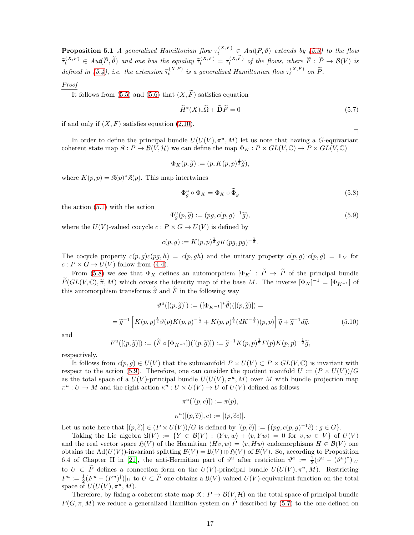**Proposition 5.1** A generalized Hamiltonian flow  $\tau_t^{(X,F)} \in Aut(P, \vartheta)$  extends by [\(5.3\)](#page-15-2) to the flow  $\widetilde{\tau}_t^{(X,F)} \in Aut(\widetilde{P}, \widetilde{\vartheta})$  and one has the equality  $\widetilde{\tau}_t^{(X,F)} = \tau_t^{(X,\widetilde{F})}$  of the flows, where  $\widetilde{F}: \widetilde{P} \to \mathcal{B}(V)$  is defined in [\(5.4\)](#page-15-3), i.e. the extension  $\tilde{\tau}_t^{(X,F)}$  is a generalized Hamiltonian flow  $\tau_t^{(X,\tilde{F})}$  on  $\tilde{P}$ .

#### Proof

It follows from [\(5.5\)](#page-15-4) and [\(5.6\)](#page-15-5) that  $(X, \widetilde{F})$  satisfies equation

<span id="page-16-2"></span>
$$
\widetilde{H}^*(X)\llcorner \widetilde{\Omega} + \widetilde{\mathbf{D}}\widetilde{F} = 0 \tag{5.7}
$$

 $\Box$ 

if and only if  $(X, F)$  satisfies equation  $(2.10)$ .

In order to define the principal bundle  $U(U(V), \pi^u, M)$  let us note that having a G-equivariant coherent state map  $\mathfrak{K}: P \to \mathcal{B}(V, \mathcal{H})$  we can define the map  $\Phi_K: P \times GL(V, \mathbb{C}) \to P \times GL(V, \mathbb{C})$ 

$$
\Phi_K(p,\widetilde{g}) := (p, K(p,p)^{\frac{1}{2}}\widetilde{g}),
$$

where  $K(p, p) = \mathfrak{K}(p)^* \mathfrak{K}(p)$ . This map intertwines

<span id="page-16-0"></span>
$$
\Phi_g^u \circ \Phi_K = \Phi_K \circ \widetilde{\Phi}_g \tag{5.8}
$$

the action [\(5.1\)](#page-15-6) with the action

<span id="page-16-1"></span>
$$
\Phi_g^u(p,\tilde{g}) := (pg, c(p,g)^{-1}\tilde{g}),\tag{5.9}
$$

where the  $U(V)$ -valued cocycle  $c: P \times G \to U(V)$  is defined by

$$
c(p, g) := K(p, p)^{\frac{1}{2}} g K(pg, pg)^{-\frac{1}{2}}.
$$

The cocycle property  $c(p, g)c(pg, h) = c(p, gh)$  and the unitary property  $c(p, g)^{\dagger}c(p, g) = \mathbb{1}_{V}$  for  $c: P \times G \to U(V)$  follow from [\(4.4\)](#page-9-4).

From [\(5.8\)](#page-16-0) we see that  $\Phi_K$  defines an automorphism  $[\Phi_K] : \tilde{P} \to \tilde{P}$  of the principal bundle  $\widetilde{P}(GL(V,\mathbb{C}), \widetilde{\pi}, M)$  which covers the identity map of the base M. The inverse  $[\Phi_K]^{-1} = [\Phi_{K^{-1}}]$  of this automorphism transforms  $\widetilde{\vartheta}$  and  $\widetilde{F}$  in the following way

<span id="page-16-3"></span>
$$
\vartheta^u([(p,\widetilde{g})]):=([\Phi_{K^{-1}}]^*\widetilde{\vartheta})([(p,\widetilde{g})]) =
$$
  
=  $\widetilde{g}^{-1}\left[K(p,p)^{\frac{1}{2}}\vartheta(p)K(p,p)^{-\frac{1}{2}} + K(p,p)^{\frac{1}{2}}(dK^{-\frac{1}{2}})(p,p)\right]\widetilde{g} + \widetilde{g}^{-1}d\widetilde{g},$  (5.10)

and

$$
F^u([p,\widetilde{g})]):=(\widetilde{F}\circ[\Phi_{K^{-1}}])([p,\widetilde{g})]):=\widetilde{g}^{-1}K(p,p)^{\frac{1}{2}}F(p)K(p,p)^{-\frac{1}{2}}\widetilde{g},
$$

respectively.

It follows from  $c(p, g) \in U(V)$  that the submanifold  $P \times U(V) \subset P \times GL(V, \mathbb{C})$  is invariant with respect to the action [\(5.9\)](#page-16-1). Therefore, one can consider the quotient manifold  $U := (P \times U(V))/G$ as the total space of a  $U(V)$ -principal bundle  $U(U(V), \pi^u, M)$  over M with bundle projection map  $\pi^u: U \to M$  and the right action  $\kappa^u: U \times U(V) \to U$  of  $U(V)$  defined as follows

$$
\pi^u([p, c]) := \pi(p),
$$
  

$$
\kappa^u([p, \tilde{c})], c) := [(p, \tilde{c}c)].
$$

Let us note here that  $[(p, \tilde{c})] \in (P \times U(V))/G$  is defined by  $[(p, \tilde{c})] := \{(pg, c(p, g)^{-1}\tilde{c}) : g \in G\}.$ <br>Taking the Lingular  $(U,V)$ .  $(V \in \mathcal{P}(V) \setminus (X, \ldots) \setminus (y, X, \ldots))$  of for using  $(V)$  of

Taking the Lie algebra  $\mathfrak{U}(V) := \{ Y \in \mathcal{B}(V) : \langle Yv, w \rangle + \langle v, Yw \rangle = 0 \text{ for } v, w \in V \}$  of  $U(V)$ and the real vector space  $\mathfrak{H}(V)$  of the Hermitian  $\langle Hv, w \rangle = \langle v, Hw \rangle$  endomorphisms  $H \in \mathcal{B}(V)$  one obtains the Ad( $U(V)$ )-invariant splitting  $\mathcal{B}(V) = \mathfrak{U}(V) \oplus \mathfrak{H}(V)$  of  $\mathcal{B}(V)$ . So, according to Proposition 6.4 of Chapter II in [\[21\]](#page-34-6), the anti-Hermitian part of  $\vartheta^u$  after restriction  $\vartheta^a := \frac{1}{2}(\vartheta^u - (\vartheta^u)^{\dagger})|_{U}$ to  $U \subset \widetilde{P}$  defines a connection form on the  $U(V)$ -principal bundle  $U(U(V), \pi^u, M)$ . Restricting  $F^a := \frac{1}{2}(F^u - (F^u)^{\dagger})|_U$  to  $U \subset \tilde{P}$  one obtains a  $\mathfrak{U}(V)$ -valued  $U(V)$ -equivariant function on the total space of  $U(U(V), \pi^u, M)$ .

Therefore, by fixing a coherent state map  $\mathfrak{K}: P \to \mathcal{B}(V, \mathcal{H})$  on the total space of principal bundle  $P(G, \pi, M)$  we reduce a generalized Hamilton system on  $\widetilde{P}$  described by [\(5.7\)](#page-16-2) to the one defined on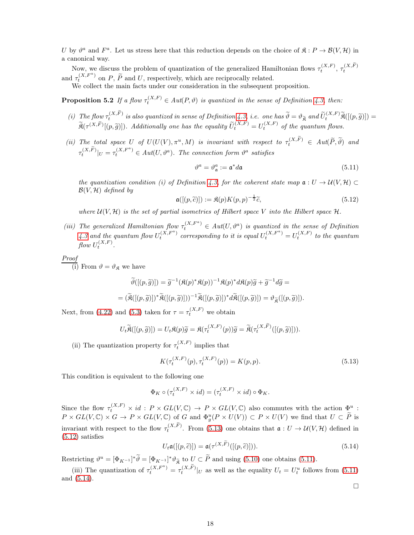U by  $\vartheta^a$  and  $F^a$ . Let us stress here that this reduction depends on the choice of  $\mathfrak{K}: P \to \mathcal{B}(V, \mathcal{H})$  in a canonical way.

Now, we discuss the problem of quantization of the generalized Hamiltonian flows  $\tau_t^{(X,F)}$ ,  $\tau_t^{(X,\widetilde{F})}$ and  $\tau_t^{(X,F^a)}$  on P,  $\widetilde{P}$  and U, respectively, which are reciprocally related.

We collect the main facts under our consideration in the subsequent proposition.

**Proposition 5.2** If a flow  $\tau_t^{(X,F)} \in Aut(P, \vartheta)$  is quantized in the sense of Definition [4.3,](#page-12-5) then:

- (i) The flow  $\tau_t^{(X,\widetilde{F})}$  is also quantized in sense of Definition [4.3,](#page-12-5) i.e. one has  $\widetilde{\vartheta} = \vartheta_{\widetilde{\mathfrak{K}}}$  and  $\widetilde{U}_t^{(X,F)}\widetilde{\mathfrak{K}}([p,\widetilde{g})]) =$  $\widetilde{\mathfrak{K}}(\tau^{(X,\widetilde{F})}[(p,\widetilde{g})])$ . Additionally one has the equality  $\widetilde{U}_{t}^{(X,F)}=U_{t}^{(X,F)}$  of the quantum flows.
- (ii) The total space U of  $U(U(V), \pi^u, M)$  is invariant with respect to  $\tau_t^{(X, \widetilde{F})} \in Aut(\widetilde{P}, \widetilde{\vartheta})$  and  $\tau_t^{(X,\widetilde{F})}|_U = \tau_t^{(X,F^a)} \in Aut(U, \vartheta^a)$ . The connection form  $\vartheta^a$  satisfies

<span id="page-17-3"></span><span id="page-17-0"></span>
$$
\vartheta^a = \vartheta^a_{\mathfrak{a}} := \mathfrak{a}^* d\mathfrak{a} \tag{5.11}
$$

the quantization condition (i) of Definition [4.3,](#page-12-5) for the coherent state map  $a: U \to U(V, \mathcal{H}) \subset$  $\mathcal{B}(V, \mathcal{H})$  defined by

<span id="page-17-2"></span>
$$
\mathfrak{a}([(p,\widetilde{c})]):=\mathfrak{K}(p)K(p,p)^{-\frac{1}{2}}\widetilde{c},\tag{5.12}
$$

where  $\mathcal{U}(V, \mathcal{H})$  is the set of partial isometries of Hilbert space V into the Hilbert space  $\mathcal{H}$ .

(iii) The generalized Hamiltonian flow  $\tau_t^{(X,F^a)} \in Aut(U, \vartheta^a)$  is quantized in the sense of Definition [4.3](#page-12-5) and the quantum flow  $U_t^{(X,F^a)}$  corresponding to it is equal  $U_t^{(X,F^a)} = U_t^{(X,F)}$  to the quantum flow  $U_t^{(X,F)}$ .

Proof

(i) From  $\vartheta = \vartheta_{\mathfrak{K}}$  we have

$$
\widetilde{\vartheta}([(p,\widetilde{g})]) = \widetilde{g}^{-1}(\mathfrak{K}(p)^*\mathfrak{K}(p))^{-1}\mathfrak{K}(p)^*d\mathfrak{K}(p)\widetilde{g} + \widetilde{g}^{-1}d\widetilde{g} =
$$
  
= 
$$
(\widetilde{\mathfrak{K}}([(p,\widetilde{g})])^*\widetilde{\mathfrak{K}}([(p,\widetilde{g})]))^{-1}\widetilde{\mathfrak{K}}([(p,\widetilde{g})])^*d\widetilde{\mathfrak{K}}([(p,\widetilde{g})]) = \vartheta_{\widetilde{\mathfrak{K}}}([(p,\widetilde{g})]).
$$

Next, from [\(4.22\)](#page-12-4) and [\(5.3\)](#page-15-2) taken for  $\tau = \tau_t^{(X,F)}$  we obtain

$$
U_t \widetilde{\mathfrak{K}}([p, \widetilde{g})]) = U_t \mathfrak{K}(p) \widetilde{g} = \mathfrak{K}(\tau_t^{(X,F)}(p)) \widetilde{g} = \widetilde{\mathfrak{K}}(\tau_t^{(X,\widetilde{F})}([p, \widetilde{g})])).
$$

(ii) The quantization property for  $\tau_t^{(X,F)}$  implies that

<span id="page-17-1"></span>
$$
K(\tau_t^{(X,F)}(p), \tau_t^{(X,F)}(p)) = K(p, p). \tag{5.13}
$$

This condition is equivalent to the following one

$$
\Phi_K \circ (\tau_t^{(X,F)} \times id) = (\tau_t^{(X,F)} \times id) \circ \Phi_K.
$$

Since the flow  $\tau_t^{(X,F)} \times id : P \times GL(V, \mathbb{C}) \to P \times GL(V, \mathbb{C})$  also commutes with the action  $\underline{\Phi}^u$ :  $P \times GL(V, \mathbb{C}) \times G \to P \times GL(V, \mathbb{C})$  of G and  $\Phi_g^u(P \times U(V)) \subset P \times U(V)$  we find that  $U \subset \widetilde{P}$  is invariant with respect to the flow  $\tau_t^{(X,\widetilde{F})}$ . From [\(5.13\)](#page-17-1) one obtains that  $\mathfrak{a}: U \to \mathcal{U}(V,\mathcal{H})$  defined in  $(5.12)$  satisfies

<span id="page-17-4"></span>
$$
U_t \mathfrak{a}([p,\widetilde{c}]]) = \mathfrak{a}(\tau^{(X,\widetilde{F})}([p,\widetilde{c})])).
$$
\n(5.14)

Restricting  $\vartheta^u = [\Phi_{K^{-1}}]^* \hat{\vartheta} = [\Phi_{K^{-1}}]^* \vartheta_{\tilde{\mathfrak{K}}}$  to  $U \subset \tilde{P}$  and using [\(5.10\)](#page-16-3) one obtains [\(5.11\)](#page-17-3).

(iii) The quantization of  $\tau_t^{(X,F^a)} = \tau_t^{(X,\tilde{F})}|_U$  as well as the equality  $U_t = U_t^u$  follows from [\(5.11\)](#page-17-3) and [\(5.14\)](#page-17-4).  $\Box$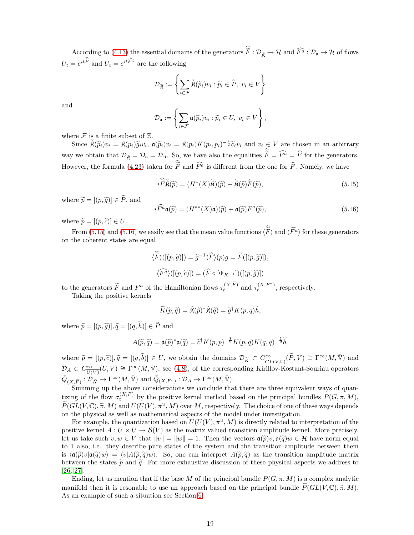According to [\(4.13\)](#page-11-4) the essential domains of the generators  $F: \mathcal{D}_{\tilde{\mathfrak{K}}}\to\mathcal{H}$  and  $\overline{F}^{\tilde{a}}: \mathcal{D}_{\mathfrak{a}}\to\mathcal{H}$  of flows  $U_t = e^{it\widehat{\widehat{F}}\hskip-2.2mm\widehat{\phantom{F}}\hskip-2.2mm\widehat{\phantom{F}}\hskip-2.2mm\widehat{\phantom{F}}\hskip-2.2mm\widehat{\phantom{F}}\hskip-2.2mm\widehat{\phantom{F}}\hskip-2.2mm\widehat{\phantom{F}}\hskip-2.2mm\widehat{\phantom{F}}\hskip-2.2mm\hskip-2.2mm\widehat{\phantom{F}}\hskip-2.2mm\widehat{\phantom{F}}\hskip-2.2mm\hskip-2.2mm\widehat{\phantom{F}}\hskip-2.2mm\hskip-2.2mm\hskip$ 

$$
\mathcal{D}_{\widetilde{\mathfrak{K}}}:=\left\{\sum_{i\in\mathcal{F}}\widetilde{\mathfrak{K}}(\widetilde{p}_i)v_i:\widetilde{p}_i\in\widetilde{P},\;v_i\in V\right\}
$$

and

$$
\mathcal{D}_{\mathfrak{a}} := \left\{ \sum_{i \in \mathcal{F}} \mathfrak{a}(\widetilde{p}_i) v_i : \widetilde{p}_i \in U, v_i \in V \right\},\
$$

where  $\mathcal F$  is a finite subset of  $\mathbb Z$ .

Since  $\widetilde{\mathfrak{K}}(\widetilde{p}_i)v_i = \mathfrak{K}(p_i)\widetilde{g}_iv_i$ ,  $\mathfrak{a}(\widetilde{p}_i)v_i = \mathfrak{K}(p_i)K(p_i, p_i)^{-\frac{1}{2}}\widetilde{c}_iv_i$  and  $v_i \in V$  are chosen in an arbitrary way we obtain that  $\mathcal{D}_{\widetilde{\mathfrak{K}}} = \mathcal{D}_{\mathfrak{a}} = \mathcal{D}_{\mathfrak{K}}$ . So, we have also the equalities  $F = F^a = F$  for the generators. However, the formula [\(4.23\)](#page-13-2) taken for F and  $\overline{F}^{\overline{a}}$  is different from the one for  $\overline{F}$ . Namely, we have

<span id="page-18-0"></span>
$$
i\widetilde{F}\widetilde{\mathfrak{K}}(\widetilde{p}) = (H^*(X)\widetilde{\mathfrak{K}})(\widetilde{p}) + \widetilde{\mathfrak{K}}(\widetilde{p})\widetilde{F}(\widetilde{p}),\tag{5.15}
$$

where  $\widetilde{p} = [(p, \widetilde{q})] \in \widetilde{P}$ , and

<span id="page-18-1"></span>
$$
i\widehat{F}^a \mathfrak{a}(\widetilde{p}) = (H^{a*}(X)\mathfrak{a})(\widetilde{p}) + \mathfrak{a}(\widetilde{p})F^a(\widetilde{p}), \tag{5.16}
$$

where  $\widetilde{p} = [(p, \widetilde{c})] \in U$ .

From [\(5.15\)](#page-18-0) and [\(5.16\)](#page-18-1) we easily see that the mean value functions  $\langle F \rangle$  and  $\langle \overline{F^a} \rangle$  for these generators on the coherent states are equal

$$
\langle \hat{F} \rangle([p, \tilde{g})]) = \tilde{g}^{-1} \langle \hat{F} \rangle(p)g = \tilde{F}([p, \tilde{g})]),
$$
  

$$
\langle \hat{F}^{\hat{a}} \rangle([p, \tilde{c})]) = (\hat{F} \circ [\Phi_{K^{-1}}])([p, \tilde{g})])
$$

to the generators  $\widetilde{F}$  and  $F^a$  of the Hamiltonian flows  $\tau_t^{(X,\widetilde{F})}$  and  $\tau_t^{(X,F^a)}$ , respectively.

Taking the positive kernels

$$
\widetilde{K}(\widetilde{p},\widetilde{q}) = \widetilde{\mathfrak{K}}(\widetilde{p})^* \widetilde{\mathfrak{K}}(\widetilde{q}) = \widetilde{g}^\dagger K(p,q) \widetilde{h},
$$

where  $\widetilde{p} = [(p, \widetilde{q})], \widetilde{q} = [(q, \widetilde{h})] \in \widetilde{P}$  and

$$
A(\widetilde{p},\widetilde{q}) = \mathfrak{a}(\widetilde{p})^* \mathfrak{a}(\widetilde{q}) = \widetilde{c}^{\dagger} K(p,p)^{-\frac{1}{2}} K(p,q) K(q,q)^{-\frac{1}{2}} \widetilde{b},
$$

where  $\widetilde{p} = [(p, \widetilde{c})], \widetilde{q} = [(q, \widetilde{b})] \in U$ , we obtain the domains  $\mathcal{D}_{\widetilde{K}} \subset C^{\infty}_{\overline{GL(V,\mathbb{C})}}(\widetilde{P}, V) \cong \Gamma^{\infty}(M, \overline{V})$  and  $\mathcal{D}_A \subset C^{\infty}_{\overline{U(V)}}(U, V) \cong \Gamma^{\infty}(M, \overline{V}),$  see [\(4.8\)](#page-10-4), of the corresponding Kirillov-Kostant-Souriau operators  $\bar{Q}_{(X,\widetilde{F})} : \mathcal{D}_{\widetilde{K}} \to \Gamma^\infty(M,\bar{\mathbb{V}}) \text{ and } \bar{Q}_{(X,F^a)} : \mathcal{D}_A \to \Gamma^\infty(M,\bar{\mathbb{V}}).$ 

Summing up the above considerations we conclude that there are three equivalent ways of quantizing of the flow  $\sigma_t^{(X,F)}$  by the positive kernel method based on the principal bundles  $P(G,\pi,M)$ ,  $\widetilde{P}(GL(V,\mathbb{C}),\widetilde{\pi},M)$  and  $U(U(V),\pi^u,M)$  over M, respectively. The choice of one of these ways depends on the physical as well as mathematical aspects of the model under investigation.

For example, the quantization based on  $U(U(V), \pi^u, M)$  is directly related to interpretation of the positive kernel  $A: U \times U \rightarrow \mathcal{B}(V)$  as the matrix valued transition amplitude kernel. More precisely, let us take such  $v, w \in V$  that  $||v|| = ||w|| = 1$ . Then the vectors  $\mathfrak{a}(\tilde{\gamma})v, \mathfrak{a}(\tilde{\gamma})w \in \mathcal{H}$  have norm equal to 1 also, i.e. they describe pure states of the system and the transition amplitude between them is  $\langle \mathfrak{a}(\tilde{p})v|\mathfrak{a}(\tilde{q})w\rangle = \langle v|A(\tilde{p}, \tilde{q})w\rangle$ . So, one can interpret  $A(\tilde{p}, \tilde{q})$  as the transition amplitude matrix between the states  $\tilde{p}$  and  $\tilde{q}$ . For more exhaustive discussion of these physical aspects we address to [\[26,](#page-35-1) [27\]](#page-35-8).

Ending, let us mention that if the base M of the principal bundle  $P(G, \pi, M)$  is a complex analytic manifold then it is resonable to use an approach based on the principal bundle  $\widetilde{P}(GL(V,\mathbb{C}),\widetilde{\pi},M)$ . As an example of such a situation see Section [6.](#page-19-0)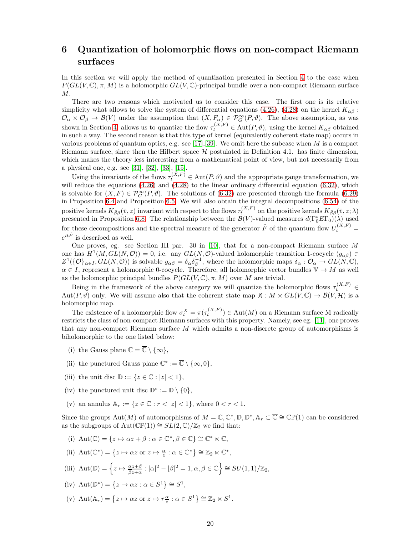## <span id="page-19-0"></span>6 Quantization of holomorphic flows on non-compact Riemann surfaces

In this section we will apply the method of quantization presented in Section [4](#page-9-0) to the case when  $P(GL(V, \mathbb{C}), \pi, M)$  is a holomorphic  $GL(V, \mathbb{C})$ -principal bundle over a non-compact Riemann surface  $M$ .

There are two reasons which motivated us to consider this case. The first one is its relative simplicity what allows to solve the system of differential equations [\(4.26\)](#page-14-5), [\(4.28\)](#page-14-3) on the kernel  $K_{\alpha\beta}$ :  $\mathcal{O}_{\alpha} \times \mathcal{O}_{\beta} \to \mathcal{B}(V)$  under the assumption that  $(X, F_{\alpha}) \in \mathcal{P}_{G}^{\infty}(P, \vartheta)$ . The above assumption, as was shown in Section [4,](#page-9-0) allows us to quantize the flow  $\tau_t^{(X,F)} \in \text{Aut}(P, \vartheta)$ , using the kernel  $K_{\bar{\alpha}\beta}$  obtained in such a way. The second reason is that this type of kernel (equivalently coherent state map) occurs in various problems of quantum optics, e.g. see [\[17\]](#page-34-8), [\[39\]](#page-35-9). We omit here the subcase when  $M$  is a compact Riemann surface, since then the Hilbert space  $\mathcal H$  postulated in Definition 4.1. has finite dimension, which makes the theory less interesting from a mathematical point of view, but not necessarily from a physical one, e.g. see [\[31\]](#page-35-10), [\[32\]](#page-35-11), [\[33\]](#page-35-12), [\[15\]](#page-34-9).

Using the invariants of the flows  $\tau_t^{(X,F)} \in \text{Aut}(P, \vartheta)$  and the appropriate gauge transformation, we will reduce the equations [\(4.26\)](#page-14-5) and [\(4.28\)](#page-14-3) to the linear ordinary differential equation [\(6.32\)](#page-24-0), which is solvable for  $(X, F) \in \mathcal{P}_G^{\infty}(P, \vartheta)$ . The solutions of [\(6.32\)](#page-24-0) are presented through the formula [\(6.29\)](#page-24-1) in Proposition [6.4](#page-25-0) and Proposition [6.5.](#page-25-1) We will also obtain the integral decompositions [\(6.54\)](#page-29-0) of the positive kernels  $K_{\bar{\beta}\beta}(\bar{v},z)$  invariant with respect to the flows  $\tau_t^{(X,F)}$  on the positive kernels  $K_{\bar{\beta}\beta}(\bar{v},z;\lambda)$ presented in Proposition [6.8.](#page-29-1) The relationship between the  $\mathcal{B}(V)$ -valued measures  $d(\Gamma_0^* E \Gamma_0)(\lambda)$  used for these decompositions and the spectral measure of the generator  $\hat{F}$  of the quantum flow  $U_t^{(X,F)}$  =  $e^{it\hat F}$  is described as well.

One proves, eg. see Section III par. 30 in [\[10\]](#page-34-10), that for a non-compact Riemann surface M one has  $H^1(M, GL(N, \mathcal{O})) = 0$ , i.e. any  $GL(N, \mathcal{O})$ -valued holomorphic transition 1-cocycle  $(g_{\alpha\beta}) \in$  $Z^1(\{O\}_{\alpha\in I}, GL(N, \mathcal{O}))$  is solvable  $g_{\alpha\beta} = \delta_{\alpha} \delta_{\beta}^{-1}$ , where the holomorphic maps  $\delta_{\alpha}: \mathcal{O}_{\alpha} \to GL(N, \mathbb{C}),$  $\alpha \in I$ , represent a holomorphic 0-cocycle. Therefore, all holomorphic vector bundles  $\mathbb{V} \to M$  as well as the holomorphic principal bundles  $P(GL(V, \mathbb{C}), \pi, M)$  over M are trivial.

Being in the framework of the above category we will quantize the holomorphic flows  $\tau_t^{(X,F)} \in$ Aut $(P, \vartheta)$  only. We will assume also that the coherent state map  $\mathfrak{K}: M \times GL(V, \mathbb{C}) \to \mathcal{B}(V, \mathcal{H})$  is a holomorphic map.

The existence of a holomorphic flow  $\sigma_t^X = \pi(\tau_t^{(X,F)}) \in \text{Aut}(M)$  on a Riemann surface M radically restricts the class of non-compact Riemann surfaces with this property. Namely, see eg. [\[11\]](#page-34-11), one proves that any non-compact Riemann surface M which admits a non-discrete group of automorphisms is biholomorphic to the one listed below:

- (i) the Gauss plane  $\mathbb{C} = \overline{\mathbb{C}} \setminus \{\infty\},\$
- (ii) the punctured Gauss plane  $\mathbb{C}^* := \overline{\mathbb{C}} \setminus {\infty, 0},$
- (iii) the unit disc  $\mathbb{D} := \{z \in \mathbb{C} : |z| < 1\},\$
- (iv) the punctured unit disc  $\mathbb{D}^*:=\mathbb{D}\setminus\{0\},$
- (v) an annulus  $A_r := \{ z \in \mathbb{C} : r < |z| < 1 \}$ , where  $0 < r < 1$ .

Since the groups  $\mathrm{Aut}(M)$  of automorphisms of  $M = \mathbb{C}, \mathbb{C}^*, \mathbb{D}, \mathbb{D}^*, \mathbb{A}_r \subset \overline{\mathbb{C}} \cong \mathbb{CP}(1)$  can be considered as the subgroups of Aut( $\mathbb{CP}(1)$ ) ≅  $SL(2,\mathbb{C})/\mathbb{Z}_2$  we find that:

- (i)  $\mathrm{Aut}(\mathbb{C}) = \{ z \mapsto \alpha z + \beta : \alpha \in \mathbb{C}^*, \beta \in \mathbb{C} \} \cong \mathbb{C}^* \ltimes \mathbb{C},$
- (ii)  $\mathrm{Aut}(\mathbb{C}^*) = \{ z \mapsto \alpha z \text{ or } z \mapsto \frac{\alpha}{z} : \alpha \in \mathbb{C}^* \} \cong \mathbb{Z}_2 \ltimes \mathbb{C}^*,$
- (iii)  $\mathrm{Aut}(\mathbb{D}) = \left\{ z \mapsto \frac{\alpha z + \beta}{\overline{\beta}z + \overline{\alpha}} : |\alpha|^2 |\beta|^2 = 1, \alpha, \beta \in \mathbb{C} \right\} \cong SU(1, 1) / \mathbb{Z}_2,$
- (iv)  $\text{Aut}(\mathbb{D}^*) = \{z \mapsto \alpha z : \alpha \in S^1\} \cong S^1,$
- (v)  $\mathrm{Aut}(\mathbb{A}_r) = \{ z \mapsto \alpha z \text{ or } z \mapsto r \frac{\alpha}{z} : \alpha \in S^1 \} \cong \mathbb{Z}_2 \ltimes S^1.$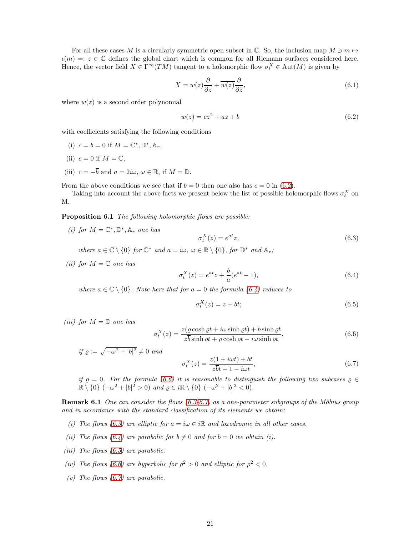For all these cases M is a circularly symmetric open subset in  $\mathbb{C}$ . So, the inclusion map  $M \ni m \mapsto$  $\iota(m) =: z \in \mathbb{C}$  defines the global chart which is common for all Riemann surfaces considered here. Hence, the vector field  $X \in \Gamma^\infty(TM)$  tangent to a holomorphic flow  $\sigma_t^X \in \text{Aut}(M)$  is given by

<span id="page-20-7"></span>
$$
X = w(z)\frac{\partial}{\partial z} + \overline{w(z)}\frac{\partial}{\partial \bar{z}},\tag{6.1}
$$

where  $w(z)$  is a second order polynomial

<span id="page-20-0"></span>
$$
w(z) = cz^2 + az + b \tag{6.2}
$$

with coefficients satisfying the following conditions

- (i)  $c = b = 0$  if  $M = \mathbb{C}^*, \mathbb{D}^*, \mathbb{A}_r$ ,
- (ii)  $c = 0$  if  $M = \mathbb{C}$ ,
- (iii)  $c = -\overline{b}$  and  $a = 2i\omega, \omega \in \mathbb{R}$ , if  $M = \mathbb{D}$ .

From the above conditions we see that if  $b = 0$  then one also has  $c = 0$  in [\(6.2\)](#page-20-0).

<span id="page-20-6"></span>Taking into account the above facts we present below the list of possible holomorphic flows  $\sigma_t^X$  on M.

Proposition 6.1 The following holomorphic flows are possible:

(i) for  $M = \mathbb{C}^*, \mathbb{D}^*, \mathbb{A}_r$  one has

<span id="page-20-3"></span>
$$
\sigma_t^X(z) = e^{at}z,\tag{6.3}
$$

where  $a \in \mathbb{C} \setminus \{0\}$  for  $\mathbb{C}^*$  and  $a = i\omega, \omega \in \mathbb{R} \setminus \{0\}$ , for  $\mathbb{D}^*$  and  $\mathbb{A}_r$ ;

(ii) for  $M = \mathbb{C}$  one has

<span id="page-20-1"></span>
$$
\sigma_t^X(z) = e^{at}z + \frac{b}{a}(e^{at} - 1),\tag{6.4}
$$

where  $a \in \mathbb{C} \setminus \{0\}$ . Note here that for  $a = 0$  the formula  $(6.4)$  reduces to

<span id="page-20-5"></span>
$$
\sigma_t^X(z) = z + bt; \tag{6.5}
$$

(*iii*) for  $M = \mathbb{D}$  one has

<span id="page-20-2"></span>
$$
\sigma_t^X(z) = \frac{z(\varrho \cosh \varrho t + i\omega \sinh \varrho t) + b \sinh \varrho t}{z\overline{b} \sinh \varrho t + \varrho \cosh \varrho t - i\omega \sinh \varrho t},\tag{6.6}
$$

if  $\varrho := \sqrt{-\omega^2 + |b|^2} \neq 0$  and

<span id="page-20-4"></span>
$$
\sigma_t^X(z) = \frac{z(1 + i\omega t) + bt}{z\overline{b}t + 1 - i\omega t},\tag{6.7}
$$

if  $\varrho = 0$ . For the formula [\(6.6\)](#page-20-2) it is reasonable to distinguish the following two subcases  $\varrho \in$  $\mathbb{R} \setminus \{0\}$  (- $\omega^2 + |b|^2 > 0$ ) and  $\varrho \in i\mathbb{R} \setminus \{0\}$  (- $\omega^2 + |b|^2 < 0$ ).

Remark 6.1 One can consider the flows [\(6.3-](#page-20-3)[6.7\)](#page-20-4) as a one-parameter subgroups of the Möbius group and in accordance with the standard classification of its elements we obtain:

- (i) The flows [\(6.3\)](#page-20-3) are elliptic for  $a = i\omega \in i\mathbb{R}$  and loxodromic in all other cases.
- (ii) The flows [\(6.4\)](#page-20-1) are parabolic for  $b \neq 0$  and for  $b = 0$  we obtain (i).
- (*iii*) The flows  $(6.5)$  are parabolic.
- (iv) The flows [\(6.6\)](#page-20-2) are hyperbolic for  $\rho^2 > 0$  and elliptic for  $\rho^2 < 0$ .
- (v) The flows  $(6.7)$  are parabolic.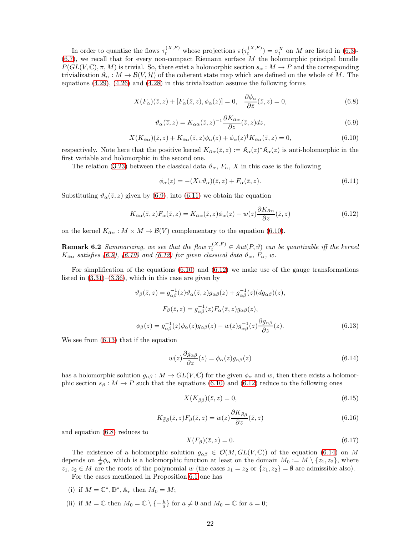In order to quantize the flows  $\tau_t^{(X,F)}$  whose projections  $\pi(\tau_t^{(X,F)}) = \sigma_t^X$  on M are listed in [\(6.3\)](#page-20-3)- $(6.7)$ , we recall that for every non-compact Riemann surface  $M$  the holomorphic principal bundle  $P(GL(V, \mathbb{C}), \pi, M)$  is trivial. So, there exist a holomorphic section  $s_{\alpha}: M \to P$  and the corresponding trivialization  $\mathfrak{K}_{\alpha}: M \to \mathcal{B}(V, \mathcal{H})$  of the coherent state map which are defined on the whole of M. The equations  $(4.29)$ ,  $(4.26)$  and  $(4.28)$  in this trivialization assume the following forms

<span id="page-21-5"></span>
$$
X(F_{\alpha})(\bar{z}, z) + [F_{\alpha}(\bar{z}, z), \phi_{\alpha}(z)] = 0, \quad \frac{\partial \phi_{\alpha}}{\partial \bar{z}}(\bar{z}, z) = 0,
$$
\n(6.8)

<span id="page-21-0"></span>
$$
\vartheta_{\alpha}(\overline{z},z) = K_{\bar{\alpha}\alpha}(\overline{z},z)^{-1} \frac{\partial K_{\bar{\alpha}\alpha}}{\partial z}(\overline{z},z)dz,
$$
\n(6.9)

<span id="page-21-2"></span>
$$
X(K_{\bar{\alpha}\alpha})(\bar{z},z) + K_{\bar{\alpha}\alpha}(\bar{z},z)\phi_{\alpha}(z) + \phi_{\alpha}(z)^{\dagger}K_{\bar{\alpha}\alpha}(\bar{z},z) = 0, \tag{6.10}
$$

respectively. Note here that the positive kernel  $K_{\bar{\alpha}\alpha}(\bar{z}, z) := \mathfrak{K}_{\alpha}(z)^* \mathfrak{K}_{\alpha}(z)$  is anti-holomorphic in the first variable and holomorphic in the second one.

The relation [\(3.23\)](#page-8-1) between the classical data  $\vartheta_{\alpha}$ ,  $F_{\alpha}$ , X in this case is the following

<span id="page-21-1"></span>
$$
\phi_{\alpha}(z) = -(X \llcorner \vartheta_{\alpha})(\bar{z}, z) + F_{\alpha}(\bar{z}, z). \tag{6.11}
$$

Substituting  $\vartheta_{\alpha}(\bar{z}, z)$  given by [\(6.9\)](#page-21-0), into [\(6.11\)](#page-21-1) we obtain the equation

<span id="page-21-3"></span>
$$
K_{\bar{\alpha}\alpha}(\bar{z},z)F_{\alpha}(\bar{z},z) = K_{\bar{\alpha}\alpha}(\bar{z},z)\phi_{\alpha}(z) + w(z)\frac{\partial K_{\bar{\alpha}\alpha}}{\partial z}(\bar{z},z)
$$
(6.12)

on the kernel  $K_{\bar{\alpha}\alpha}: M \times M \to \mathcal{B}(V)$  complementary to the equation [\(6.10\)](#page-21-2).

**Remark 6.2** Summarizing, we see that the flow  $\tau_t^{(X,F)} \in Aut(P, \vartheta)$  can be quantizable iff the kernel  $K_{\bar{\alpha}\alpha}$  satisfies [\(6.9\)](#page-21-0), [\(6.10\)](#page-21-2) and [\(6.12\)](#page-21-3) for given classical data  $\vartheta_{\alpha}$ ,  $F_{\alpha}$ , w.

For simplification of the equations  $(6.10)$  and  $(6.12)$  we make use of the gauge transformations listed in  $(3.31)$ – $(3.36)$ , which in this case are given by

<span id="page-21-4"></span>
$$
\vartheta_{\beta}(\bar{z}, z) = g_{\alpha\beta}^{-1}(z)\vartheta_{\alpha}(\bar{z}, z)g_{\alpha\beta}(z) + g_{\alpha\beta}^{-1}(z)(dg_{\alpha\beta})(z),
$$
  
\n
$$
F_{\beta}(\bar{z}, z) = g_{\alpha\beta}^{-1}(z)F_{\alpha}(\bar{z}, z)g_{\alpha\beta}(z),
$$
  
\n
$$
\phi_{\beta}(z) = g_{\alpha\beta}^{-1}(z)\phi_{\alpha}(z)g_{\alpha\beta}(z) - w(z)g_{\alpha\beta}^{-1}(z)\frac{\partial g_{\alpha\beta}}{\partial z}(z).
$$
 (6.13)

We see from [\(6.13\)](#page-21-4) that if the equation

<span id="page-21-6"></span>
$$
w(z)\frac{\partial g_{\alpha\beta}}{\partial z}(z) = \phi_{\alpha}(z)g_{\alpha\beta}(z)
$$
\n(6.14)

has a holomorphic solution  $g_{\alpha\beta}: M \to GL(V, \mathbb{C})$  for the given  $\phi_{\alpha}$  and w, then there exists a holomorphic section  $s_\beta : M \to P$  such that the equations [\(6.10\)](#page-21-2) and [\(6.12\)](#page-21-3) reduce to the following ones

<span id="page-21-7"></span>
$$
X(K_{\bar{\beta}\beta})(\bar{z},z) = 0,\tag{6.15}
$$

<span id="page-21-8"></span>
$$
K_{\bar{\beta}\beta}(\bar{z},z)F_{\beta}(\bar{z},z) = w(z)\frac{\partial K_{\bar{\beta}\beta}}{\partial z}(\bar{z},z)
$$
\n(6.16)

and equation [\(6.8\)](#page-21-5) reduces to

<span id="page-21-9"></span>
$$
X(F_{\beta})(\bar{z},z) = 0.\t\t(6.17)
$$

The existence of a holomorphic solution  $g_{\alpha\beta} \in \mathcal{O}(M, GL(V, \mathbb{C}))$  of the equation [\(6.14\)](#page-21-6) on M depends on  $\frac{1}{w}\phi_{\alpha}$  which is a holomorphic function at least on the domain  $M_0 := M \setminus \{z_1, z_2\}$ , where  $z_1, z_2 \in M$  are the roots of the polynomial w (the cases  $z_1 = z_2$  or  $\{z_1, z_2\} = \emptyset$  are admissible also).

For the cases mentioned in Proposition [6.1](#page-20-6) one has

- (i) if  $M = \mathbb{C}^*, \mathbb{D}^*, \mathbb{A}_r$  then  $M_0 = M;$
- (ii) if  $M = \mathbb{C}$  then  $M_0 = \mathbb{C} \setminus \{-\frac{b}{a}\}\$ for  $a \neq 0$  and  $M_0 = \mathbb{C}$  for  $a = 0$ ;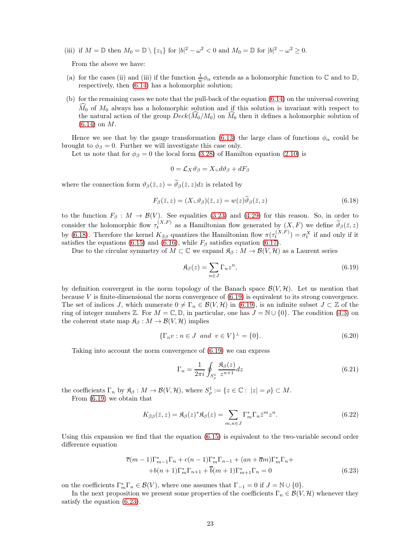(iii) if  $M = \mathbb{D}$  then  $M_0 = \mathbb{D} \setminus \{z_1\}$  for  $|b|^2 - \omega^2 < 0$  and  $M_0 = \mathbb{D}$  for  $|b|^2 - \omega^2 \ge 0$ .

From the above we have:

- (a) for the cases (ii) and (iii) if the function  $\frac{1}{w}\phi_{\alpha}$  extends as a holomorphic function to  $\mathbb{C}$  and to  $\mathbb{D}$ , respectively, then [\(6.14\)](#page-21-6) has a holomorphic solution;
- (b) for the remaining cases we note that the pull-back of the equation [\(6.14\)](#page-21-6) on the universal covering  $\tilde{M}_0$  of  $M_0$  always has a holomorphic solution and if this solution is invariant with respect to the natural action of the group  $Deck(M_0/M_0)$  on  $M_0$  then it defines a holomorphic solution of [\(6.14\)](#page-21-6) on M.

Hence we see that by the gauge transformation [\(6.13\)](#page-21-4) the large class of functions  $\phi_{\alpha}$  could be brought to  $\phi_{\beta} = 0$ . Further we will investigate this case only.

Let us note that for  $\phi_{\beta} = 0$  the local form [\(3.28\)](#page-8-4) of Hamilton equation [\(2.10\)](#page-3-0) is

$$
0 = \mathcal{L}_X \vartheta_\beta = X \llcorner d\vartheta_\beta + dF_\beta
$$

where the connection form  $\vartheta_{\beta}(\bar{z}, z) = \widetilde{\vartheta}_{\beta}(\bar{z}, z)dz$  is related by

<span id="page-22-0"></span>
$$
F_{\beta}(\bar{z}, z) = (X \sqcup \vartheta_{\beta})(\bar{z}, z) = w(z)\tilde{\vartheta}_{\beta}(\bar{z}, z)
$$
\n(6.18)

to the function  $F_\beta : M \to \mathcal{B}(V)$ . See equalities [\(3.23\)](#page-8-1) and [\(4.29\)](#page-14-4) for this reason. So, in order to consider the holomorphic flow  $\tau_t^{(X,F)}$  as a Hamiltonian flow generated by  $(X, F)$  we define  $\widetilde{\vartheta}_{\beta}(\bar{z}, z)$ by [\(6.18\)](#page-22-0). Therefore the kernel  $K_{\bar{\beta}\beta}$  quantizes the Hamiltonian flow  $\pi(\tau_t^{(X,F)}) = \sigma_t^X$  if and only if it satisfies the equations [\(6.15\)](#page-21-7) and [\(6.16\)](#page-21-8), while  $F_\beta$  satisfies equation [\(6.17\)](#page-21-9).

Due to the circular symmetry of  $M \subset \mathbb{C}$  we expand  $\mathfrak{K}_{\beta}: M \to \mathcal{B}(V, \mathcal{H})$  as a Laurent series

<span id="page-22-1"></span>
$$
\mathfrak{K}_{\beta}(z) = \sum_{n \in J} \Gamma_n z^n,\tag{6.19}
$$

by definition convergent in the norm topology of the Banach space  $\mathcal{B}(V, \mathcal{H})$ . Let us mention that because V is finite-dimensional the norm convergence of [\(6.19\)](#page-22-1) is equivalent to its strong convergence. The set of indices J, which numerate  $0 \neq \Gamma_n \in \mathcal{B}(V, \mathcal{H})$  in [\(6.19\)](#page-22-1), is an infinite subset  $J \subset \mathbb{Z}$  of the ring of integer numbers Z. For  $M = \mathbb{C}, \mathbb{D}$ , in particular, one has  $J = \mathbb{N} \cup \{0\}$ . The condition [\(4.3\)](#page-9-2) on the coherent state map  $\mathfrak{K}_{\beta}: M \to \mathcal{B}(V, \mathcal{H})$  implies

<span id="page-22-3"></span>
$$
\{\Gamma_n v : n \in J \text{ and } v \in V\}^{\perp} = \{0\}.
$$
 (6.20)

Taking into account the norm convergence of [\(6.19\)](#page-22-1) we can express

<span id="page-22-6"></span>
$$
\Gamma_n = \frac{1}{2\pi i} \oint_{S^1_\rho} \frac{\mathfrak{K}_\beta(z)}{z^{n+1}} dz
$$
\n(6.21)

the coefficients  $\Gamma_n$  by  $\mathfrak{K}_{\beta}: M \to \mathcal{B}(V, \mathcal{H})$ , where  $S^1_{\rho} := \{z \in \mathbb{C} : |z| = \rho\} \subset M$ .

From [\(6.19\)](#page-22-1) we obtain that

<span id="page-22-5"></span>
$$
K_{\bar{\beta}\beta}(\bar{z},z) = \mathfrak{K}_{\beta}(z)^{*}\mathfrak{K}_{\beta}(z) = \sum_{m,n \in J} \Gamma_{m}^{*} \Gamma_{n} \bar{z}^{m} z^{n}.
$$
 (6.22)

Using this expansion we find that the equation [\(6.15\)](#page-21-7) is equivalent to the two-variable second order difference equation

<span id="page-22-2"></span>
$$
\overline{c}(m-1)\Gamma_{m-1}^{*}\Gamma_{n} + c(n-1)\Gamma_{m}^{*}\Gamma_{n-1} + (an + \overline{a}m)\Gamma_{m}^{*}\Gamma_{n} ++b(n+1)\Gamma_{m}^{*}\Gamma_{n+1} + \overline{b}(m+1)\Gamma_{m+1}^{*}\Gamma_{n} = 0
$$
\n(6.23)

on the coefficients  $\Gamma_m^*\Gamma_n \in \mathcal{B}(V)$ , where one assumes that  $\Gamma_{-1} = 0$  if  $J = \mathbb{N} \cup \{0\}$ .

<span id="page-22-4"></span>In the next proposition we present some properties of the coefficients  $\Gamma_n \in \mathcal{B}(V, \mathcal{H})$  whenever they satisfy the equation [\(6.23\)](#page-22-2).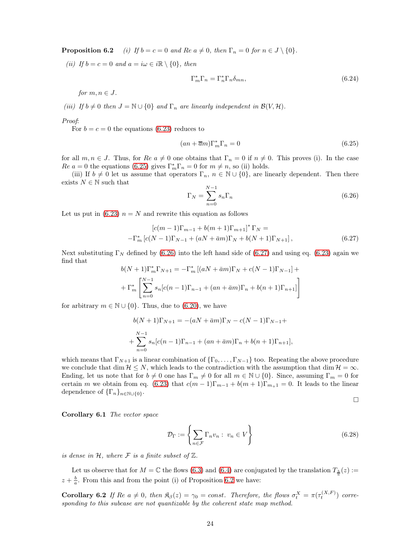**Proposition 6.2** (i) If  $b = c = 0$  and Re  $a \neq 0$ , then  $\Gamma_n = 0$  for  $n \in J \setminus \{0\}$ .

(ii) If  $b = c = 0$  and  $a = i\omega \in i\mathbb{R} \setminus \{0\}$ , then

<span id="page-23-3"></span>
$$
\Gamma_m^* \Gamma_n = \Gamma_n^* \Gamma_n \delta_{mn},\tag{6.24}
$$

for  $m, n \in J$ .

(iii) If  $b \neq 0$  then  $J = \mathbb{N} \cup \{0\}$  and  $\Gamma_n$  are linearly independent in  $\mathcal{B}(V, \mathcal{H})$ .

Proof:

For  $b = c = 0$  the equations [\(6.23\)](#page-22-2) reduces to

<span id="page-23-0"></span>
$$
(an + \overline{a}m)\Gamma_m^*\Gamma_n = 0\tag{6.25}
$$

for all  $m, n \in J$ . Thus, for  $Re\ a \neq 0$  one obtains that  $\Gamma_n = 0$  if  $n \neq 0$ . This proves (i). In the case  $Re\ a = 0$  the equations [\(6.25\)](#page-23-0) gives  $\Gamma_m^*\Gamma_n = 0$  for  $m \neq n$ , so (ii) holds.

(iii) If  $b \neq 0$  let us assume that operators  $\Gamma_n$ ,  $n \in \mathbb{N} \cup \{0\}$ , are linearly dependent. Then there exists  $N \in \mathbb{N}$  such that

<span id="page-23-1"></span>
$$
\Gamma_N = \sum_{n=0}^{N-1} s_n \Gamma_n \tag{6.26}
$$

Let us put in [\(6.23\)](#page-22-2)  $n = N$  and rewrite this equation as follows

<span id="page-23-2"></span>
$$
[c(m-1)\Gamma_{m-1} + b(m+1)\Gamma_{m+1}]^* \Gamma_N = -\Gamma_m^* [c(N-1)\Gamma_{N-1} + (aN + \bar{a}m)\Gamma_N + b(N+1)\Gamma_{N+1}],
$$
\n(6.27)

Next substituting  $\Gamma_N$  defined by [\(6.26\)](#page-23-1) into the left hand side of [\(6.27\)](#page-23-2) and using eq. [\(6.23\)](#page-22-2) again we find that

$$
b(N+1)\Gamma_m^*\Gamma_{N+1} = -\Gamma_m^*\left[ (aN+\bar{a}m)\Gamma_N + c(N-1)\Gamma_{N-1} \right] +
$$
  
+ 
$$
\Gamma_m^*\left[ \sum_{n=0}^{N-1} s_n[c(n-1)\Gamma_{n-1} + (an+\bar{a}m)\Gamma_n + b(n+1)\Gamma_{n+1}]\right]
$$

for arbitrary  $m \in \mathbb{N} \cup \{0\}$ . Thus, due to [\(6.20\)](#page-22-3), we have

$$
b(N+1)\Gamma_{N+1} = -(aN + \bar{a}m)\Gamma_N - c(N-1)\Gamma_{N-1} +
$$
  
+ 
$$
\sum_{n=0}^{N-1} s_n[c(n-1)\Gamma_{n-1} + (an + \bar{a}m)\Gamma_n + b(n+1)\Gamma_{n+1}],
$$

which means that  $\Gamma_{N+1}$  is a linear combination of  $\{\Gamma_0, \ldots, \Gamma_{N-1}\}\$  too. Repeating the above procedure we conclude that dim  $\mathcal{H} \leq N$ , which leads to the contradiction with the assumption that dim  $\mathcal{H} = \infty$ . Ending, let us note that for  $b \neq 0$  one has  $\Gamma_m \neq 0$  for all  $m \in \mathbb{N} \cup \{0\}$ . Since, assuming  $\Gamma_m = 0$  for certain m we obtain from eq. [\(6.23\)](#page-22-2) that  $c(m-1)\Gamma_{m-1} + b(m+1)\Gamma_{m+1} = 0$ . It leads to the linear dependence of  $\{\Gamma_n\}_{n\in\mathbb{N}\cup\{0\}}$ .

$$
\Box
$$

Corollary 6.1 The vector space

<span id="page-23-4"></span>
$$
\mathcal{D}_{\Gamma} := \left\{ \sum_{n \in \mathcal{F}} \Gamma_n v_n : v_n \in V \right\} \tag{6.28}
$$

is dense in  $H$ , where  $\mathcal F$  is a finite subset of  $\mathbb Z$ .

Let us observe that for  $M = \mathbb{C}$  the flows [\(6.3\)](#page-20-3) and [\(6.4\)](#page-20-1) are conjugated by the translation  $T_{\frac{b}{a}}(z) :=$  $z + \frac{b}{a}$ . From this and from the point (i) of Proposition [6.2](#page-22-4) we have:

**Corollary 6.2** If  $\text{Re } a \neq 0$ , then  $\Re(\zeta) = \gamma_0 = \text{const.}$  Therefore, the flows  $\sigma_t^X = \pi(\tau_t^{(X,F)})$  corresponding to this subcase are not quantizable by the coherent state map method.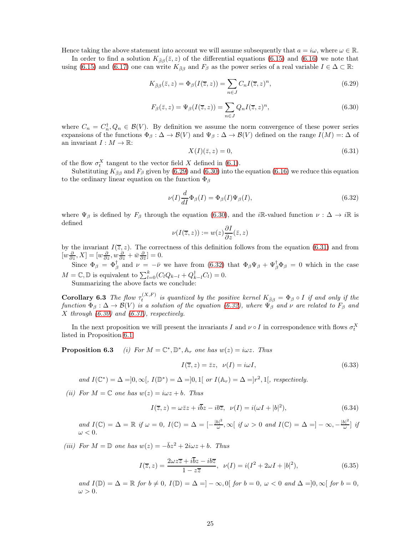Hence taking the above statement into account we will assume subsequently that  $a = i\omega$ , where  $\omega \in \mathbb{R}$ .

In order to find a solution  $K_{\bar{\beta}\beta}(\bar{z}, z)$  of the differential equations [\(6.15\)](#page-21-7) and [\(6.16\)](#page-21-8) we note that using [\(6.15\)](#page-21-7) and [\(6.17\)](#page-21-9) one can write  $K_{\bar{\beta}\beta}$  and  $F_{\beta}$  as the power series of a real variable  $I \in \Delta \subset \mathbb{R}$ :

<span id="page-24-1"></span>
$$
K_{\bar{\beta}\beta}(\bar{z},z) = \Phi_{\beta}(I(\bar{z},z)) = \sum_{n \in J} C_n I(\bar{z},z)^n,
$$
\n(6.29)

<span id="page-24-2"></span>
$$
F_{\beta}(\bar{z}, z) = \Psi_{\beta}(I(\bar{z}, z)) = \sum_{n \in J} Q_n I(\bar{z}, z)^n,
$$
\n(6.30)

where  $C_n = C_n^{\dagger}, Q_n \in \mathcal{B}(V)$ . By definition we assume the norm convergence of these power series expansions of the functions  $\Phi_{\beta}: \Delta \to \mathcal{B}(V)$  and  $\Psi_{\beta}: \Delta \to \mathcal{B}(V)$  defined on the range  $I(M) =: \Delta$  of an invariant  $I: M \to \mathbb{R}$ :

<span id="page-24-3"></span>
$$
X(I)(\bar{z}, z) = 0,\tag{6.31}
$$

of the flow  $\sigma_t^X$  tangent to the vector field X defined in [\(6.1\)](#page-20-7).

Substituting  $K_{\bar{\beta}\beta}$  and  $F_{\beta}$  given by [\(6.29\)](#page-24-1) and [\(6.30\)](#page-24-2) into the equation [\(6.16\)](#page-21-8) we reduce this equation to the ordinary linear equation on the function  $\Phi_{\beta}$ 

<span id="page-24-0"></span>
$$
\nu(I)\frac{d}{dI}\Phi_{\beta}(I) = \Phi_{\beta}(I)\Psi_{\beta}(I),\tag{6.32}
$$

where  $\Psi_{\beta}$  is defined by  $F_{\beta}$  through the equation [\(6.30\)](#page-24-2), and the *i*R-valued function  $\nu : \Delta \to i\mathbb{R}$  is defined

$$
\nu(I(\overline{z},z)) := w(z)\frac{\partial I}{\partial z}(\overline{z},z)
$$

by the invariant  $I(\overline{z}, z)$ . The correctness of this definition follows from the equation [\(6.31\)](#page-24-3) and from  $[w\frac{\partial}{\partial z}, X] = [w\frac{\partial}{\partial z}, w\frac{\partial}{\partial z} + \bar{w}\frac{\partial}{\partial \bar{z}}] = 0.$ 

Since  $\Phi_{\beta} = \Phi_{\beta}^{\dagger}$  and  $\nu = -\bar{\nu}$  we have from [\(6.32\)](#page-24-0) that  $\Phi_{\beta}\Psi_{\beta} + \Psi_{\beta}^{\dagger}\Phi_{\beta} = 0$  which in the case  $M = \mathbb{C}, \mathbb{D}$  is equivalent to  $\sum_{l=0}^{k} (C_l Q_{k-l} + Q_{k-l}^{\dagger} C_l) = 0.$ 

Summarizing the above facts we conclude:

**Corollary 6.3** The flow  $\tau_t^{(X,F)}$  is quantized by the positive kernel  $K_{\bar{\beta}\beta} = \Phi_{\beta} \circ I$  if and only if the function  $\Phi_{\beta}:\Delta\to\mathcal{B}(V)$  is a solution of the equation [\(6.32\)](#page-24-0), where  $\Psi_{\beta}$  and  $\nu$  are related to  $F_{\beta}$  and X through [\(6.30\)](#page-24-2) and [\(6.31\)](#page-24-3), respectively.

<span id="page-24-4"></span>In the next proposition we will present the invariants I and  $\nu \circ I$  in correspondence with flows  $\sigma_t^X$ listed in Proposition [6.1.](#page-20-6)

**Proposition 6.3** (i) For  $M = \mathbb{C}^*, \mathbb{D}^*, \mathbb{A}_r$  one has  $w(z) = i\omega z$ . Thus

<span id="page-24-5"></span>
$$
I(\overline{z}, z) = \overline{z}z, \quad \nu(I) = i\omega I,\tag{6.33}
$$

and  $I(\mathbb{C}^*) = \Delta = ]0, \infty[, I(\mathbb{D}^*) = \Delta = ]0,1[$  or  $I(\mathbb{A}_r) = \Delta = ]r^2,1[$ , respectively.

(ii) For  $M = \mathbb{C}$  one has  $w(z) = i\omega z + b$ . Thus

<span id="page-24-6"></span>
$$
I(\overline{z}, z) = \omega \overline{z}z + i\overline{b}z - ib\overline{z}, \quad \nu(I) = i(\omega I + |b|^2), \tag{6.34}
$$

and  $I(\mathbb{C}) = \Delta = \mathbb{R}$  if  $\omega = 0$ ,  $I(\mathbb{C}) = \Delta = \left[-\frac{|b|^2}{\omega}\right]$  $\frac{|b|^2}{\omega}, \infty$  [ if  $\omega > 0$  and  $I(\mathbb{C}) = \Delta = ]-\infty, -\frac{|b|^2}{\omega}$  $\frac{\partial \Gamma}{\partial \omega}$  if  $\omega < 0.$ 

(iii) For  $M = \mathbb{D}$  one has  $w(z) = -\overline{b}z^2 + 2i\omega z + b$ . Thus

<span id="page-24-7"></span>
$$
I(\overline{z}, z) = \frac{2\omega z \overline{z} + i\overline{b}z - ib\overline{z}}{1 - z\overline{z}}, \quad \nu(I) = i(I^2 + 2\omega I + |b|^2),\tag{6.35}
$$

and  $I(\mathbb{D}) = \Delta = \mathbb{R}$  for  $b \neq 0$ ,  $I(\mathbb{D}) = \Delta = ]-\infty, 0[$  for  $b = 0, \omega < 0$  and  $\Delta = ]0, \infty[$  for  $b = 0,$  $\omega > 0$ .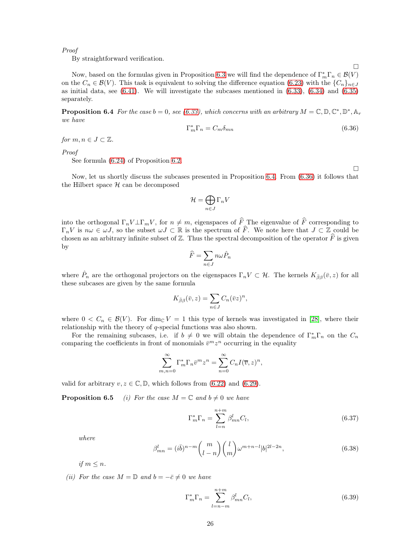Proof

By straightforward verification.

Now, based on the formulas given in Proposition [6.3](#page-24-4) we will find the dependence of  $\Gamma_m^*\Gamma_n \in \mathcal{B}(V)$ on the  $C_n \in \mathcal{B}(V)$ . This task is equivalent to solving the difference equation [\(6.23\)](#page-22-2) with the  $\{C_n\}_{n\in J}$ as initial data, see  $(6.41)$ . We will investigate the subcases mentioned in  $(6.33)$ ,  $(6.34)$  and  $(6.35)$ separately.

<span id="page-25-0"></span>**Proposition 6.4** For the case  $b = 0$ , see [\(6.33\)](#page-24-5), which concerns with an arbitrary  $M = \mathbb{C}, \mathbb{D}, \mathbb{C}^*, \mathbb{D}^*, \mathbb{A}_r$ we have

<span id="page-25-2"></span>
$$
\Gamma_m^* \Gamma_n = C_m \delta_{mn} \tag{6.36}
$$

for  $m, n \in J \subset \mathbb{Z}$ .

Proof

See formula [\(6.24\)](#page-23-3) of Proposition [6.2.](#page-22-4)

 $\Box$ 

 $\Box$ 

Now, let us shortly discuss the subcases presented in Proposition [6.4.](#page-25-0) From [\(6.36\)](#page-25-2) it follows that the Hilbert space  $H$  can be decomposed

$$
\mathcal{H} = \bigoplus_{n \in J} \Gamma_n V
$$

into the orthogonal  $\Gamma_n V \bot \Gamma_m V$ , for  $n \neq m$ , eigenspaces of  $\widehat{F}$  The eigenvalue of  $\widehat{F}$  corresponding to  $\Gamma_n V$  is  $n\omega \in \omega J$ , so the subset  $\omega J \subset \mathbb{R}$  is the spectrum of  $\widehat{F}$ . We note here that  $J \subset \mathbb{Z}$  could be chosen as an arbitrary infinite subset of  $\mathbb Z$ . Thus the spectral decomposition of the operator  $\hat F$  is given by

$$
\widehat{F}=\sum_{n\in J}n\omega\hat{P}_n
$$

where  $\hat{P}_n$  are the orthogonal projectors on the eigenspaces  $\Gamma_n V \subset \mathcal{H}$ . The kernels  $K_{\bar{\beta}\beta}(\bar{v}, z)$  for all these subcases are given by the same formula

$$
K_{\bar{\beta}\beta}(\bar{v},z) = \sum_{n \in J} C_n(\bar{v}z)^n,
$$

where  $0 < C_n \in \mathcal{B}(V)$ . For dim<sub>C</sub>  $V = 1$  this type of kernels was investigated in [\[28\]](#page-35-13), where their relationship with the theory of q-special functions was also shown.

For the remaining subcases, i.e. if  $b \neq 0$  we will obtain the dependence of  $\Gamma_m^*\Gamma_n$  on the  $C_n$ comparing the coefficients in front of monomials  $\bar{v}^m z^n$  occurring in the equality

$$
\sum_{m,n=0}^{\infty} \Gamma_m^* \Gamma_n \bar{v}^m z^n = \sum_{n=0}^{\infty} C_n I(\overline{v}, z)^n,
$$

<span id="page-25-1"></span>valid for arbitrary  $v, z \in \mathbb{C}, \mathbb{D}$ , which follows from [\(6.22\)](#page-22-5) and [\(6.29\)](#page-24-1).

**Proposition 6.5** (i) For the case  $M = \mathbb{C}$  and  $b \neq 0$  we have

<span id="page-25-4"></span>
$$
\Gamma_m^* \Gamma_n = \sum_{l=n}^{n+m} \beta_{mn}^l C_l,
$$
\n(6.37)

where

<span id="page-25-3"></span>
$$
\beta_{mn}^l = (i\bar{b})^{n-m} \binom{m}{l-n} \binom{l}{m} \omega^{m+n-l} |b|^{2l-2n},\tag{6.38}
$$

if  $m \leq n$ .

(ii) For the case  $M = \mathbb{D}$  and  $b = -\bar{c} \neq 0$  we have

$$
\Gamma_m^* \Gamma_n = \sum_{l=n-m}^{n+m} \beta_{mn}^l C_l,
$$
\n(6.39)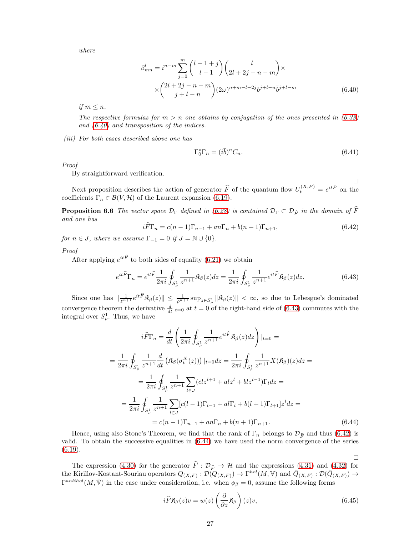where

<span id="page-26-1"></span>
$$
\beta_{mn}^l = i^{n-m} \sum_{j=0}^m {l-1+j \choose l-1} {l \choose 2l+2j-n-m} \times \times {2l+2j-n-m \choose j+l-n} (2\omega)^{n+m-l-2j} b^{j+l-n} \bar{b}^{j+l-m}
$$
\n(6.40)

if  $m \leq n$ .

The respective formulas for  $m > n$  one obtains by conjugation of the ones presented in [\(6.38\)](#page-25-3) and  $(6.40)$  and transposition of the indices.

(iii) For both cases described above one has

<span id="page-26-6"></span><span id="page-26-0"></span>
$$
\Gamma_0^*\Gamma_n = (i\bar{b})^n C_n. \tag{6.41}
$$

 $\Box$ 

 $\Box$ 

Proof

By straightforward verification.

Next proposition describes the action of generator  $\widehat{F}$  of the quantum flow  $U_t^{(X,F)} = e^{it\widehat{F}}$  on the coefficients  $\Gamma_n \in \mathcal{B}(V, \mathcal{H})$  of the Laurent expansion [\(6.19\)](#page-22-1).

**Proposition 6.6** The vector space  $\mathcal{D}_{\Gamma}$  defined in [\(6.28\)](#page-23-4) is contained  $\mathcal{D}_{\Gamma} \subset \mathcal{D}_{\widehat{F}}$  in the domain of  $\widehat{F}$ and one has

<span id="page-26-3"></span>
$$
iF\Gamma_n = c(n-1)\Gamma_{n-1} + an\Gamma_n + b(n+1)\Gamma_{n+1},\tag{6.42}
$$

for  $n \in J$ , where we assume  $\Gamma_{-1} = 0$  if  $J = \mathbb{N} \cup \{0\}$ .

Proof

After applying  $e^{it\widehat{F}}$  to both sides of equality [\(6.21\)](#page-22-6) we obtain

<span id="page-26-2"></span>
$$
e^{it\widehat{F}}\Gamma_n = e^{it\widehat{F}}\frac{1}{2\pi i}\oint_{S^1_{\rho}}\frac{1}{z^{n+1}}\mathfrak{K}_{\beta}(z)dz = \frac{1}{2\pi i}\oint_{S^1_{\rho}}\frac{1}{z^{n+1}}e^{it\widehat{F}}\mathfrak{K}_{\beta}(z)dz.
$$
 (6.43)

Since one has  $\|\frac{1}{z^{n+1}} e^{it \widehat{F}} \mathfrak{K}_{\beta}(z) \| \leq \frac{1}{\rho^{n+1}} \sup_{z \in S_{\rho}^1} \| \mathfrak{K}_{\beta}(z) \| < \infty$ , so due to Lebesgue's dominated convergence theorem the derivative  $\frac{d}{dt}|_{t=0}$  at  $t=0$  of the right-hand side of [\(6.43\)](#page-26-2) commutes with the integral over  $S^1_\rho$ . Thus, we have

$$
i\widehat{F}\Gamma_n = \frac{d}{dt} \left( \frac{1}{2\pi i} \oint_{S_\rho^1} \frac{1}{z^{n+1}} e^{it\widehat{F}} \mathfrak{K}_\beta(z) dz \right) |_{t=0} =
$$
  
\n
$$
= \frac{1}{2\pi i} \oint_{S_\rho^1} \frac{1}{z^{n+1}} \frac{d}{dt} \left( \mathfrak{K}_\beta(\sigma_t^X(z)) \right) |_{t=0} dz = \frac{1}{2\pi i} \oint_{S_\rho^1} \frac{1}{z^{n+1}} X(\mathfrak{K}_\beta)(z) dz =
$$
  
\n
$$
= \frac{1}{2\pi i} \oint_{S_\rho^1} \frac{1}{z^{n+1}} \sum_{l \in J} (clz^{l+1} + alz^l + blz^{l-1}) \Gamma_l dz =
$$
  
\n
$$
= \frac{1}{2\pi i} \oint_{S_\rho^1} \frac{1}{z^{n+1}} \sum_{l \in J} [c(l-1)\Gamma_{l-1} + al\Gamma_l + b(l+1)\Gamma_{l+1}] z^l dz =
$$
  
\n
$$
= c(n-1)\Gamma_{n-1} + an\Gamma_n + b(n+1)\Gamma_{n+1}.
$$
 (6.44)

Hence, using also Stone's Theorem, we find that the rank of  $\Gamma_n$  belongs to  $\mathcal{D}_{\hat{F}}$  and thus [\(6.42\)](#page-26-3) is valid. To obtain the successive equalities in [\(6.44\)](#page-26-4) we have used the norm convergence of the series  $(6.19).$  $(6.19).$ 

The expression [\(4.30\)](#page-14-0) for the generator  $F : \mathcal{D}_{\widehat{F}} \to \mathcal{H}$  and the expressions [\(4.31\)](#page-14-1) and [\(4.32\)](#page-14-6) for the Kirillov-Kostant-Souriau operators  $Q_{(X,F)} : \mathcal{D}(Q_{(X,F)}) \to \Gamma^{hol}(M, V)$  and  $\overline{Q}_{(X,F)} : \mathcal{D}(\overline{Q}_{(X,F)}) \to$  $\Gamma^{anthol}(M,\bar{V})$  in the case under consideration, i.e. when  $\phi_{\beta}=0$ , assume the following forms

<span id="page-26-5"></span><span id="page-26-4"></span>
$$
i\widehat{F}\mathfrak{K}_{\beta}(z)v = w(z)\left(\frac{\partial}{\partial z}\mathfrak{K}_{\beta}\right)(z)v,
$$
\n(6.45)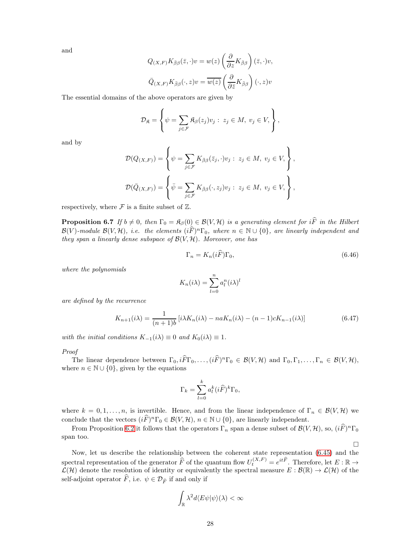and

$$
Q_{(X,F)} K_{\bar{\beta}\beta}(\bar{z},\cdot)v = w(z) \left(\frac{\partial}{\partial z} K_{\bar{\beta}\beta}\right)(\bar{z},\cdot)v,
$$
  

$$
\bar{Q}_{(X,F)} K_{\bar{\beta}\beta}(\cdot,z)v = \overline{w(z)} \left(\frac{\partial}{\partial \bar{z}} K_{\bar{\beta}\beta}\right)(\cdot,z)v
$$

The essential domains of the above operators are given by

$$
\mathcal{D}_{\mathfrak{K}} = \left\{ \psi = \sum_{j \in \mathcal{F}} \mathfrak{K}_{\beta}(z_j) v_j : z_j \in M, v_j \in V, \right\},\
$$

and by

$$
\mathcal{D}(Q_{(X,F)}) = \left\{ \psi = \sum_{j \in \mathcal{F}} K_{\bar{\beta}\beta}(\bar{z}_j, \cdot) v_j : z_j \in M, v_j \in V, \right\},
$$
  

$$
\mathcal{D}(\bar{Q}_{(X,F)}) = \left\{ \bar{\psi} = \sum_{j \in \mathcal{F}} K_{\bar{\beta}\beta}(\cdot, z_j) v_j : z_j \in M, v_j \in V, \right\},
$$

<span id="page-27-2"></span>respectively, where  $\mathcal F$  is a finite subset of  $\mathbb Z$ .

**Proposition 6.7** If  $b \neq 0$ , then  $\Gamma_0 = \mathfrak{K}_{\beta}(0) \in \mathcal{B}(V, \mathcal{H})$  is a generating element for  $i\widehat{F}$  in the Hilbert  $\mathcal{B}(V)$ -module  $\mathcal{B}(V,\mathcal{H})$ , i.e. the elements  $(i\widehat{F})^n\Gamma_0$ , where  $n \in \mathbb{N} \cup \{0\}$ , are linearly independent and they span a linearly dense subspace of  $\mathcal{B}(V, \mathcal{H})$ . Moreover, one has

<span id="page-27-0"></span>
$$
\Gamma_n = K_n(i\widehat{F})\Gamma_0,\tag{6.46}
$$

 $\Box$ 

where the polynomials

$$
K_n(i\lambda) = \sum_{l=0}^n a_l^n(i\lambda)^l
$$

are defined by the recurrence

<span id="page-27-1"></span>
$$
K_{n+1}(i\lambda) = \frac{1}{(n+1)b} \left[ i\lambda K_n(i\lambda) - naK_n(i\lambda) - (n-1)cK_{n-1}(i\lambda) \right]
$$
\n(6.47)

with the initial conditions  $K_{-1}(i\lambda) \equiv 0$  and  $K_0(i\lambda) \equiv 1$ .

Proof

The linear dependence between  $\Gamma_0, i\overline{F}\Gamma_0, \ldots, (i\overline{F})^n\Gamma_0 \in \mathcal{B}(V, \mathcal{H})$  and  $\Gamma_0, \Gamma_1, \ldots, \Gamma_n \in \mathcal{B}(V, \mathcal{H}),$ where  $n \in \mathbb{N} \cup \{0\}$ , given by the equations

$$
\Gamma_k = \sum_{l=0}^k a_l^k (i\widehat{F})^k \Gamma_0,
$$

where  $k = 0, 1, \ldots, n$ , is invertible. Hence, and from the linear independence of  $\Gamma_n \in \mathcal{B}(V, \mathcal{H})$  we conclude that the vectors  $(i\widehat{F})^n\Gamma_0 \in \mathcal{B}(V,\mathcal{H}), n \in \mathbb{N} \cup \{0\}$ , are linearly independent.

From Proposition [6.2](#page-22-4) it follows that the operators  $\Gamma_n$  span a dense subset of  $\mathcal{B}(V, \mathcal{H})$ , so,  $(i\widehat{F})^n\Gamma_0$ span too.

Now, let us describe the relationship between the coherent state representation [\(6.45\)](#page-26-5) and the spectral representation of the generator  $\widehat{F}$  of the quantum flow  $U_t^{(X,F)} = e^{it\widehat{F}}$ . Therefore, let  $E : \mathbb{R} \to$  $\mathcal{L}(\mathcal{H})$  denote the resolution of identity or equivalently the spectral measure  $E : \mathcal{B}(\mathbb{R}) \to \mathcal{L}(\mathcal{H})$  of the self-adjoint operator  $\widehat{F}$ , i.e.  $\psi \in \mathcal{D}_{\widehat{F}}$  if and only if

$$
\int_{\mathbb{R}} \lambda^2 d\langle E\psi | \psi \rangle(\lambda) < \infty
$$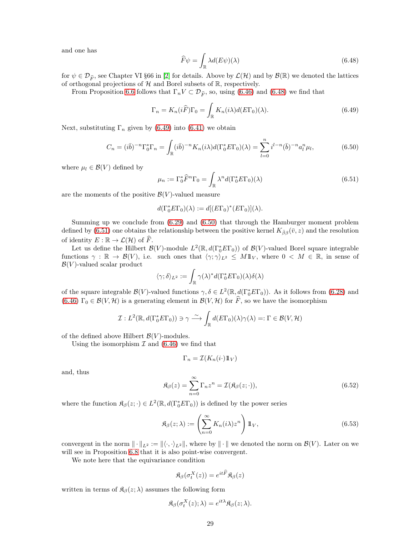and one has

<span id="page-28-0"></span>
$$
\widehat{F}\psi = \int_{\mathbb{R}} \lambda d(E\psi)(\lambda) \tag{6.48}
$$

for  $\psi \in \mathcal{D}_{\widehat{F}}$ , see Chapter VI §66 in [\[2\]](#page-34-12) for details. Above by  $\mathcal{L}(\mathcal{H})$  and by  $\mathcal{B}(\mathbb{R})$  we denoted the lattices of orthogonal projections of  $H$  and Borel subsets of  $\mathbb{R}$ , respectively.

From Proposition [6.6](#page-26-6) follows that  $\Gamma_n V \subset \mathcal{D}_{\widehat{F}}$ , so, using [\(6.46\)](#page-27-0) and [\(6.48\)](#page-28-0) we find that

<span id="page-28-1"></span>
$$
\Gamma_n = K_n(i\widehat{F})\Gamma_0 = \int_{\mathbb{R}} K_n(i\lambda)d(E\Gamma_0)(\lambda).
$$
 (6.49)

Next, substituting  $\Gamma_n$  given by [\(6.49\)](#page-28-1) into [\(6.41\)](#page-26-0) we obtain

<span id="page-28-2"></span>
$$
C_n = (i\bar{b})^{-n} \Gamma_0^* \Gamma_n = \int_{\mathbb{R}} (i\bar{b})^{-n} K_n(i\lambda) d(\Gamma_0^* E \Gamma_0)(\lambda) = \sum_{l=0}^n i^{l-n} (\bar{b})^{-n} a_l^n \mu_l,
$$
(6.50)

where  $\mu_l \in \mathcal{B}(V)$  defined by

<span id="page-28-3"></span>
$$
\mu_n := \Gamma_0^* \widehat{F}^n \Gamma_0 = \int_{\mathbb{R}} \lambda^n d(\Gamma_0^* E \Gamma_0)(\lambda)
$$
\n(6.51)

are the moments of the positive  $\mathcal{B}(V)$ -valued measure

$$
d(\Gamma_0^* E \Gamma_0)(\lambda) := d[(E \Gamma_0)^*(E \Gamma_0)](\lambda).
$$

Summing up we conclude from [\(6.29\)](#page-24-1) and [\(6.50\)](#page-28-2) that through the Hamburger moment problem defined by [\(6.51\)](#page-28-3) one obtains the relationship between the positive kernel  $K_{\bar{\beta}\beta}(\bar{v}, z)$  and the resolution of identity  $E : \mathbb{R} \to \mathcal{L}(\mathcal{H})$  of  $\widehat{F}$ .

Let us define the Hilbert  $\mathcal{B}(V)$ -module  $L^2(\mathbb{R}, d(\Gamma_0^* E\Gamma_0))$  of  $\mathcal{B}(V)$ -valued Borel square integrable functions  $\gamma : \mathbb{R} \to \mathcal{B}(V)$ , i.e. such ones that  $\langle \gamma; \gamma \rangle_{L^2} \leq M 1 \mathbb{1}_V$ , where  $0 \leq M \in \mathbb{R}$ , in sense of  $\mathcal{B}(V)$ -valued scalar product

$$
\langle \gamma ; \delta \rangle_{L^2} := \int_{\mathbb{R}} \gamma(\lambda)^* d(\Gamma_0^* E \Gamma_0)(\lambda) \delta(\lambda)
$$

of the square integrable  $\mathcal{B}(V)$ -valued functions  $\gamma, \delta \in L^2(\mathbb{R}, d(\Gamma_0^* E\Gamma_0))$ . As it follows from [\(6.28\)](#page-23-4) and [\(6.46\)](#page-27-0)  $\Gamma_0 \in \mathcal{B}(V, \mathcal{H})$  is a generating element in  $\mathcal{B}(V, \mathcal{H})$  for  $\widehat{F}$ , so we have the isomorphism

$$
\mathcal{I}: L^2(\mathbb{R}, d(\Gamma_0^* E \Gamma_0)) \ni \gamma \stackrel{\sim}{\longrightarrow} \int_{\mathbb{R}} d(E \Gamma_0)(\lambda) \gamma(\lambda) =: \Gamma \in \mathcal{B}(V, \mathcal{H})
$$

of the defined above Hilbert  $\mathcal{B}(V)$ -modules.

Using the isomorphism  $\mathcal I$  and [\(6.46\)](#page-27-0) we find that

$$
\Gamma_n = \mathcal{I}(K_n(i \cdot) \mathbb{1}_V)
$$

and, thus

<span id="page-28-4"></span>
$$
\mathfrak{K}_{\beta}(z) = \sum_{n=0}^{\infty} \Gamma_n z^n = \mathcal{I}(\mathfrak{K}_{\beta}(z; \cdot)),\tag{6.52}
$$

where the function  $\mathfrak{K}_{\beta}(z; \cdot) \in L^2(\mathbb{R}, d(\Gamma_0^* E \Gamma_0))$  is defined by the power series

<span id="page-28-5"></span>
$$
\mathfrak{K}_{\beta}(z;\lambda) := \left(\sum_{n=0}^{\infty} K_n(i\lambda) z^n\right) 1\!\!1_V,\tag{6.53}
$$

convergent in the norm  $\|\cdot\|_{L^2} := \|\langle \cdot, \cdot \rangle_{L^2}\|$ , where by  $\|\cdot\|$  we denoted the norm on  $\mathcal{B}(V)$ . Later on we will see in Proposition [6.8](#page-29-1) that it is also point-wise convergent.

We note here that the equivariance condition

$$
\mathfrak{K}_{\beta}(\sigma_{t}^{X}(z))=e^{it\widehat{F}}\mathfrak{K}_{\beta}(z)
$$

written in terms of  $\mathfrak{K}_{\beta}(z; \lambda)$  assumes the following form

$$
\mathfrak{K}_{\beta}(\sigma_t^X(z); \lambda) = e^{it\lambda} \mathfrak{K}_{\beta}(z; \lambda).
$$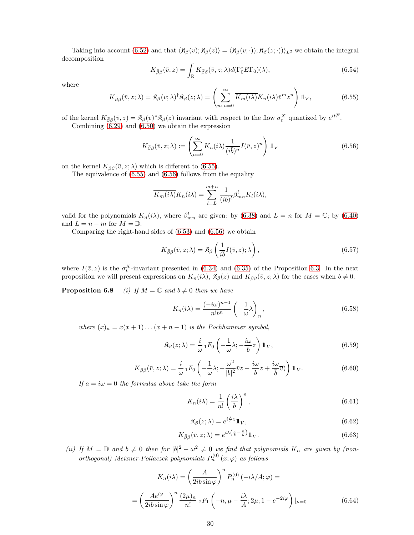Taking into account [\(6.52\)](#page-28-4) and that  $\langle \mathfrak{K}_{\beta}(v); \mathfrak{K}_{\beta}(z)\rangle = \langle \mathfrak{K}_{\beta}(v; \cdot) \rangle; \mathfrak{K}_{\beta}(z; \cdot) \rangle_{L^2}$  we obtain the integral decomposition

<span id="page-29-0"></span>
$$
K_{\bar{\beta}\beta}(\bar{v},z) = \int_{\mathbb{R}} K_{\bar{\beta}\beta}(\bar{v},z;\lambda) d(\Gamma_0^* E \Gamma_0)(\lambda), \tag{6.54}
$$

where

<span id="page-29-2"></span>
$$
K_{\bar{\beta}\beta}(\bar{v}, z; \lambda) = \mathfrak{K}_{\beta}(v; \lambda)^{\dagger} \mathfrak{K}_{\beta}(z; \lambda) = \left(\sum_{m,n=0}^{\infty} \overline{K_m(i\lambda)} K_n(i\lambda) \bar{v}^m z^n \right) 1\!\!1_V,\tag{6.55}
$$

of the kernel  $K_{\bar{\beta}\beta}(\bar{v},z) = \mathfrak{K}_{\beta}(v)^* \mathfrak{K}_{\beta}(z)$  invariant with respect to the flow  $\sigma_t^X$  quantized by  $e^{it\hat{F}}$ . Combining [\(6.29\)](#page-24-1) and [\(6.50\)](#page-28-2) we obtain the expression

<span id="page-29-3"></span>
$$
K_{\bar{\beta}\beta}(\bar{v}, z; \lambda) := \left(\sum_{n=0}^{\infty} K_n(i\lambda) \frac{1}{(i\bar{b})^n} I(\bar{v}, z)^n \right) 1\!\!1_V
$$
 (6.56)

on the kernel  $K_{\bar{\beta}\beta}(\bar{v}, z; \lambda)$  which is different to [\(6.55\)](#page-29-2).

The equivalence of  $(6.55)$  and  $(6.56)$  follows from the equality

$$
\overline{K_m(i\lambda)}K_n(i\lambda) = \sum_{l=L}^{m+n} \frac{1}{(i\overline{b})^l} \beta_{mn}^l K_l(i\lambda),
$$

valid for the polynomials  $K_n(i\lambda)$ , where  $\beta_{mn}^l$  are given: by [\(6.38\)](#page-25-3) and  $L = n$  for  $M = \mathbb{C}$ ; by [\(6.40\)](#page-26-1) and  $L = n - m$  for  $M = \mathbb{D}$ .

Comparing the right-hand sides of [\(6.53\)](#page-28-5) and [\(6.56\)](#page-29-3) we obtain

$$
K_{\bar{\beta}\beta}(\bar{v}, z; \lambda) = \mathfrak{K}_{\beta}\left(\frac{1}{i\bar{b}}I(\bar{v}, z); \lambda\right),\tag{6.57}
$$

<span id="page-29-1"></span>where  $I(\bar{z}, z)$  is the  $\sigma_t^X$ -invariant presented in [\(6.34\)](#page-24-6) and [\(6.35\)](#page-24-7) of the Proposition [6.3.](#page-24-4) In the next proposition we will present expressions on  $K_n(i\lambda)$ ,  $\mathfrak{K}_{\beta}(z)$  and  $K_{\bar{\beta}\beta}(\bar{v}, z; \lambda)$  for the cases when  $b \neq 0$ .

**Proposition 6.8** (i) If  $M = \mathbb{C}$  and  $b \neq 0$  then we have

<span id="page-29-5"></span>
$$
K_n(i\lambda) = \frac{(-i\omega)^{n-1}}{n!b^n} \left(-\frac{1}{\omega}\lambda\right)_n,
$$
\n(6.58)

where  $(x)_n = x(x+1)...(x+n-1)$  is the Pochhammer symbol,

<span id="page-29-8"></span>
$$
\mathfrak{K}_{\beta}(z;\lambda) = \frac{i}{\omega} {}_1F_0 \left( -\frac{1}{\omega} \lambda; -\frac{i\omega}{b} z \right) 1\!\!1_V, \tag{6.59}
$$

<span id="page-29-9"></span>
$$
K_{\bar{\beta}\beta}(\bar{v}, z; \lambda) = \frac{i}{\omega} {}_1F_0 \left( -\frac{1}{\omega}\lambda; -\frac{\omega^2}{|b|^2}\bar{v}z - \frac{i\omega}{b}z + \frac{i\omega}{b}\bar{v} \right) 1\!\!1_V. \tag{6.60}
$$

If  $a = i\omega = 0$  the formulas above take the form

<span id="page-29-10"></span>=

<span id="page-29-4"></span>
$$
K_n(i\lambda) = \frac{1}{n!} \left(\frac{i\lambda}{b}\right)^n,\tag{6.61}
$$

<span id="page-29-6"></span>
$$
\mathfrak{K}_{\beta}(z;\lambda) = e^{i\frac{\lambda}{b}z} \mathbb{1}_V, \tag{6.62}
$$

<span id="page-29-7"></span>
$$
K_{\bar{\beta}\beta}(\bar{v}, z; \lambda) = e^{i\lambda \left(\frac{z}{b} - \frac{\bar{v}}{b}\right)} 1\!\!1_V. \tag{6.63}
$$

(ii) If  $M = \mathbb{D}$  and  $b \neq 0$  then for  $|b|^2 - \omega^2 \neq 0$  we find that polynomials  $K_n$  are given by (nonorthogonal) Meixner-Pollaczek polynomials  $P_n^{(0)}(x;\varphi)$  as follows

$$
K_n(i\lambda) = \left(\frac{A}{2ib\sin\varphi}\right)^n P_n^{(0)}(-i\lambda/A;\varphi) =
$$

$$
\left(\frac{Ae^{i\varphi}}{2ib\sin\varphi}\right)^n \frac{(2\mu)_n}{n!} {}_2F_1\left(-n,\mu-\frac{i\lambda}{A};2\mu;1-e^{-2i\varphi}\right)|_{\mu=0}
$$
(6.64)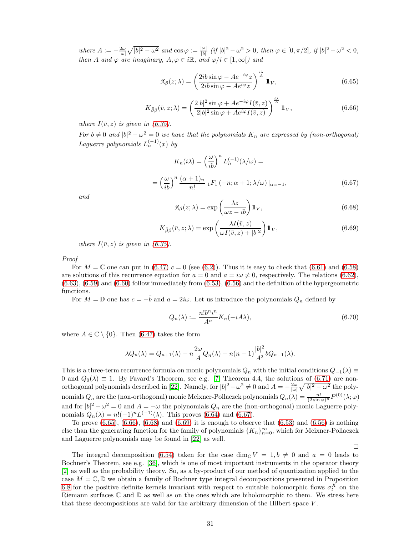where  $A := -\frac{2\omega}{|\omega|} \sqrt{|b|^2 - \omega^2}$  and  $\cos \varphi := \frac{|\omega|}{|b|}$  $\frac{|\omega|}{|b|}$  (if  $|b|^2 - \omega^2 > 0$ , then  $\varphi \in [0, \pi/2]$ , if  $|b|^2 - \omega^2 < 0$ , then A and  $\varphi$  are imaginary,  $A, \varphi \in i\mathbb{R}$ , and  $\varphi/i \in [1, \infty[)$  and

<span id="page-30-1"></span>
$$
\mathfrak{K}_{\beta}(z;\lambda) = \left(\frac{2ib\sin\varphi - Ae^{-i\varphi}z}{2ib\sin\varphi - Ae^{i\varphi}z}\right)^{\frac{i\lambda}{A}}1\!\!1_V,\tag{6.65}
$$

<span id="page-30-2"></span>
$$
K_{\bar{\beta}\beta}(\bar{v}, z; \lambda) = \left(\frac{2|b|^2 \sin \varphi + Ae^{-i\varphi}I(\bar{v}, z)}{2|b|^2 \sin \varphi + Ae^{i\varphi}I(\bar{v}, z)}\right)^{\frac{i\lambda}{A}} 1\!\!1_V,
$$
\n(6.66)

where  $I(\bar{v}, z)$  is given in [\(6.35\)](#page-24-7).

For  $b \neq 0$  and  $|b|^2 - \omega^2 = 0$  we have that the polynomials  $K_n$  are expressed by (non-orthogonal) Laguerre polynomials  $L_n^{(-1)}(x)$  by

<span id="page-30-0"></span>
$$
K_n(i\lambda) = \left(\frac{\omega}{ib}\right)^n L_n^{(-1)}(\lambda/\omega) =
$$
  
= 
$$
\left(\frac{\omega}{ib}\right)^n \frac{(\alpha+1)_n}{n!} {}_1F_1(-n; \alpha+1; \lambda/\omega)|_{\alpha=-1},
$$
 (6.67)

and

<span id="page-30-3"></span>
$$
\mathfrak{K}_{\beta}(z;\lambda) = \exp\left(\frac{\lambda z}{\omega z - ib}\right) 1\!\!1_V,\tag{6.68}
$$

<span id="page-30-4"></span>
$$
K_{\bar{\beta}\beta}(\bar{v}, z; \lambda) = \exp\left(\frac{\lambda I(\bar{v}, z)}{\omega I(\bar{v}, z) + |b|^2}\right) 1\!\!1_V,\tag{6.69}
$$

where  $I(\bar{v}, z)$  is given in [\(6.35\)](#page-24-7).

Proof

For  $M = \mathbb{C}$  one can put in  $(6.47)$   $c = 0$  (see  $(6.2)$ ). Thus it is easy to check that  $(6.61)$  and  $(6.58)$ are solutions of this recurrence equation for  $a = 0$  and  $a = i\omega \neq 0$ , respectively. The relations [\(6.62\)](#page-29-6),  $(6.63)$ ,  $(6.59)$  and  $(6.60)$  follow immediately from  $(6.53)$ ,  $(6.56)$  and the definition of the hypergeometric functions.

For  $M = \mathbb{D}$  one has  $c = -\bar{b}$  and  $a = 2i\omega$ . Let us introduce the polynomials  $Q_n$  defined by

$$
Q_n(\lambda) := \frac{n! b^n i^n}{A^n} K_n(-iA\lambda),\tag{6.70}
$$

where  $A \in \mathbb{C} \setminus \{0\}$ . Then [\(6.47\)](#page-27-1) takes the form

$$
\lambda Q_n(\lambda) = Q_{n+1}(\lambda) - n \frac{2\omega}{A} Q_n(\lambda) + n(n-1) \frac{|b|^2}{A^2} b Q_{n-1}(\lambda).
$$

This is a three-term recurrence formula on monic polynomials  $Q_n$  with the initial conditions  $Q_{-1}(\lambda) \equiv$ 0 and  $Q_0(\lambda) \equiv 1$ . By Favard's Theorem, see e.g. [\[7\]](#page-34-13) Theorem 4.4, the solutions of [\(6.71\)](#page-31-0) are non-orthogonal polynomials described in [\[22\]](#page-35-14). Namely, for  $|b|^2 - \omega^2 \neq 0$  and  $A = -\frac{2\omega}{|\omega|} \sqrt{|b|^2 - \omega^2}$  the polynomials  $Q_n$  are the (non-orthogonal) monic Meixner-Pollaczek polynomials  $Q_n(\lambda) = \frac{n!}{(2 \sin \varphi)^n} P^{(0)}(\lambda; \varphi)$ and for  $|b|^2 - \omega^2 = 0$  and  $A = -\omega$  the polynomials  $Q_n$  are the (non-orthogonal) monic Laguerre polynomials  $Q_n(\lambda) = n!(-1)^n L^{(-1)}(\lambda)$ . This proves [\(6.64\)](#page-29-10) and [\(6.67\)](#page-30-0).

To prove  $(6.65)$ ,  $(6.66)$ ,  $(6.68)$  and  $(6.69)$  it is enough to observe that  $(6.53)$  and  $(6.56)$  is nothing else than the generating function for the family of polynomials  $\{K_n\}_{n=0}^{\infty}$ , which for Meixner-Pollaczek and Laguerre polynomials may be found in [\[22\]](#page-35-14) as well.

 $\Box$ 

The integral decomposition [\(6.54\)](#page-29-0) taken for the case dim<sub>C</sub>  $V = 1, b \neq 0$  and  $a = 0$  leads to Bochner's Theorem, see e.g. [\[36\]](#page-35-7), which is one of most important instruments in the operator theory [\[2\]](#page-34-12) as well as the probability theory. So, as a by-product of our method of quantization applied to the case  $M = \mathbb{C}, \mathbb{D}$  we obtain a family of Bochner type integral decompositions presented in Proposition [6.8](#page-29-1) for the positive definite kernels invariant with respect to suitable holomorphic flows  $\sigma_t^X$  on the Riemann surfaces  $\mathbb C$  and  $\mathbb D$  as well as on the ones which are biholomorphic to them. We stress here that these decompositions are valid for the arbitrary dimension of the Hilbert space  $V$ .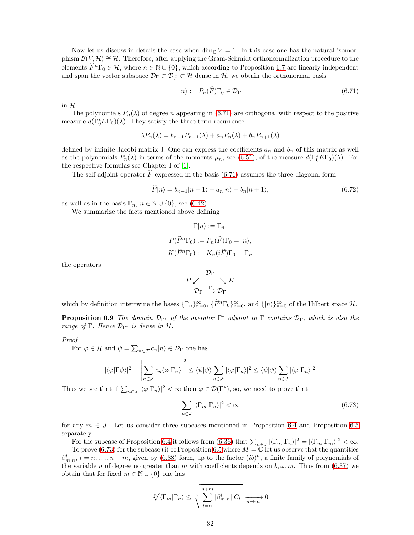Now let us discuss in details the case when dim<sub>C</sub>  $V = 1$ . In this case one has the natural isomorphism  $\mathcal{B}(V, \mathcal{H}) \cong \mathcal{H}$ . Therefore, after applying the Gram-Schmidt orthonormalization procedure to the elements  $\widehat{F}^n\Gamma_0 \in \mathcal{H}$ , where  $n \in \mathbb{N} \cup \{0\}$ , which according to Proposition [6.7](#page-27-2) are linearly independent and span the vector subspace  $\mathcal{D}_{\Gamma} \subset \mathcal{D}_{\widehat{F}} \subset \mathcal{H}$  dense in  $\mathcal{H}$ , we obtain the orthonormal basis

<span id="page-31-0"></span>
$$
|n\rangle := P_n(\hat{F})\Gamma_0 \in \mathcal{D}_{\Gamma} \tag{6.71}
$$

in  $H$ .

The polynomials  $P_n(\lambda)$  of degree n appearing in [\(6.71\)](#page-31-0) are orthogonal with respect to the positive measure  $d(\Gamma_0^* E \Gamma_0)(\lambda)$ . They satisfy the three term recurrence

$$
\lambda P_n(\lambda) = b_{n-1} P_{n-1}(\lambda) + a_n P_n(\lambda) + b_n P_{n+1}(\lambda)
$$

defined by infinite Jacobi matrix J. One can express the coefficients  $a_n$  and  $b_n$  of this matrix as well as the polynomials  $P_n(\lambda)$  in terms of the moments  $\mu_n$ , see [\(6.51\)](#page-28-3), of the measure  $d(\Gamma_0^* E\Gamma_0)(\lambda)$ . For the respective formulas see Chapter I of [\[1\]](#page-34-5).

The self-adjoint operator  $\widehat{F}$  expressed in the basis [\(6.71\)](#page-31-0) assumes the three-diagonal form

$$
\widehat{F}|n\rangle = b_{n-1}|n-1\rangle + a_n|n\rangle + b_n|n+1\rangle, \tag{6.72}
$$

as well as in the basis  $\Gamma_n$ ,  $n \in \mathbb{N} \cup \{0\}$ , see [\(6.42\)](#page-26-3).

We summarize the facts mentioned above defining

$$
\Gamma|n\rangle := \Gamma_n,
$$
  
\n
$$
P(\widehat{F}^n \Gamma_0) := P_n(\widehat{F})\Gamma_0 = |n\rangle,
$$
  
\n
$$
K(\widehat{F}^n \Gamma_0) := K_n(i\widehat{F})\Gamma_0 = \Gamma_n
$$

the operators

$$
\begin{array}{c}\n\mathcal{D}_{\Gamma} \\
P \swarrow \\
\mathcal{D}_{\Gamma} \stackrel{\Gamma}{\longrightarrow} \mathcal{D}_{\Gamma}\n\end{array}
$$

which by definition intertwine the bases  $\{\Gamma_n\}_{n=0}^{\infty}$ ,  $\{\widehat{F}^n\Gamma_0\}_{n=0}^{\infty}$ , and  $\{|n\rangle\}_{n=0}^{\infty}$  of the Hilbert space  $\mathcal{H}$ .

**Proposition 6.9** The domain  $\mathcal{D}_{\Gamma^*}$  of the operator  $\Gamma^*$  adjoint to  $\Gamma$  contains  $\mathcal{D}_{\Gamma}$ , which is also the range of Γ. Hence  $\mathcal{D}_{\Gamma^*}$  is dense in  $\mathcal{H}$ .

Proof

For  $\varphi \in \mathcal{H}$  and  $\psi = \sum_{n \in \mathcal{F}} c_n |n\rangle \in \mathcal{D}_{\Gamma}$  one has

$$
|\langle \varphi | \Gamma \psi \rangle|^2 = \left| \sum_{n \in \mathcal{F}} c_n \langle \varphi | \Gamma_n \rangle \right|^2 \le \langle \psi | \psi \rangle \sum_{n \in \mathcal{F}} |\langle \varphi | \Gamma_n \rangle|^2 \le \langle \psi | \psi \rangle \sum_{n \in J} |\langle \varphi | \Gamma_n \rangle|^2
$$

Thus we see that if  $\sum_{n\in J} |\langle \varphi | \Gamma_n \rangle|^2 < \infty$  then  $\varphi \in \mathcal{D}(\Gamma^*)$ , so, we need to prove that

<span id="page-31-1"></span>
$$
\sum_{n\in J} |\langle \Gamma_m | \Gamma_n \rangle|^2 < \infty \tag{6.73}
$$

for any  $m \in J$ . Let us consider three subcases mentioned in Proposition [6.4](#page-25-0) and Proposition [6.5](#page-25-1) separately.

For the subcase of Proposition [6.4](#page-25-0) it follows from [\(6.36\)](#page-25-2) that  $\sum_{n\in J} |\langle \Gamma_m|\Gamma_n\rangle|^2 = |\langle \Gamma_m|\Gamma_m\rangle|^2 < \infty$ . To prove [\(6.73\)](#page-31-1) for the subcase (i) of Proposition [6.5](#page-25-1) where  $M = \mathbb{C}$  let us observe that the quantities  $\beta_{m,n}^l$ ,  $l = n, \ldots, n+m$ , given by [\(6.38\)](#page-25-3) form, up to the factor  $(i\bar{b})^n$ , a finite family of polynomials of the variable n of degree no greater than m with coefficients depends on  $b, \omega, m$ . Thus from [\(6.37\)](#page-25-4) we obtain that for fixed  $m \in \mathbb{N} \cup \{0\}$  one has

$$
\sqrt[n]{\langle \Gamma_m | \Gamma_n \rangle} \leq \sqrt[n]{\sum_{l=n}^{n+m} |\beta_{m,n}^l| |C_l|} \xrightarrow[n \to \infty]{} 0
$$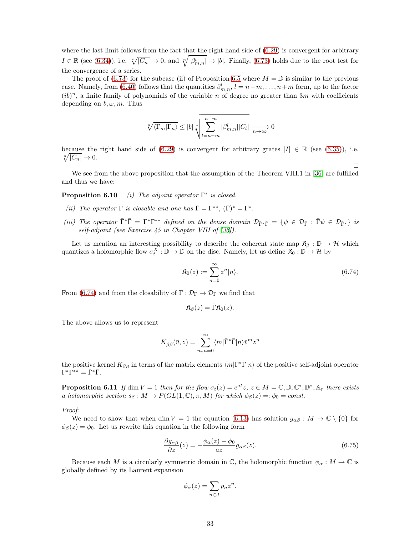where the last limit follows from the fact that the right hand side of  $(6.29)$  is convergent for arbitrary  $I \in \mathbb{R}$  (see [\(6.34\)](#page-24-6)), i.e.  $\sqrt[n]{|C_n|} \to 0$ , and  $\sqrt[n]{|\beta^l_{m,n}|} \to |b|$ . Finally, [\(6.73\)](#page-31-1) holds due to the root test for the convergence of a series.

The proof of [\(6.73\)](#page-31-1) for the subcase (ii) of Proposition [6.5](#page-25-1) where  $M = \mathbb{D}$  is similar to the previous case. Namely, from [\(6.40\)](#page-26-1) follows that the quantities  $\beta_{m,n}^l$ ,  $l = n-m, \ldots, n+m$  form, up to the factor  $(i\bar{b})^n$ , a finite family of polynomials of the variable n of degree no greater than 3m with coefficients depending on  $b, \omega, m$ . Thus

$$
\sqrt[n]{\langle \Gamma_m | \Gamma_n \rangle} \le |b| \sqrt[n]{\sum_{l=n-m}^{n+m} |\beta_{m,n}^l| |C_l|} \xrightarrow[n \to \infty]{} 0
$$

because the right hand side of [\(6.29\)](#page-24-1) is convergent for arbitrary grates  $|I| \in \mathbb{R}$  (see [\(6.35\)](#page-24-7)), i.e.  $\sqrt[n]{|C_n|} \to 0.$ 

We see from the above proposition that the assumption of the Theorem VIII.1 in [\[36\]](#page-35-7) are fulfilled and thus we have:

**Proposition 6.10** (i) The adjoint operator  $\Gamma^*$  is closed.

- (ii) The operator  $\Gamma$  is closable and one has  $\bar{\Gamma} = \Gamma^{**}$ ,  $(\bar{\Gamma})^* = \Gamma^*$ .
- (iii) The operator  $\bar{\Gamma}^* \bar{\Gamma} = \Gamma^* \Gamma^{**}$  defined on the dense domain  $\mathcal{D}_{\bar{\Gamma}^* \bar{\Gamma}} = \{ \psi \in \mathcal{D}_{\bar{\Gamma}} : \bar{\Gamma} \psi \in \mathcal{D}_{\bar{\Gamma}^*} \}$  is self-adjoint (see Exercise 45 in Chapter VIII of [\[36\]](#page-35-7)).

Let us mention an interesting possibility to describe the coherent state map  $\mathfrak{K}_{\beta}: \mathbb{D} \to \mathcal{H}$  which quantizes a holomorphic flow  $\sigma_t^X : \mathbb{D} \to \mathbb{D}$  on the disc. Namely, let us define  $\mathfrak{K}_0 : \mathbb{D} \to \mathcal{H}$  by

<span id="page-32-0"></span>
$$
\mathfrak{K}_0(z) := \sum_{n=0}^{\infty} z^n |n\rangle.
$$
\n(6.74)

 $\Box$ 

From [\(6.74\)](#page-32-0) and from the closability of  $\Gamma : \mathcal{D}_{\Gamma} \to \mathcal{D}_{\Gamma}$  we find that

$$
\mathfrak{K}_{\beta}(z) = \bar{\Gamma} \mathfrak{K}_{0}(z).
$$

The above allows us to represent

$$
K_{\bar{\beta}\beta}(\bar{v},z) = \sum_{m,n=0}^{\infty} \langle m|\bar{\Gamma}^*\bar{\Gamma}|n\rangle \bar{v}^m z^n
$$

<span id="page-32-2"></span>the positive kernel  $K_{\bar{\beta}\beta}$  in terms of the matrix elements  $\langle m|\bar{\Gamma}^*\bar{\Gamma}|n\rangle$  of the positive self-adjoint operator  $\Gamma^*\Gamma^{**}=\bar{\Gamma}^*\bar{\Gamma}.$ 

**Proposition 6.11** If dim  $V = 1$  then for the flow  $\sigma_t(z) = e^{at}z$ ,  $z \in M = \mathbb{C}, \mathbb{D}, \mathbb{C}^*, \mathbb{D}^*, \mathbb{A}_r$  there exists a holomorphic section  $s_\beta : M \to P(GL(1,\mathbb{C}), \pi, M)$  for which  $\phi_\beta(z) =: \phi_0 = const.$ 

Proof:

We need to show that when dim  $V = 1$  the equation [\(6.13\)](#page-21-4) has solution  $g_{\alpha\beta}: M \to \mathbb{C} \setminus \{0\}$  for  $\phi_{\beta}(z) = \phi_0$ . Let us rewrite this equation in the following form

<span id="page-32-1"></span>
$$
\frac{\partial g_{\alpha\beta}}{\partial z}(z) = -\frac{\phi_{\alpha}(z) - \phi_0}{az} g_{\alpha\beta}(z). \tag{6.75}
$$

Because each M is a circularly symmetric domain in  $\mathbb{C}$ , the holomorphic function  $\phi_{\alpha}: M \to \mathbb{C}$  is globally defined by its Laurent expansion

$$
\phi_{\alpha}(z) = \sum_{n \in J} p_n z^n.
$$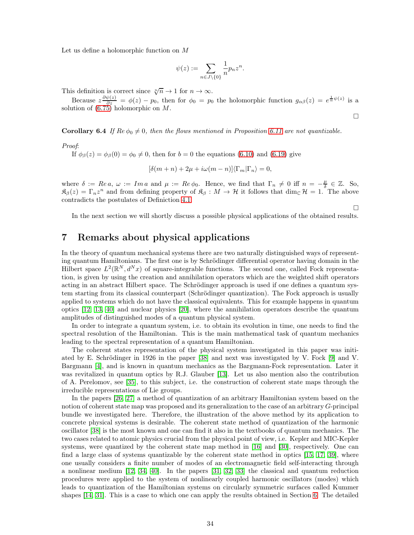Let us define a holomorphic function on M

$$
\psi(z):=\sum_{n\in J\backslash\{0\}}\frac{1}{n}p_nz^n.
$$

This definition is correct since  $\sqrt[n]{n} \to 1$  for  $n \to \infty$ .

Because  $z\frac{\partial\psi(z)}{\partial z} = \phi(z) - p_0$ , then for  $\phi_0 = p_0$  the holomorphic function  $g_{\alpha\beta}(z) = e^{\frac{1}{\alpha}\psi(z)}$  is a solution of [\(6.75\)](#page-32-1) holomorphic on M.

 $\Box$ 

 $\Box$ 

**Corollary 6.4** If  $Re \phi_0 \neq 0$ , then the flows mentioned in Proposition [6.11](#page-32-2) are not quantizable.

Proof:

If  $\phi_{\beta}(z) = \phi_{\beta}(0) = \phi_0 \neq 0$ , then for  $b = 0$  the equations [\(6.10\)](#page-21-2) and [\(6.19\)](#page-22-1) give

$$
[\delta(m+n) + 2\mu + i\omega(m-n)]\langle\Gamma_m|\Gamma_n\rangle = 0,
$$

where  $\delta := Re a, \omega := Im a$  and  $\mu := Re \phi_0$ . Hence, we find that  $\Gamma_n \neq 0$  iff  $n = -\frac{\mu}{\delta} \in \mathbb{Z}$ . So,  $\mathfrak{K}_{\beta}(z) = \Gamma_n z^n$  and from defining property of  $\mathfrak{K}_{\beta}: M \to H$  it follows that  $\dim_{\mathbb{C}} \mathcal{H} = 1$ . The above contradicts the postulates of Definiction [4.1.](#page-9-6)

In the next section we will shortly discuss a possible physical applications of the obtained results.

### <span id="page-33-0"></span>7 Remarks about physical applications

In the theory of quantum mechanical systems there are two naturally distinguished ways of representing quantum Hamiltonians. The first one is by Schrödinger differential operator having domain in the Hilbert space  $L^2(\mathbb{R}^N, d^Nx)$  of square-integrable functions. The second one, called Fock representation, is given by using the creation and annihilation operators which are the weighted shift operators acting in an abstract Hilbert space. The Schrödinger approach is used if one defines a quantum system starting from its classical counterpart (Schrödinger quantization). The Fock approach is usually applied to systems which do not have the classical equivalents. This for example happens in quantum optics [\[12,](#page-34-14) [13,](#page-34-15) [40\]](#page-35-15) and nuclear physics [\[20\]](#page-34-16), where the annihilation operators describe the quantum amplitudes of distinguished modes of a quantum physical system.

In order to integrate a quantum system, i.e. to obtain its evolution in time, one needs to find the spectral resolution of the Hamiltonian. This is the main mathematical task of quantum mechanics leading to the spectral representation of a quantum Hamiltonian.

The coherent states representation of the physical system investigated in this paper was initiated by E. Schrödinger in 1926 in the paper [\[38\]](#page-35-16) and next was investigated by V. Fock [\[9\]](#page-34-17) and V. Bargmann [\[4\]](#page-34-18), and is known in quantum mechanics as the Bargmann-Fock representation. Later it was revitalized in quantum optics by R.J. Glauber [\[13\]](#page-34-15). Let us also mention also the contribution of A. Perelomov, see [\[35\]](#page-35-17), to this subject, i.e. the construction of coherent state maps through the irreducible representations of Lie groups.

In the papers [\[26,](#page-35-1) [27\]](#page-35-8) a method of quantization of an arbitrary Hamiltonian system based on the notion of coherent state map was proposed and its generalization to the case of an arbitrary G-principal bundle we investigated here. Therefore, the illustration of the above method by its application to concrete physical systems is desirable. The coherent state method of quantization of the harmonic oscillator [\[38\]](#page-35-16) is the most known and one can find it also in the textbooks of quantum mechanics. The two cases related to atomic physics crucial from the physical point of view, i.e. Kepler and MIC-Kepler systems, were quantized by the coherent state map method in [\[16\]](#page-34-2) and [\[30\]](#page-35-3), respectively. One can find a large class of systems quantizable by the coherent state method in optics [\[15,](#page-34-9) [17,](#page-34-8) [39\]](#page-35-9), where one usually considers a finite number of modes of an electromagnetic field self-interacting through a nonlinear medium [\[12,](#page-34-14) [34,](#page-35-18) [40\]](#page-35-15). In the papers [\[31,](#page-35-10) [32,](#page-35-11) [33\]](#page-35-12) the classical and quantum reduction procedures were applied to the system of nonlinearly coupled harmonic oscillators (modes) which leads to quantization of the Hamiltonian systems on circularly symmetric surfaces called Kummer shapes [\[14,](#page-34-19) [31\]](#page-35-10). This is a case to which one can apply the results obtained in Section [6.](#page-19-0) The detailed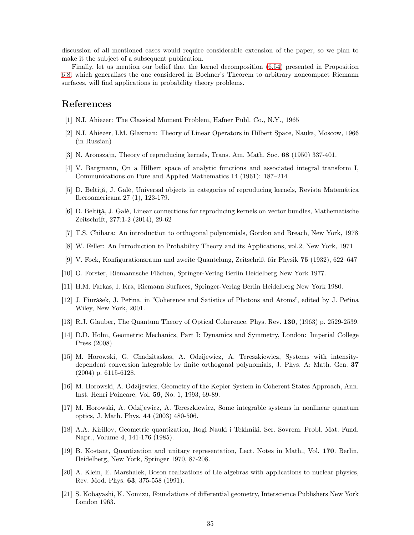discussion of all mentioned cases would require considerable extension of the paper, so we plan to make it the subject of a subsequent publication.

Finally, let us mention our belief that the kernel decomposition [\(6.54\)](#page-29-0) presented in Proposition [6.8,](#page-29-1) which generalizes the one considered in Bochner's Theorem to arbitrary noncompact Riemann surfaces, will find applications in probability theory problems.

### <span id="page-34-5"></span>References

- <span id="page-34-12"></span>[1] N.I. Ahiezer: The Classical Moment Problem, Hafner Publ. Co., N.Y., 1965
- [2] N.I. Ahiezer, I.M. Glazman: Theory of Linear Operators in Hilbert Space, Nauka, Moscow, 1966 (in Russian)
- <span id="page-34-18"></span><span id="page-34-7"></span>[3] N. Aronszajn, Theory of reproducing kernels, Trans. Am. Math. Soc. 68 (1950) 337-401.
- [4] V. Bargmann, On a Hilbert space of analytic functions and associated integral transform I, Communications on Pure and Applied Mathematics 14 (1961): 187–214
- <span id="page-34-3"></span>[5] D. Beltită, J. Galé, Universal objects in categories of reproducing kernels, Revista Matemática Iberoamericana 27 (1), 123-179.
- <span id="page-34-4"></span> $[6]$  D. Beltită, J. Galé, Linear connections for reproducing kernels on vector bundles, Mathematische Zeitschrift, 277:1-2 (2014), 29-62
- <span id="page-34-13"></span>[7] T.S. Chihara: An introduction to orthogonal polynomials, Gordon and Breach, New York, 1978
- <span id="page-34-17"></span>[8] W. Feller: An Introduction to Probability Theory and its Applications, vol.2, New York, 1971
- <span id="page-34-10"></span>[9] V. Fock, Konfigurationsraum und zweite Quantelung, Zeitschrift für Physik 75 (1932), 622–647
- <span id="page-34-11"></span>[10] O. Forster, Riemannsche Flächen, Springer-Verlag Berlin Heidelberg New York 1977.
- <span id="page-34-14"></span>[11] H.M. Farkas, I. Kra, Riemann Surfaces, Springer-Verlag Berlin Heidelberg New York 1980.
- [12] J. Fiurášek, J. Peřina, in "Coherence and Satistics of Photons and Atoms", edited by J. Peřina Wiley, New York, 2001.
- <span id="page-34-19"></span><span id="page-34-15"></span>[13] R.J. Glauber, The Quantum Theory of Optical Coherence, Phys. Rev. 130, (1963) p. 2529-2539.
- [14] D.D. Holm, Geometric Mechanics, Part I: Dynamics and Symmetry, London: Imperial College Press (2008)
- <span id="page-34-9"></span>[15] M. Horowski, G. Chadzitaskos, A. Odzijewicz, A. Tereszkiewicz, Systems with intensitydependent conversion integrable by finite orthogonal polynomials, J. Phys. A: Math. Gen. 37 (2004) p. 6115-6128.
- <span id="page-34-2"></span>[16] M. Horowski, A. Odzijewicz, Geometry of the Kepler System in Coherent States Approach, Ann. Inst. Henri Poincare, Vol. 59, No. 1, 1993, 69-89.
- <span id="page-34-8"></span>[17] M. Horowski, A. Odzijewicz, A. Tereszkiewicz, Some integrable systems in nonlinear quantum optics, J. Math. Phys. 44 (2003) 480-506.
- <span id="page-34-0"></span>[18] A.A. Kirillov, Geometric quantization, Itogi Nauki i Tekhniki. Ser. Sovrem. Probl. Mat. Fund. Napr., Volume 4, 141-176 (1985).
- <span id="page-34-1"></span>[19] B. Kostant, Quantization and unitary representation, Lect. Notes in Math., Vol. 170. Berlin, Heidelberg, New York, Springer 1970, 87-208.
- <span id="page-34-16"></span>[20] A. Klein, E. Marshalek, Boson realizations of Lie algebras with applications to nuclear physics, Rev. Mod. Phys. 63, 375-558 (1991).
- <span id="page-34-6"></span>[21] S. Kobayashi, K. Nomizu, Foundations of differential geometry, Interscience Publishers New York London 1963.